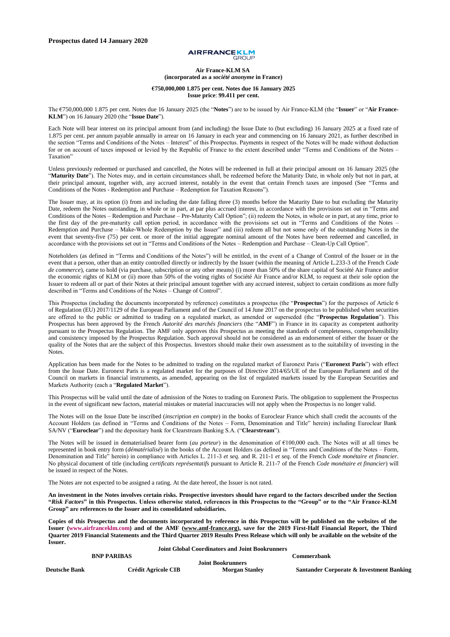# **AIRFRANCEKLM**

#### **Air France-KLM SA (incorporated as a** *société anonyme* **in France)**

#### **€750,000,000 1.875 per cent. Notes due 16 January 2025 Issue price**: **99.411 per cent.**

The €750,000,000 1.875 per cent. Notes due 16 January 2025 (the "**Notes**") are to be issued by Air France-KLM (the "**Issuer**" or "**Air France-KLM**") on 16 January 2020 (the "**Issue Date**").

Each Note will bear interest on its principal amount from (and including) the Issue Date to (but excluding) 16 January 2025 at a fixed rate of 1.875 per cent. per annum payable annually in arrear on 16 January in each year and commencing on 16 January 2021, as further described in the section "Terms and Conditions of the Notes – Interest" of this Prospectus. Payments in respect of the Notes will be made without deduction for or on account of taxes imposed or levied by the Republic of France to the extent described under "Terms and Conditions of the Notes – Taxation"

Unless previously redeemed or purchased and cancelled, the Notes will be redeemed in full at their principal amount on 16 January 2025 (the "**Maturity Date**"). The Notes may, and in certain circumstances shall, be redeemed before the Maturity Date, in whole only but not in part, at their principal amount, together with, any accrued interest, notably in the event that certain French taxes are imposed (See "Terms and Conditions of the Notes - Redemption and Purchase – Redemption for Taxation Reasons").

The Issuer may, at its option (i) from and including the date falling three (3) months before the Maturity Date to but excluding the Maturity Date, redeem the Notes outstanding, in whole or in part, at par plus accrued interest, in accordance with the provisions set out in "Terms and Conditions of the Notes – Redemption and Purchase – Pre-Maturity Call Option"; (ii) redeem the Notes, in whole or in part, at any time, prior to the first day of the pre-maturity call option period, in accordance with the provisions set out in "Terms and Conditions of the Notes – Redemption and Purchase – Make-Whole Redemption by the Issuer" and (iii) redeem all but not some only of the outstanding Notes in the event that seventy-five (75) per cent. or more of the initial aggregate nominal amount of the Notes have been redeemed and cancelled, in accordance with the provisions set out in "Terms and Conditions of the Notes – Redemption and Purchase – Clean-Up Call Option".

Noteholders (as defined in "Terms and Conditions of the Notes") will be entitled, in the event of a Change of Control of the Issuer or in the event that a person, other than an entity controlled directly or indirectly by the Issuer (within the meaning of Article L.233-3 of the French *Code de commerce*), came to hold (via purchase, subscription or any other means) (i) more than 50% of the share capital of Société Air France and/or the economic rights of KLM or (ii) more than 50% of the voting rights of Société Air France and/or KLM, to request at their sole option the Issuer to redeem all or part of their Notes at their principal amount together with any accrued interest, subject to certain conditions as more fully described in "Terms and Conditions of the Notes – Change of Control".

This Prospectus (including the documents incorporated by reference) constitutes a prospectus (the "**Prospectus**") for the purposes of Article 6 of Regulation (EU) 2017/1129 of the European Parliament and of the Council of 14 June 2017 on the prospectus to be published when securities are offered to the public or admitted to trading on a regulated market, as amended or superseded (the "**Prospectus Regulation**"). This Prospectus has been approved by the French *Autorité des marchés financiers* (the "**AMF**") in France in its capacity as competent authority pursuant to the Prospectus Regulation. The AMF only approves this Prospectus as meeting the standards of completeness, comprehensibility and consistency imposed by the Prospectus Regulation. Such approval should not be considered as an endorsement of either the Issuer or the quality of the Notes that are the subject of this Prospectus. Investors should make their own assessment as to the suitability of investing in the Notes.

Application has been made for the Notes to be admitted to trading on the regulated market of Euronext Paris ("**Euronext Paris**") with effect from the Issue Date. Euronext Paris is a regulated market for the purposes of Directive 2014/65/UE of the European Parliament and of the Council on markets in financial instruments, as amended, appearing on the list of regulated markets issued by the European Securities and Markets Authority (each a "**Regulated Market**").

This Prospectus will be valid until the date of admission of the Notes to trading on Euronext Paris. The obligation to supplement the Prospectus in the event of significant new factors, material mistakes or material inaccuracies will not apply when the Prospectus is no longer valid.

The Notes will on the Issue Date be inscribed (*inscription en compte*) in the books of Euroclear France which shall credit the accounts of the Account Holders (as defined in "Terms and Conditions of the Notes – Form, Denomination and Title" herein) including Euroclear Bank SA/NV ("**Euroclear**") and the depositary bank for Clearstream Banking S.A. ("**Clearstream**").

The Notes will be issued in dematerialised bearer form (*au porteur*) in the denomination of €100,000 each. The Notes will at all times be represented in book entry form (*dématérialisé*) in the books of the Account Holders (as defined in "Terms and Conditions of the Notes – Form, Denomination and Title" herein) in compliance with Articles L. 211-3 *et seq.* and R. 211-1 *et seq*. of the French *Code monétaire et financier*. No physical document of title (including *certificats représentatifs* pursuant to Article R. 211-7 of the French *Code monétaire et financier*) will be issued in respect of the Notes.

The Notes are not expected to be assigned a rating. At the date hereof, the Issuer is not rated.

**An investment in the Notes involves certain risks. Prospective investors should have regard to the factors described under the Section "***Risk Factors***" in this Prospectus. Unless otherwise stated, references in this Prospectus to the "Group" or to the "Air France-KLM Group" are references to the Issuer and its consolidated subsidiaries.**

**Copies of this Prospectus and the documents incorporated by reference in this Prospectus will be published on the websites of the Issuer [\(www.airfranceklm.com\)](http://www.airfranceklm.com/) and of the AMF [\(www.amf-france.org\)](http://www.amf-france.org/), save for the 2019 First-Half Financial Report, the Third Quarter 2019 Financial Statements and the Third Quarter 2019 Results Press Release which will only be available on the website of the Issuer.**

|                      |                     | <b>Joint Global Coordinators and Joint Bookrunners</b> |                                                     |
|----------------------|---------------------|--------------------------------------------------------|-----------------------------------------------------|
|                      | <b>BNP PARIBAS</b>  |                                                        | Commerzbank                                         |
|                      |                     | <b>Joint Bookrunners</b>                               |                                                     |
| <b>Deutsche Bank</b> | Crédit Agricole CIB | <b>Morgan Stanley</b>                                  | <b>Santander Corporate &amp; Investment Banking</b> |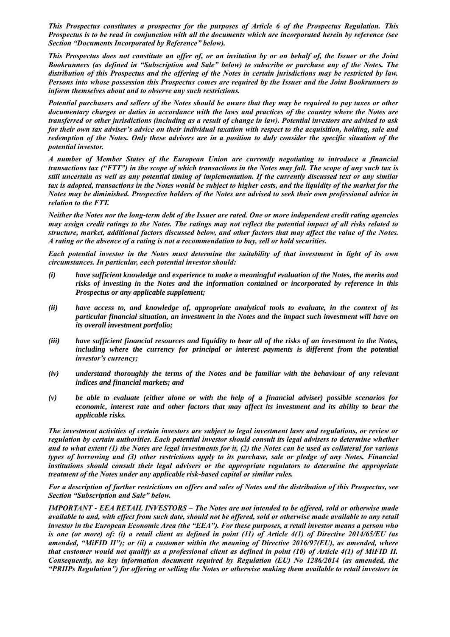*This Prospectus constitutes a prospectus for the purposes of Article 6 of the Prospectus Regulation. This Prospectus is to be read in conjunction with all the documents which are incorporated herein by reference (see Section "Documents Incorporated by Reference" below).*

*This Prospectus does not constitute an offer of, or an invitation by or on behalf of, the Issuer or the Joint Bookrunners (as defined in "Subscription and Sale" below) to subscribe or purchase any of the Notes. The distribution of this Prospectus and the offering of the Notes in certain jurisdictions may be restricted by law. Persons into whose possession this Prospectus comes are required by the Issuer and the Joint Bookrunners to inform themselves about and to observe any such restrictions.*

*Potential purchasers and sellers of the Notes should be aware that they may be required to pay taxes or other documentary charges or duties in accordance with the laws and practices of the country where the Notes are transferred or other jurisdictions (including as a result of change in law). Potential investors are advised to ask for their own tax adviser's advice on their individual taxation with respect to the acquisition, holding, sale and redemption of the Notes. Only these advisers are in a position to duly consider the specific situation of the potential investor.*

*A number of Member States of the European Union are currently negotiating to introduce a financial transactions tax ("FTT") in the scope of which transactions in the Notes may fall. The scope of any such tax is still uncertain as well as any potential timing of implementation. If the currently discussed text or any similar tax is adopted, transactions in the Notes would be subject to higher costs, and the liquidity of the market for the Notes may be diminished. Prospective holders of the Notes are advised to seek their own professional advice in relation to the FTT.*

*Neither the Notes nor the long-term debt of the Issuer are rated. One or more independent credit rating agencies may assign credit ratings to the Notes. The ratings may not reflect the potential impact of all risks related to structure, market, additional factors discussed below, and other factors that may affect the value of the Notes. A rating or the absence of a rating is not a recommendation to buy, sell or hold securities.*

*Each potential investor in the Notes must determine the suitability of that investment in light of its own circumstances. In particular, each potential investor should:*

- *(i) have sufficient knowledge and experience to make a meaningful evaluation of the Notes, the merits and risks of investing in the Notes and the information contained or incorporated by reference in this Prospectus or any applicable supplement;*
- *(ii) have access to, and knowledge of, appropriate analytical tools to evaluate, in the context of its particular financial situation, an investment in the Notes and the impact such investment will have on its overall investment portfolio;*
- *(iii) have sufficient financial resources and liquidity to bear all of the risks of an investment in the Notes, including where the currency for principal or interest payments is different from the potential investor's currency;*
- *(iv) understand thoroughly the terms of the Notes and be familiar with the behaviour of any relevant indices and financial markets; and*
- *(v) be able to evaluate (either alone or with the help of a financial adviser) possible scenarios for economic, interest rate and other factors that may affect its investment and its ability to bear the applicable risks.*

*The investment activities of certain investors are subject to legal investment laws and regulations, or review or regulation by certain authorities. Each potential investor should consult its legal advisers to determine whether and to what extent (1) the Notes are legal investments for it, (2) the Notes can be used as collateral for various types of borrowing and (3) other restrictions apply to its purchase, sale or pledge of any Notes. Financial institutions should consult their legal advisers or the appropriate regulators to determine the appropriate treatment of the Notes under any applicable risk-based capital or similar rules.*

*For a description of further restrictions on offers and sales of Notes and the distribution of this Prospectus, see Section "Subscription and Sale" below.*

*IMPORTANT - EEA RETAIL INVESTORS – The Notes are not intended to be offered, sold or otherwise made available to and, with effect from such date, should not be offered, sold or otherwise made available to any retail investor in the European Economic Area (the "EEA"). For these purposes, a retail investor means a person who is one (or more) of: (i) a retail client as defined in point (11) of Article 4(1) of Directive 2014/65/EU (as amended, "MiFID II"); or (ii) a customer within the meaning of Directive 2016/97(EU), as amended, where that customer would not qualify as a professional client as defined in point (10) of Article 4(1) of MiFID II. Consequently, no key information document required by Regulation (EU) No 1286/2014 (as amended, the "PRIIPs Regulation") for offering or selling the Notes or otherwise making them available to retail investors in*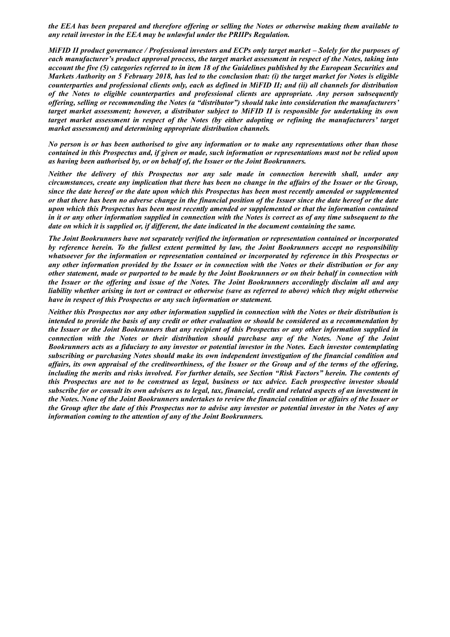*the EEA has been prepared and therefore offering or selling the Notes or otherwise making them available to any retail investor in the EEA may be unlawful under the PRIIPs Regulation.*

*MiFID II product governance / Professional investors and ECPs only target market – Solely for the purposes of each manufacturer's product approval process, the target market assessment in respect of the Notes, taking into account the five (5) categories referred to in item 18 of the Guidelines published by the European Securities and Markets Authority on 5 February 2018, has led to the conclusion that: (i) the target market for Notes is eligible counterparties and professional clients only, each as defined in MiFID II; and (ii) all channels for distribution of the Notes to eligible counterparties and professional clients are appropriate. Any person subsequently offering, selling or recommending the Notes (a "distributor") should take into consideration the manufacturers' target market assessment; however, a distributor subject to MiFID II is responsible for undertaking its own target market assessment in respect of the Notes (by either adopting or refining the manufacturers' target market assessment) and determining appropriate distribution channels.*

*No person is or has been authorised to give any information or to make any representations other than those contained in this Prospectus and, if given or made, such information or representations must not be relied upon as having been authorised by, or on behalf of, the Issuer or the Joint Bookrunners.*

*Neither the delivery of this Prospectus nor any sale made in connection herewith shall, under any circumstances, create any implication that there has been no change in the affairs of the Issuer or the Group, since the date hereof or the date upon which this Prospectus has been most recently amended or supplemented or that there has been no adverse change in the financial position of the Issuer since the date hereof or the date upon which this Prospectus has been most recently amended or supplemented or that the information contained in it or any other information supplied in connection with the Notes is correct as of any time subsequent to the date on which it is supplied or, if different, the date indicated in the document containing the same.*

*The Joint Bookrunners have not separately verified the information or representation contained or incorporated by reference herein. To the fullest extent permitted by law, the Joint Bookrunners accept no responsibility whatsoever for the information or representation contained or incorporated by reference in this Prospectus or any other information provided by the Issuer or in connection with the Notes or their distribution or for any other statement, made or purported to be made by the Joint Bookrunners or on their behalf in connection with the Issuer or the offering and issue of the Notes. The Joint Bookrunners accordingly disclaim all and any liability whether arising in tort or contract or otherwise (save as referred to above) which they might otherwise have in respect of this Prospectus or any such information or statement.*

*Neither this Prospectus nor any other information supplied in connection with the Notes or their distribution is intended to provide the basis of any credit or other evaluation or should be considered as a recommendation by the Issuer or the Joint Bookrunners that any recipient of this Prospectus or any other information supplied in connection with the Notes or their distribution should purchase any of the Notes. None of the Joint Bookrunners acts as a fiduciary to any investor or potential investor in the Notes. Each investor contemplating subscribing or purchasing Notes should make its own independent investigation of the financial condition and affairs, its own appraisal of the creditworthiness, of the Issuer or the Group and of the terms of the offering, including the merits and risks involved. For further details, see Section "Risk Factors" herein. The contents of this Prospectus are not to be construed as legal, business or tax advice. Each prospective investor should subscribe for or consult its own advisers as to legal, tax, financial, credit and related aspects of an investment in the Notes. None of the Joint Bookrunners undertakes to review the financial condition or affairs of the Issuer or the Group after the date of this Prospectus nor to advise any investor or potential investor in the Notes of any information coming to the attention of any of the Joint Bookrunners.*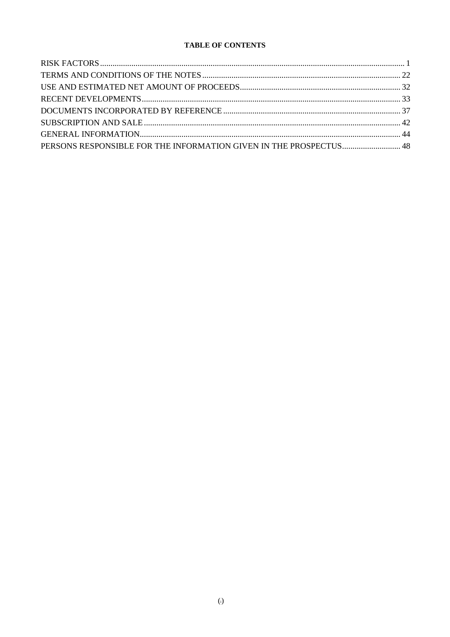# **TABLE OF CONTENTS**

| PERSONS RESPONSIBLE FOR THE INFORMATION GIVEN IN THE PROSPECTUS 48 |  |
|--------------------------------------------------------------------|--|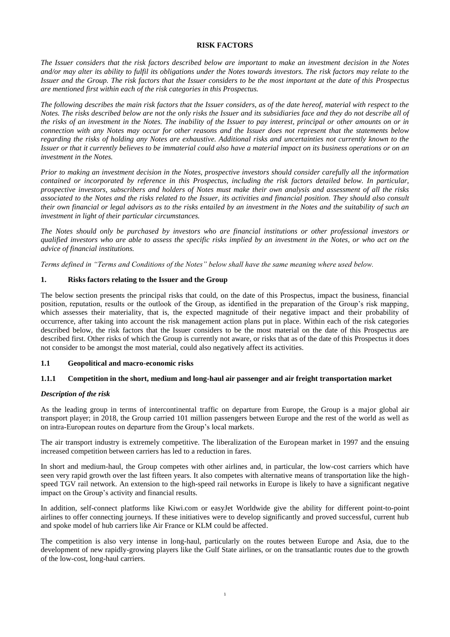# **RISK FACTORS**

<span id="page-4-0"></span>*The Issuer considers that the risk factors described below are important to make an investment decision in the Notes and/or may alter its ability to fulfil its obligations under the Notes towards investors. The risk factors may relate to the Issuer and the Group. The risk factors that the Issuer considers to be the most important at the date of this Prospectus are mentioned first within each of the risk categories in this Prospectus.*

*The following describes the main risk factors that the Issuer considers, as of the date hereof, material with respect to the Notes. The risks described below are not the only risks the Issuer and its subsidiaries face and they do not describe all of the risks of an investment in the Notes. The inability of the Issuer to pay interest, principal or other amounts on or in connection with any Notes may occur for other reasons and the Issuer does not represent that the statements below regarding the risks of holding any Notes are exhaustive. Additional risks and uncertainties not currently known to the Issuer or that it currently believes to be immaterial could also have a material impact on its business operations or on an investment in the Notes.*

*Prior to making an investment decision in the Notes, prospective investors should consider carefully all the information contained or incorporated by reference in this Prospectus, including the risk factors detailed below. In particular, prospective investors, subscribers and holders of Notes must make their own analysis and assessment of all the risks associated to the Notes and the risks related to the Issuer, its activities and financial position. They should also consult their own financial or legal advisors as to the risks entailed by an investment in the Notes and the suitability of such an investment in light of their particular circumstances.*

*The Notes should only be purchased by investors who are financial institutions or other professional investors or qualified investors who are able to assess the specific risks implied by an investment in the Notes, or who act on the advice of financial institutions.*

*Terms defined in "Terms and Conditions of the Notes" below shall have the same meaning where used below.*

# **1. Risks factors relating to the Issuer and the Group**

The below section presents the principal risks that could, on the date of this Prospectus, impact the business, financial position, reputation, results or the outlook of the Group, as identified in the preparation of the Group's risk mapping, which assesses their materiality, that is, the expected magnitude of their negative impact and their probability of occurrence, after taking into account the risk management action plans put in place. Within each of the risk categories described below, the risk factors that the Issuer considers to be the most material on the date of this Prospectus are described first. Other risks of which the Group is currently not aware, or risks that as of the date of this Prospectus it does not consider to be amongst the most material, could also negatively affect its activities.

# **1.1 Geopolitical and macro-economic risks**

# **1.1.1 Competition in the short, medium and long-haul air passenger and air freight transportation market**

# *Description of the risk*

As the leading group in terms of intercontinental traffic on departure from Europe, the Group is a major global air transport player; in 2018, the Group carried 101 million passengers between Europe and the rest of the world as well as on intra-European routes on departure from the Group's local markets.

The air transport industry is extremely competitive. The liberalization of the European market in 1997 and the ensuing increased competition between carriers has led to a reduction in fares.

In short and medium-haul, the Group competes with other airlines and, in particular, the low-cost carriers which have seen very rapid growth over the last fifteen years. It also competes with alternative means of transportation like the highspeed TGV rail network. An extension to the high-speed rail networks in Europe is likely to have a significant negative impact on the Group's activity and financial results.

In addition, self-connect platforms like Kiwi.com or easyJet Worldwide give the ability for different point-to-point airlines to offer connecting journeys. If these initiatives were to develop significantly and proved successful, current hub and spoke model of hub carriers like Air France or KLM could be affected.

The competition is also very intense in long-haul, particularly on the routes between Europe and Asia, due to the development of new rapidly-growing players like the Gulf State airlines, or on the transatlantic routes due to the growth of the low-cost, long-haul carriers.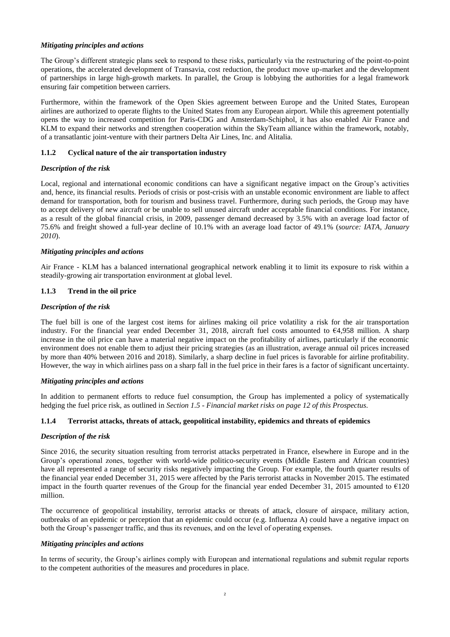# *Mitigating principles and actions*

The Group's different strategic plans seek to respond to these risks, particularly via the restructuring of the point-to-point operations, the accelerated development of Transavia, cost reduction, the product move up-market and the development of partnerships in large high-growth markets. In parallel, the Group is lobbying the authorities for a legal framework ensuring fair competition between carriers.

Furthermore, within the framework of the Open Skies agreement between Europe and the United States, European airlines are authorized to operate flights to the United States from any European airport. While this agreement potentially opens the way to increased competition for Paris-CDG and Amsterdam-Schiphol, it has also enabled Air France and KLM to expand their networks and strengthen cooperation within the SkyTeam alliance within the framework, notably, of a transatlantic joint-venture with their partners Delta Air Lines, Inc. and Alitalia.

# **1.1.2 Cyclical nature of the air transportation industry**

# *Description of the risk*

Local, regional and international economic conditions can have a significant negative impact on the Group's activities and, hence, its financial results. Periods of crisis or post-crisis with an unstable economic environment are liable to affect demand for transportation, both for tourism and business travel. Furthermore, during such periods, the Group may have to accept delivery of new aircraft or be unable to sell unused aircraft under acceptable financial conditions. For instance, as a result of the global financial crisis, in 2009, passenger demand decreased by 3.5% with an average load factor of 75.6% and freight showed a full-year decline of 10.1% with an average load factor of 49.1% (*source: IATA, January 2010*).

# *Mitigating principles and actions*

Air France - KLM has a balanced international geographical network enabling it to limit its exposure to risk within a steadily-growing air transportation environment at global level.

# **1.1.3 Trend in the oil price**

# *Description of the risk*

The fuel bill is one of the largest cost items for airlines making oil price volatility a risk for the air transportation industry. For the financial year ended December 31, 2018, aircraft fuel costs amounted to €4,958 million. A sharp increase in the oil price can have a material negative impact on the profitability of airlines, particularly if the economic environment does not enable them to adjust their pricing strategies (as an illustration, average annual oil prices increased by more than 40% between 2016 and 2018). Similarly, a sharp decline in fuel prices is favorable for airline profitability. However, the way in which airlines pass on a sharp fall in the fuel price in their fares is a factor of significant uncertainty.

# *Mitigating principles and actions*

In addition to permanent efforts to reduce fuel consumption, the Group has implemented a policy of systematically hedging the fuel price risk, as outlined in *Section 1.5 - Financial market risks on page 12 of this Prospectus*.

# **1.1.4 Terrorist attacks, threats of attack, geopolitical instability, epidemics and threats of epidemics**

# *Description of the risk*

Since 2016, the security situation resulting from terrorist attacks perpetrated in France, elsewhere in Europe and in the Group's operational zones, together with world-wide politico-security events (Middle Eastern and African countries) have all represented a range of security risks negatively impacting the Group. For example, the fourth quarter results of the financial year ended December 31, 2015 were affected by the Paris terrorist attacks in November 2015. The estimated impact in the fourth quarter revenues of the Group for the financial year ended December 31, 2015 amounted to  $E$ 120 million.

The occurrence of geopolitical instability, terrorist attacks or threats of attack, closure of airspace, military action, outbreaks of an epidemic or perception that an epidemic could occur (e.g. Influenza A) could have a negative impact on both the Group's passenger traffic, and thus its revenues, and on the level of operating expenses.

# *Mitigating principles and actions*

In terms of security, the Group's airlines comply with European and international regulations and submit regular reports to the competent authorities of the measures and procedures in place.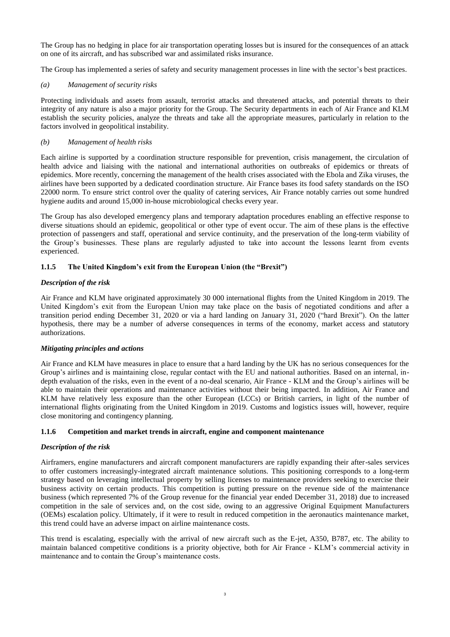The Group has no hedging in place for air transportation operating losses but is insured for the consequences of an attack on one of its aircraft, and has subscribed war and assimilated risks insurance.

The Group has implemented a series of safety and security management processes in line with the sector's best practices.

# *(a) Management of security risks*

Protecting individuals and assets from assault, terrorist attacks and threatened attacks, and potential threats to their integrity of any nature is also a major priority for the Group. The Security departments in each of Air France and KLM establish the security policies, analyze the threats and take all the appropriate measures, particularly in relation to the factors involved in geopolitical instability.

# *(b) Management of health risks*

Each airline is supported by a coordination structure responsible for prevention, crisis management, the circulation of health advice and liaising with the national and international authorities on outbreaks of epidemics or threats of epidemics. More recently, concerning the management of the health crises associated with the Ebola and Zika viruses, the airlines have been supported by a dedicated coordination structure. Air France bases its food safety standards on the ISO 22000 norm. To ensure strict control over the quality of catering services, Air France notably carries out some hundred hygiene audits and around 15,000 in-house microbiological checks every year.

The Group has also developed emergency plans and temporary adaptation procedures enabling an effective response to diverse situations should an epidemic, geopolitical or other type of event occur. The aim of these plans is the effective protection of passengers and staff, operational and service continuity, and the preservation of the long-term viability of the Group's businesses. These plans are regularly adjusted to take into account the lessons learnt from events experienced.

# **1.1.5 The United Kingdom's exit from the European Union (the "Brexit")**

# *Description of the risk*

Air France and KLM have originated approximately 30 000 international flights from the United Kingdom in 2019. The United Kingdom's exit from the European Union may take place on the basis of negotiated conditions and after a transition period ending December 31, 2020 or via a hard landing on January 31, 2020 ("hard Brexit"). On the latter hypothesis, there may be a number of adverse consequences in terms of the economy, market access and statutory authorizations.

# *Mitigating principles and actions*

Air France and KLM have measures in place to ensure that a hard landing by the UK has no serious consequences for the Group's airlines and is maintaining close, regular contact with the EU and national authorities. Based on an internal, indepth evaluation of the risks, even in the event of a no-deal scenario, Air France - KLM and the Group's airlines will be able to maintain their operations and maintenance activities without their being impacted. In addition, Air France and KLM have relatively less exposure than the other European (LCCs) or British carriers, in light of the number of international flights originating from the United Kingdom in 2019. Customs and logistics issues will, however, require close monitoring and contingency planning.

# **1.1.6 Competition and market trends in aircraft, engine and component maintenance**

# *Description of the risk*

Airframers, engine manufacturers and aircraft component manufacturers are rapidly expanding their after-sales services to offer customers increasingly-integrated aircraft maintenance solutions. This positioning corresponds to a long-term strategy based on leveraging intellectual property by selling licenses to maintenance providers seeking to exercise their business activity on certain products. This competition is putting pressure on the revenue side of the maintenance business (which represented 7% of the Group revenue for the financial year ended December 31, 2018) due to increased competition in the sale of services and, on the cost side, owing to an aggressive Original Equipment Manufacturers (OEMs) escalation policy. Ultimately, if it were to result in reduced competition in the aeronautics maintenance market, this trend could have an adverse impact on airline maintenance costs.

This trend is escalating, especially with the arrival of new aircraft such as the E-jet, A350, B787, etc. The ability to maintain balanced competitive conditions is a priority objective, both for Air France - KLM's commercial activity in maintenance and to contain the Group's maintenance costs.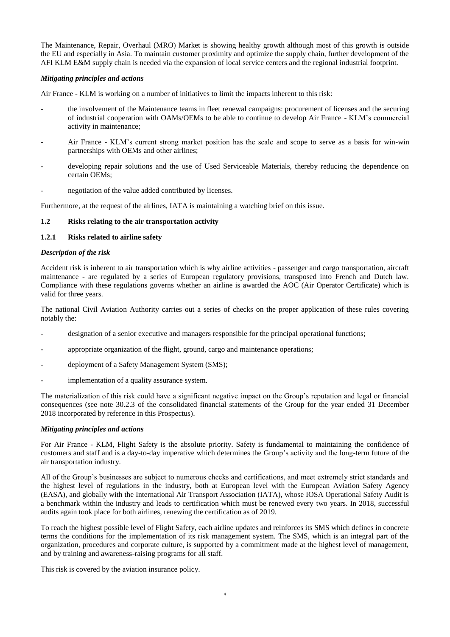The Maintenance, Repair, Overhaul (MRO) Market is showing healthy growth although most of this growth is outside the EU and especially in Asia. To maintain customer proximity and optimize the supply chain, further development of the AFI KLM E&M supply chain is needed via the expansion of local service centers and the regional industrial footprint.

#### *Mitigating principles and actions*

Air France - KLM is working on a number of initiatives to limit the impacts inherent to this risk:

- the involvement of the Maintenance teams in fleet renewal campaigns: procurement of licenses and the securing of industrial cooperation with OAMs/OEMs to be able to continue to develop Air France - KLM's commercial activity in maintenance;
- Air France KLM's current strong market position has the scale and scope to serve as a basis for win-win partnerships with OEMs and other airlines;
- developing repair solutions and the use of Used Serviceable Materials, thereby reducing the dependence on certain OEMs;
- negotiation of the value added contributed by licenses.

Furthermore, at the request of the airlines, IATA is maintaining a watching brief on this issue.

#### **1.2 Risks relating to the air transportation activity**

#### **1.2.1 Risks related to airline safety**

#### *Description of the risk*

Accident risk is inherent to air transportation which is why airline activities - passenger and cargo transportation, aircraft maintenance - are regulated by a series of European regulatory provisions, transposed into French and Dutch law. Compliance with these regulations governs whether an airline is awarded the AOC (Air Operator Certificate) which is valid for three years.

The national Civil Aviation Authority carries out a series of checks on the proper application of these rules covering notably the:

- designation of a senior executive and managers responsible for the principal operational functions;
- appropriate organization of the flight, ground, cargo and maintenance operations;
- deployment of a Safety Management System (SMS);
- implementation of a quality assurance system.

The materialization of this risk could have a significant negative impact on the Group's reputation and legal or financial consequences (see note 30.2.3 of the consolidated financial statements of the Group for the year ended 31 December 2018 incorporated by reference in this Prospectus).

#### *Mitigating principles and actions*

For Air France - KLM, Flight Safety is the absolute priority. Safety is fundamental to maintaining the confidence of customers and staff and is a day-to-day imperative which determines the Group's activity and the long-term future of the air transportation industry.

All of the Group's businesses are subject to numerous checks and certifications, and meet extremely strict standards and the highest level of regulations in the industry, both at European level with the European Aviation Safety Agency (EASA), and globally with the International Air Transport Association (IATA), whose IOSA Operational Safety Audit is a benchmark within the industry and leads to certification which must be renewed every two years. In 2018, successful audits again took place for both airlines, renewing the certification as of 2019.

To reach the highest possible level of Flight Safety, each airline updates and reinforces its SMS which defines in concrete terms the conditions for the implementation of its risk management system. The SMS, which is an integral part of the organization, procedures and corporate culture, is supported by a commitment made at the highest level of management, and by training and awareness-raising programs for all staff.

This risk is covered by the aviation insurance policy.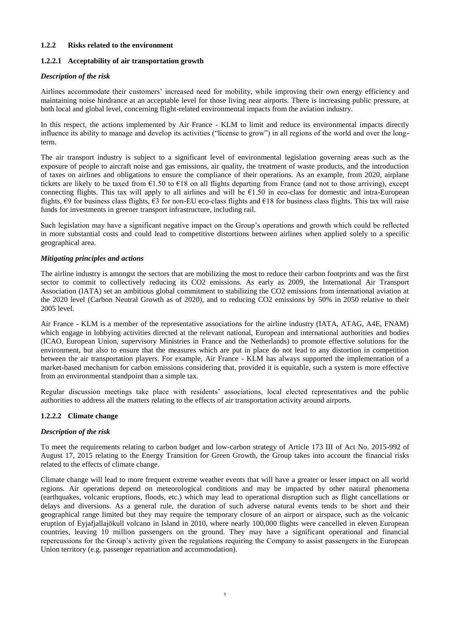# **1.2.2 Risks related to the environment**

# **1.2.2.1 Acceptability of air transportation growth**

# *Description of the risk*

Airlines accommodate their customers' increased need for mobility, while improving their own energy efficiency and maintaining noise hindrance at an acceptable level for those living near airports. There is increasing public pressure, at both local and global level, concerning flight-related environmental impacts from the aviation industry.

In this respect, the actions implemented by Air France - KLM to limit and reduce its environmental impacts directly influence its ability to manage and develop its activities ("license to grow") in all regions of the world and over the longterm.

The air transport industry is subject to a significant level of environmental legislation governing areas such as the exposure of people to aircraft noise and gas emissions, air quality, the treatment of waste products, and the introduction of taxes on airlines and obligations to ensure the compliance of their operations. As an example, from 2020, airplane tickets are likely to be taxed from  $\epsilon$ 1.50 to  $\epsilon$ 18 on all flights departing from France (and not to those arriving), except connecting flights. This tax will apply to all airlines and will be  $61.50$  in eco-class for domestic and intra-European flights, €9 for business class flights, €3 for non-EU eco-class flights and €18 for business class flights. This tax will raise funds for investments in greener transport infrastructure, including rail.

Such legislation may have a significant negative impact on the Group's operations and growth which could be reflected in more substantial costs and could lead to competitive distortions between airlines when applied solely to a specific geographical area.

# *Mitigating principles and actions*

The airline industry is amongst the sectors that are mobilizing the most to reduce their carbon footprints and was the first sector to commit to collectively reducing its CO2 emissions. As early as 2009, the International Air Transport Association (IATA) set an ambitious global commitment to stabilizing the CO2 emissions from international aviation at the 2020 level (Carbon Neutral Growth as of 2020), and to reducing CO2 emissions by 50% in 2050 relative to their 2005 level.

Air France - KLM is a member of the representative associations for the airline industry (IATA, ATAG, A4E, FNAM) which engage in lobbying activities directed at the relevant national, European and international authorities and bodies (ICAO, European Union, supervisory Ministries in France and the Netherlands) to promote effective solutions for the environment, but also to ensure that the measures which are put in place do not lead to any distortion in competition between the air transportation players. For example, Air France - KLM has always supported the implementation of a market-based mechanism for carbon emissions considering that, provided it is equitable, such a system is more effective from an environmental standpoint than a simple tax.

Regular discussion meetings take place with residents' associations, local elected representatives and the public authorities to address all the matters relating to the effects of air transportation activity around airports.

# **1.2.2.2 Climate change**

# *Description of the risk*

To meet the requirements relating to carbon budget and low-carbon strategy of Article 173 III of Act No. 2015-992 of August 17, 2015 relating to the Energy Transition for Green Growth, the Group takes into account the financial risks related to the effects of climate change.

Climate change will lead to more frequent extreme weather events that will have a greater or lesser impact on all world regions. Air operations depend on meteorological conditions and may be impacted by other natural phenomena (earthquakes, volcanic eruptions, floods, etc.) which may lead to operational disruption such as flight cancellations or delays and diversions. As a general rule, the duration of such adverse natural events tends to be short and their geographical range limited but they may require the temporary closure of an airport or airspace, such as the volcanic eruption of Eyjafjallajökull volcano in Island in 2010, where nearly 100,000 flights were cancelled in eleven European countries, leaving 10 million passengers on the ground. They may have a significant operational and financial repercussions for the Group's activity given the regulations requiring the Company to assist passengers in the European Union territory (e.g. passenger repatriation and accommodation).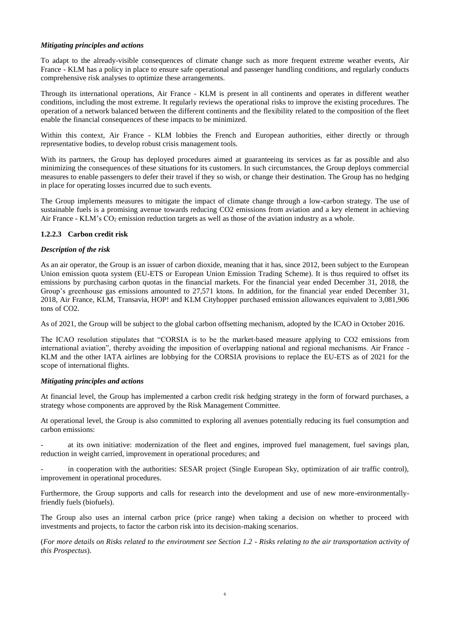# *Mitigating principles and actions*

To adapt to the already-visible consequences of climate change such as more frequent extreme weather events, Air France - KLM has a policy in place to ensure safe operational and passenger handling conditions, and regularly conducts comprehensive risk analyses to optimize these arrangements.

Through its international operations, Air France - KLM is present in all continents and operates in different weather conditions, including the most extreme. It regularly reviews the operational risks to improve the existing procedures. The operation of a network balanced between the different continents and the flexibility related to the composition of the fleet enable the financial consequences of these impacts to be minimized.

Within this context, Air France - KLM lobbies the French and European authorities, either directly or through representative bodies, to develop robust crisis management tools.

With its partners, the Group has deployed procedures aimed at guaranteeing its services as far as possible and also minimizing the consequences of these situations for its customers. In such circumstances, the Group deploys commercial measures to enable passengers to defer their travel if they so wish, or change their destination. The Group has no hedging in place for operating losses incurred due to such events.

The Group implements measures to mitigate the impact of climate change through a low-carbon strategy. The use of sustainable fuels is a promising avenue towards reducing CO2 emissions from aviation and a key element in achieving Air France - KLM's  $CO<sub>2</sub>$  emission reduction targets as well as those of the aviation industry as a whole.

# **1.2.2.3 Carbon credit risk**

# *Description of the risk*

As an air operator, the Group is an issuer of carbon dioxide, meaning that it has, since 2012, been subject to the European Union emission quota system (EU-ETS or European Union Emission Trading Scheme). It is thus required to offset its emissions by purchasing carbon quotas in the financial markets. For the financial year ended December 31, 2018, the Group's greenhouse gas emissions amounted to 27,571 ktons. In addition, for the financial year ended December 31, 2018, Air France, KLM, Transavia, HOP! and KLM Cityhopper purchased emission allowances equivalent to 3,081,906 tons of CO2.

As of 2021, the Group will be subject to the global carbon offsetting mechanism, adopted by the ICAO in October 2016.

The ICAO resolution stipulates that "CORSIA is to be the market-based measure applying to CO2 emissions from international aviation", thereby avoiding the imposition of overlapping national and regional mechanisms. Air France - KLM and the other IATA airlines are lobbying for the CORSIA provisions to replace the EU-ETS as of 2021 for the scope of international flights.

# *Mitigating principles and actions*

At financial level, the Group has implemented a carbon credit risk hedging strategy in the form of forward purchases, a strategy whose components are approved by the Risk Management Committee.

At operational level, the Group is also committed to exploring all avenues potentially reducing its fuel consumption and carbon emissions:

at its own initiative: modernization of the fleet and engines, improved fuel management, fuel savings plan, reduction in weight carried, improvement in operational procedures; and

in cooperation with the authorities: SESAR project (Single European Sky, optimization of air traffic control), improvement in operational procedures.

Furthermore, the Group supports and calls for research into the development and use of new more-environmentallyfriendly fuels (biofuels).

The Group also uses an internal carbon price (price range) when taking a decision on whether to proceed with investments and projects, to factor the carbon risk into its decision-making scenarios.

(*For more details on Risks related to the environment see Section 1.2 - Risks relating to the air transportation activity of this Prospectus*).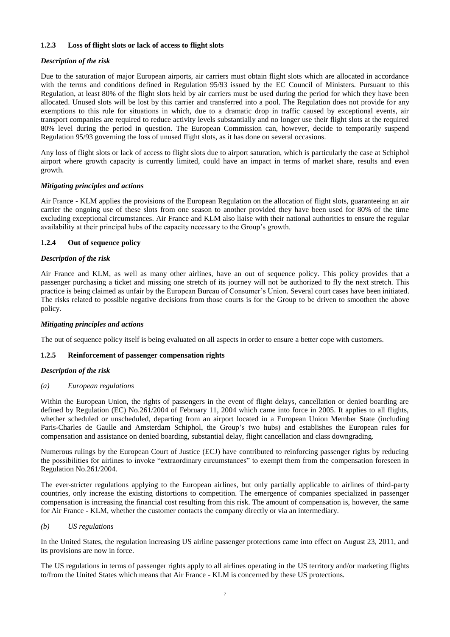# **1.2.3 Loss of flight slots or lack of access to flight slots**

# *Description of the risk*

Due to the saturation of major European airports, air carriers must obtain flight slots which are allocated in accordance with the terms and conditions defined in Regulation 95/93 issued by the EC Council of Ministers. Pursuant to this Regulation, at least 80% of the flight slots held by air carriers must be used during the period for which they have been allocated. Unused slots will be lost by this carrier and transferred into a pool. The Regulation does not provide for any exemptions to this rule for situations in which, due to a dramatic drop in traffic caused by exceptional events, air transport companies are required to reduce activity levels substantially and no longer use their flight slots at the required 80% level during the period in question. The European Commission can, however, decide to temporarily suspend Regulation 95/93 governing the loss of unused flight slots, as it has done on several occasions.

Any loss of flight slots or lack of access to flight slots due to airport saturation, which is particularly the case at Schiphol airport where growth capacity is currently limited, could have an impact in terms of market share, results and even growth.

# *Mitigating principles and actions*

Air France - KLM applies the provisions of the European Regulation on the allocation of flight slots, guaranteeing an air carrier the ongoing use of these slots from one season to another provided they have been used for 80% of the time excluding exceptional circumstances. Air France and KLM also liaise with their national authorities to ensure the regular availability at their principal hubs of the capacity necessary to the Group's growth.

#### **1.2.4 Out of sequence policy**

# *Description of the risk*

Air France and KLM, as well as many other airlines, have an out of sequence policy. This policy provides that a passenger purchasing a ticket and missing one stretch of its journey will not be authorized to fly the next stretch. This practice is being claimed as unfair by the European Bureau of Consumer's Union. Several court cases have been initiated. The risks related to possible negative decisions from those courts is for the Group to be driven to smoothen the above policy.

# *Mitigating principles and actions*

The out of sequence policy itself is being evaluated on all aspects in order to ensure a better cope with customers.

# **1.2.5 Reinforcement of passenger compensation rights**

#### *Description of the risk*

# *(a) European regulations*

Within the European Union, the rights of passengers in the event of flight delays, cancellation or denied boarding are defined by Regulation (EC) No.261/2004 of February 11, 2004 which came into force in 2005. It applies to all flights, whether scheduled or unscheduled, departing from an airport located in a European Union Member State (including Paris-Charles de Gaulle and Amsterdam Schiphol, the Group's two hubs) and establishes the European rules for compensation and assistance on denied boarding, substantial delay, flight cancellation and class downgrading.

Numerous rulings by the European Court of Justice (ECJ) have contributed to reinforcing passenger rights by reducing the possibilities for airlines to invoke "extraordinary circumstances" to exempt them from the compensation foreseen in Regulation No.261/2004.

The ever-stricter regulations applying to the European airlines, but only partially applicable to airlines of third-party countries, only increase the existing distortions to competition. The emergence of companies specialized in passenger compensation is increasing the financial cost resulting from this risk. The amount of compensation is, however, the same for Air France - KLM, whether the customer contacts the company directly or via an intermediary.

# *(b) US regulations*

In the United States, the regulation increasing US airline passenger protections came into effect on August 23, 2011, and its provisions are now in force.

The US regulations in terms of passenger rights apply to all airlines operating in the US territory and/or marketing flights to/from the United States which means that Air France - KLM is concerned by these US protections.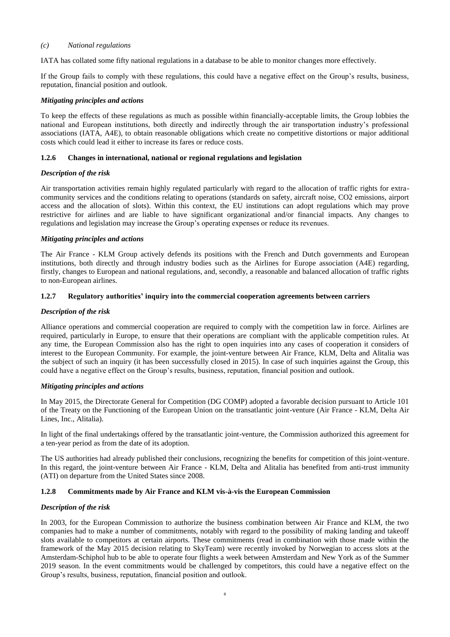#### *(c) National regulations*

IATA has collated some fifty national regulations in a database to be able to monitor changes more effectively.

If the Group fails to comply with these regulations, this could have a negative effect on the Group's results, business, reputation, financial position and outlook.

#### *Mitigating principles and actions*

To keep the effects of these regulations as much as possible within financially-acceptable limits, the Group lobbies the national and European institutions, both directly and indirectly through the air transportation industry's professional associations (IATA, A4E), to obtain reasonable obligations which create no competitive distortions or major additional costs which could lead it either to increase its fares or reduce costs.

#### **1.2.6 Changes in international, national or regional regulations and legislation**

#### *Description of the risk*

Air transportation activities remain highly regulated particularly with regard to the allocation of traffic rights for extracommunity services and the conditions relating to operations (standards on safety, aircraft noise, CO2 emissions, airport access and the allocation of slots). Within this context, the EU institutions can adopt regulations which may prove restrictive for airlines and are liable to have significant organizational and/or financial impacts. Any changes to regulations and legislation may increase the Group's operating expenses or reduce its revenues.

#### *Mitigating principles and actions*

The Air France - KLM Group actively defends its positions with the French and Dutch governments and European institutions, both directly and through industry bodies such as the Airlines for Europe association (A4E) regarding, firstly, changes to European and national regulations, and, secondly, a reasonable and balanced allocation of traffic rights to non-European airlines.

#### **1.2.7 Regulatory authorities' inquiry into the commercial cooperation agreements between carriers**

#### *Description of the risk*

Alliance operations and commercial cooperation are required to comply with the competition law in force. Airlines are required, particularly in Europe, to ensure that their operations are compliant with the applicable competition rules. At any time, the European Commission also has the right to open inquiries into any cases of cooperation it considers of interest to the European Community. For example, the joint-venture between Air France, KLM, Delta and Alitalia was the subject of such an inquiry (it has been successfully closed in 2015). In case of such inquiries against the Group, this could have a negative effect on the Group's results, business, reputation, financial position and outlook.

#### *Mitigating principles and actions*

In May 2015, the Directorate General for Competition (DG COMP) adopted a favorable decision pursuant to Article 101 of the Treaty on the Functioning of the European Union on the transatlantic joint-venture (Air France - KLM, Delta Air Lines, Inc., Alitalia).

In light of the final undertakings offered by the transatlantic joint-venture, the Commission authorized this agreement for a ten-year period as from the date of its adoption.

The US authorities had already published their conclusions, recognizing the benefits for competition of this joint-venture. In this regard, the joint-venture between Air France - KLM, Delta and Alitalia has benefited from anti-trust immunity (ATI) on departure from the United States since 2008.

# **1.2.8 Commitments made by Air France and KLM vis-à-vis the European Commission**

#### *Description of the risk*

In 2003, for the European Commission to authorize the business combination between Air France and KLM, the two companies had to make a number of commitments, notably with regard to the possibility of making landing and takeoff slots available to competitors at certain airports. These commitments (read in combination with those made within the framework of the May 2015 decision relating to SkyTeam) were recently invoked by Norwegian to access slots at the Amsterdam-Schiphol hub to be able to operate four flights a week between Amsterdam and New York as of the Summer 2019 season. In the event commitments would be challenged by competitors, this could have a negative effect on the Group's results, business, reputation, financial position and outlook.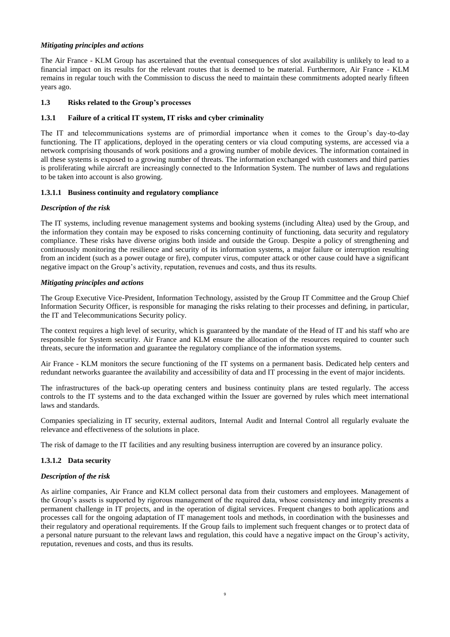# *Mitigating principles and actions*

The Air France - KLM Group has ascertained that the eventual consequences of slot availability is unlikely to lead to a financial impact on its results for the relevant routes that is deemed to be material. Furthermore, Air France - KLM remains in regular touch with the Commission to discuss the need to maintain these commitments adopted nearly fifteen years ago.

# **1.3 Risks related to the Group's processes**

#### **1.3.1 Failure of a critical IT system, IT risks and cyber criminality**

The IT and telecommunications systems are of primordial importance when it comes to the Group's day-to-day functioning. The IT applications, deployed in the operating centers or via cloud computing systems, are accessed via a network comprising thousands of work positions and a growing number of mobile devices. The information contained in all these systems is exposed to a growing number of threats. The information exchanged with customers and third parties is proliferating while aircraft are increasingly connected to the Information System. The number of laws and regulations to be taken into account is also growing.

#### **1.3.1.1 Business continuity and regulatory compliance**

#### *Description of the risk*

The IT systems, including revenue management systems and booking systems (including Altea) used by the Group, and the information they contain may be exposed to risks concerning continuity of functioning, data security and regulatory compliance. These risks have diverse origins both inside and outside the Group. Despite a policy of strengthening and continuously monitoring the resilience and security of its information systems, a major failure or interruption resulting from an incident (such as a power outage or fire), computer virus, computer attack or other cause could have a significant negative impact on the Group's activity, reputation, revenues and costs, and thus its results.

#### *Mitigating principles and actions*

The Group Executive Vice-President, Information Technology, assisted by the Group IT Committee and the Group Chief Information Security Officer, is responsible for managing the risks relating to their processes and defining, in particular, the IT and Telecommunications Security policy.

The context requires a high level of security, which is guaranteed by the mandate of the Head of IT and his staff who are responsible for System security. Air France and KLM ensure the allocation of the resources required to counter such threats, secure the information and guarantee the regulatory compliance of the information systems.

Air France - KLM monitors the secure functioning of the IT systems on a permanent basis. Dedicated help centers and redundant networks guarantee the availability and accessibility of data and IT processing in the event of major incidents.

The infrastructures of the back-up operating centers and business continuity plans are tested regularly. The access controls to the IT systems and to the data exchanged within the Issuer are governed by rules which meet international laws and standards.

Companies specializing in IT security, external auditors, Internal Audit and Internal Control all regularly evaluate the relevance and effectiveness of the solutions in place.

The risk of damage to the IT facilities and any resulting business interruption are covered by an insurance policy.

# **1.3.1.2 Data security**

#### *Description of the risk*

As airline companies, Air France and KLM collect personal data from their customers and employees. Management of the Group's assets is supported by rigorous management of the required data, whose consistency and integrity presents a permanent challenge in IT projects, and in the operation of digital services. Frequent changes to both applications and processes call for the ongoing adaptation of IT management tools and methods, in coordination with the businesses and their regulatory and operational requirements. If the Group fails to implement such frequent changes or to protect data of a personal nature pursuant to the relevant laws and regulation, this could have a negative impact on the Group's activity, reputation, revenues and costs, and thus its results.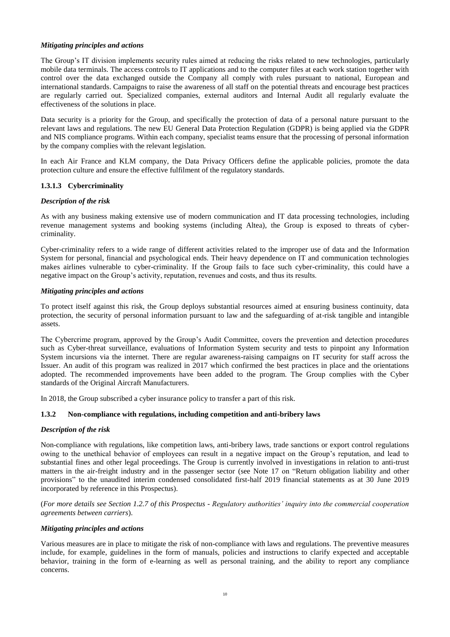# *Mitigating principles and actions*

The Group's IT division implements security rules aimed at reducing the risks related to new technologies, particularly mobile data terminals. The access controls to IT applications and to the computer files at each work station together with control over the data exchanged outside the Company all comply with rules pursuant to national, European and international standards. Campaigns to raise the awareness of all staff on the potential threats and encourage best practices are regularly carried out. Specialized companies, external auditors and Internal Audit all regularly evaluate the effectiveness of the solutions in place.

Data security is a priority for the Group, and specifically the protection of data of a personal nature pursuant to the relevant laws and regulations. The new EU General Data Protection Regulation (GDPR) is being applied via the GDPR and NIS compliance programs. Within each company, specialist teams ensure that the processing of personal information by the company complies with the relevant legislation.

In each Air France and KLM company, the Data Privacy Officers define the applicable policies, promote the data protection culture and ensure the effective fulfilment of the regulatory standards.

# **1.3.1.3 Cybercriminality**

# *Description of the risk*

As with any business making extensive use of modern communication and IT data processing technologies, including revenue management systems and booking systems (including Altea), the Group is exposed to threats of cybercriminality.

Cyber-criminality refers to a wide range of different activities related to the improper use of data and the Information System for personal, financial and psychological ends. Their heavy dependence on IT and communication technologies makes airlines vulnerable to cyber-criminality. If the Group fails to face such cyber-criminality, this could have a negative impact on the Group's activity, reputation, revenues and costs, and thus its results.

# *Mitigating principles and actions*

To protect itself against this risk, the Group deploys substantial resources aimed at ensuring business continuity, data protection, the security of personal information pursuant to law and the safeguarding of at-risk tangible and intangible assets.

The Cybercrime program, approved by the Group's Audit Committee, covers the prevention and detection procedures such as Cyber-threat surveillance, evaluations of Information System security and tests to pinpoint any Information System incursions via the internet. There are regular awareness-raising campaigns on IT security for staff across the Issuer. An audit of this program was realized in 2017 which confirmed the best practices in place and the orientations adopted. The recommended improvements have been added to the program. The Group complies with the Cyber standards of the Original Aircraft Manufacturers.

In 2018, the Group subscribed a cyber insurance policy to transfer a part of this risk.

# **1.3.2 Non-compliance with regulations, including competition and anti-bribery laws**

# *Description of the risk*

Non-compliance with regulations, like competition laws, anti-bribery laws, trade sanctions or export control regulations owing to the unethical behavior of employees can result in a negative impact on the Group's reputation, and lead to substantial fines and other legal proceedings. The Group is currently involved in investigations in relation to anti-trust matters in the air-freight industry and in the passenger sector (see Note 17 on "Return obligation liability and other provisions" to the unaudited interim condensed consolidated first-half 2019 financial statements as at 30 June 2019 incorporated by reference in this Prospectus).

(*For more details see Section 1.2.7 of this Prospectus - Regulatory authorities' inquiry into the commercial cooperation agreements between carriers*).

# *Mitigating principles and actions*

Various measures are in place to mitigate the risk of non-compliance with laws and regulations. The preventive measures include, for example, guidelines in the form of manuals, policies and instructions to clarify expected and acceptable behavior, training in the form of e-learning as well as personal training, and the ability to report any compliance concerns.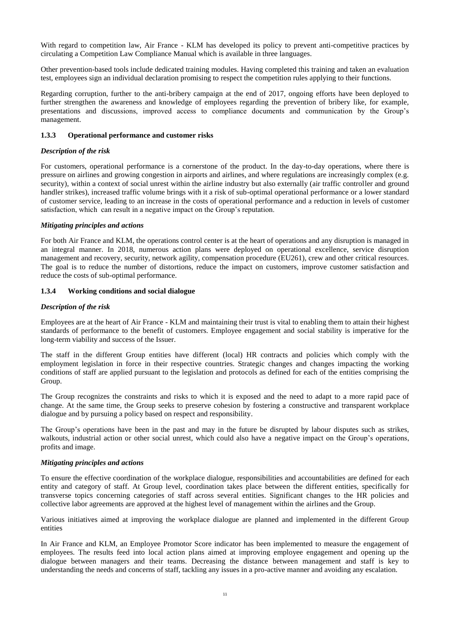With regard to competition law, Air France - KLM has developed its policy to prevent anti-competitive practices by circulating a Competition Law Compliance Manual which is available in three languages.

Other prevention-based tools include dedicated training modules. Having completed this training and taken an evaluation test, employees sign an individual declaration promising to respect the competition rules applying to their functions.

Regarding corruption, further to the anti-bribery campaign at the end of 2017, ongoing efforts have been deployed to further strengthen the awareness and knowledge of employees regarding the prevention of bribery like, for example, presentations and discussions, improved access to compliance documents and communication by the Group's management.

#### **1.3.3 Operational performance and customer risks**

# *Description of the risk*

For customers, operational performance is a cornerstone of the product. In the day-to-day operations, where there is pressure on airlines and growing congestion in airports and airlines, and where regulations are increasingly complex (e.g. security), within a context of social unrest within the airline industry but also externally (air traffic controller and ground handler strikes), increased traffic volume brings with it a risk of sub-optimal operational performance or a lower standard of customer service, leading to an increase in the costs of operational performance and a reduction in levels of customer satisfaction, which can result in a negative impact on the Group's reputation.

# *Mitigating principles and actions*

For both Air France and KLM, the operations control center is at the heart of operations and any disruption is managed in an integral manner. In 2018, numerous action plans were deployed on operational excellence, service disruption management and recovery, security, network agility, compensation procedure (EU261), crew and other critical resources. The goal is to reduce the number of distortions, reduce the impact on customers, improve customer satisfaction and reduce the costs of sub-optimal performance.

# **1.3.4 Working conditions and social dialogue**

# *Description of the risk*

Employees are at the heart of Air France - KLM and maintaining their trust is vital to enabling them to attain their highest standards of performance to the benefit of customers. Employee engagement and social stability is imperative for the long-term viability and success of the Issuer.

The staff in the different Group entities have different (local) HR contracts and policies which comply with the employment legislation in force in their respective countries. Strategic changes and changes impacting the working conditions of staff are applied pursuant to the legislation and protocols as defined for each of the entities comprising the Group.

The Group recognizes the constraints and risks to which it is exposed and the need to adapt to a more rapid pace of change. At the same time, the Group seeks to preserve cohesion by fostering a constructive and transparent workplace dialogue and by pursuing a policy based on respect and responsibility.

The Group's operations have been in the past and may in the future be disrupted by labour disputes such as strikes, walkouts, industrial action or other social unrest, which could also have a negative impact on the Group's operations, profits and image.

#### *Mitigating principles and actions*

To ensure the effective coordination of the workplace dialogue, responsibilities and accountabilities are defined for each entity and category of staff. At Group level, coordination takes place between the different entities, specifically for transverse topics concerning categories of staff across several entities. Significant changes to the HR policies and collective labor agreements are approved at the highest level of management within the airlines and the Group.

Various initiatives aimed at improving the workplace dialogue are planned and implemented in the different Group entities

In Air France and KLM, an Employee Promotor Score indicator has been implemented to measure the engagement of employees. The results feed into local action plans aimed at improving employee engagement and opening up the dialogue between managers and their teams. Decreasing the distance between management and staff is key to understanding the needs and concerns of staff, tackling any issues in a pro-active manner and avoiding any escalation.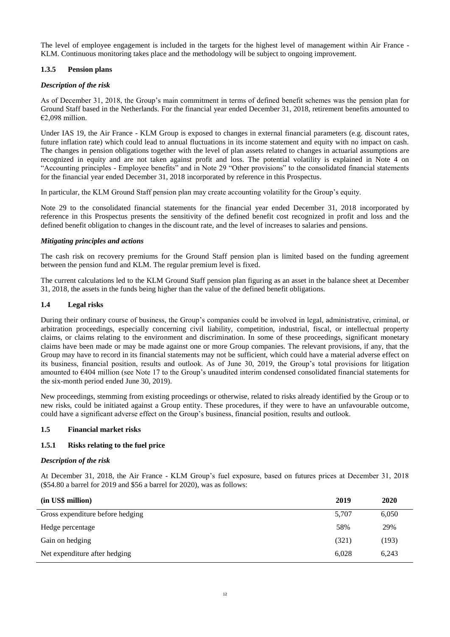The level of employee engagement is included in the targets for the highest level of management within Air France - KLM. Continuous monitoring takes place and the methodology will be subject to ongoing improvement.

# **1.3.5 Pension plans**

# *Description of the risk*

As of December 31, 2018, the Group's main commitment in terms of defined benefit schemes was the pension plan for Ground Staff based in the Netherlands. For the financial year ended December 31, 2018, retirement benefits amounted to €2,098 million.

Under IAS 19, the Air France - KLM Group is exposed to changes in external financial parameters (e.g. discount rates, future inflation rate) which could lead to annual fluctuations in its income statement and equity with no impact on cash. The changes in pension obligations together with the level of plan assets related to changes in actuarial assumptions are recognized in equity and are not taken against profit and loss. The potential volatility is explained in Note 4 on "Accounting principles - Employee benefits" and in Note 29 "Other provisions" to the consolidated financial statements for the financial year ended December 31, 2018 incorporated by reference in this Prospectus.

In particular, the KLM Ground Staff pension plan may create accounting volatility for the Group's equity.

Note 29 to the consolidated financial statements for the financial year ended December 31, 2018 incorporated by reference in this Prospectus presents the sensitivity of the defined benefit cost recognized in profit and loss and the defined benefit obligation to changes in the discount rate, and the level of increases to salaries and pensions.

# *Mitigating principles and actions*

The cash risk on recovery premiums for the Ground Staff pension plan is limited based on the funding agreement between the pension fund and KLM. The regular premium level is fixed.

The current calculations led to the KLM Ground Staff pension plan figuring as an asset in the balance sheet at December 31, 2018, the assets in the funds being higher than the value of the defined benefit obligations.

# **1.4 Legal risks**

During their ordinary course of business, the Group's companies could be involved in legal, administrative, criminal, or arbitration proceedings, especially concerning civil liability, competition, industrial, fiscal, or intellectual property claims, or claims relating to the environment and discrimination. In some of these proceedings, significant monetary claims have been made or may be made against one or more Group companies. The relevant provisions, if any, that the Group may have to record in its financial statements may not be sufficient, which could have a material adverse effect on its business, financial position, results and outlook. As of June 30, 2019, the Group's total provisions for litigation amounted to €404 million (see Note 17 to the Group's unaudited interim condensed consolidated financial statements for the six-month period ended June 30, 2019).

New proceedings, stemming from existing proceedings or otherwise, related to risks already identified by the Group or to new risks, could be initiated against a Group entity. These procedures, if they were to have an unfavourable outcome, could have a significant adverse effect on the Group's business, financial position, results and outlook.

# **1.5 Financial market risks**

# **1.5.1 Risks relating to the fuel price**

# *Description of the risk*

At December 31, 2018, the Air France - KLM Group's fuel exposure, based on futures prices at December 31, 2018 (\$54.80 a barrel for 2019 and \$56 a barrel for 2020), was as follows:

| (in US\$ million)                | 2019  | 2020  |
|----------------------------------|-------|-------|
| Gross expenditure before hedging | 5,707 | 6,050 |
| Hedge percentage                 | 58%   | 29%   |
| Gain on hedging                  | (321) | (193) |
| Net expenditure after hedging    | 6.028 | 6.243 |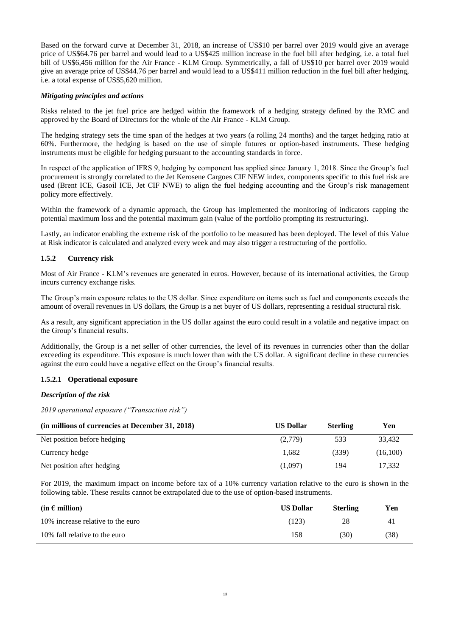Based on the forward curve at December 31, 2018, an increase of US\$10 per barrel over 2019 would give an average price of US\$64.76 per barrel and would lead to a US\$425 million increase in the fuel bill after hedging, i.e. a total fuel bill of US\$6,456 million for the Air France - KLM Group. Symmetrically, a fall of US\$10 per barrel over 2019 would give an average price of US\$44.76 per barrel and would lead to a US\$411 million reduction in the fuel bill after hedging, i.e. a total expense of US\$5,620 million.

#### *Mitigating principles and actions*

Risks related to the jet fuel price are hedged within the framework of a hedging strategy defined by the RMC and approved by the Board of Directors for the whole of the Air France - KLM Group.

The hedging strategy sets the time span of the hedges at two years (a rolling 24 months) and the target hedging ratio at 60%. Furthermore, the hedging is based on the use of simple futures or option-based instruments. These hedging instruments must be eligible for hedging pursuant to the accounting standards in force.

In respect of the application of IFRS 9, hedging by component has applied since January 1, 2018. Since the Group's fuel procurement is strongly correlated to the Jet Kerosene Cargoes CIF NEW index, components specific to this fuel risk are used (Brent ICE, Gasoil ICE, Jet CIF NWE) to align the fuel hedging accounting and the Group's risk management policy more effectively.

Within the framework of a dynamic approach, the Group has implemented the monitoring of indicators capping the potential maximum loss and the potential maximum gain (value of the portfolio prompting its restructuring).

Lastly, an indicator enabling the extreme risk of the portfolio to be measured has been deployed. The level of this Value at Risk indicator is calculated and analyzed every week and may also trigger a restructuring of the portfolio.

# **1.5.2 Currency risk**

Most of Air France - KLM's revenues are generated in euros. However, because of its international activities, the Group incurs currency exchange risks.

The Group's main exposure relates to the US dollar. Since expenditure on items such as fuel and components exceeds the amount of overall revenues in US dollars, the Group is a net buyer of US dollars, representing a residual structural risk.

As a result, any significant appreciation in the US dollar against the euro could result in a volatile and negative impact on the Group's financial results.

Additionally, the Group is a net seller of other currencies, the level of its revenues in currencies other than the dollar exceeding its expenditure. This exposure is much lower than with the US dollar. A significant decline in these currencies against the euro could have a negative effect on the Group's financial results.

# **1.5.2.1 Operational exposure**

# *Description of the risk*

*2019 operational exposure ("Transaction risk")*

| (in millions of currencies at December 31, 2018) | <b>US Dollar</b> | <b>Sterling</b> | Yen      |
|--------------------------------------------------|------------------|-----------------|----------|
| Net position before hedging                      | (2,779)          | 533             | 33.432   |
| Currency hedge                                   | 1.682            | (339)           | (16.100) |
| Net position after hedging                       | (1,097)          | 194             | 17.332   |

For 2019, the maximum impact on income before tax of a 10% currency variation relative to the euro is shown in the following table. These results cannot be extrapolated due to the use of option-based instruments.

| $(in \in million)$                | <b>US Dollar</b> | <b>Sterling</b> | Yen  |
|-----------------------------------|------------------|-----------------|------|
| 10% increase relative to the euro | (123)            | 28              | 41   |
| 10% fall relative to the euro     | 158              | 30)             | (38) |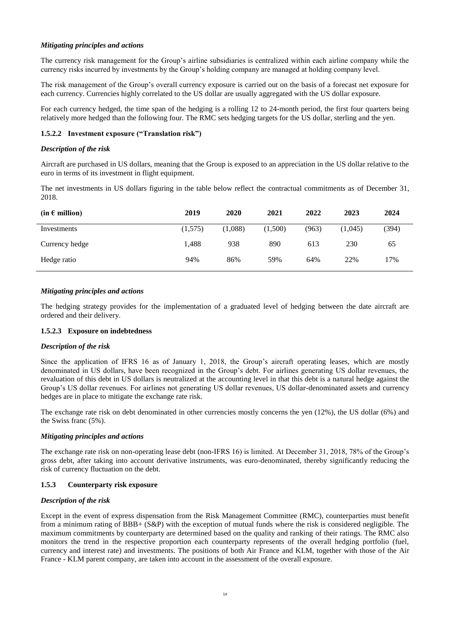# *Mitigating principles and actions*

The currency risk management for the Group's airline subsidiaries is centralized within each airline company while the currency risks incurred by investments by the Group's holding company are managed at holding company level.

The risk management of the Group's overall currency exposure is carried out on the basis of a forecast net exposure for each currency. Currencies highly correlated to the US dollar are usually aggregated with the US dollar exposure.

For each currency hedged, the time span of the hedging is a rolling 12 to 24-month period, the first four quarters being relatively more hedged than the following four. The RMC sets hedging targets for the US dollar, sterling and the yen.

# **1.5.2.2 Investment exposure ("Translation risk")**

# *Description of the risk*

Aircraft are purchased in US dollars, meaning that the Group is exposed to an appreciation in the US dollar relative to the euro in terms of its investment in flight equipment.

The net investments in US dollars figuring in the table below reflect the contractual commitments as of December 31, 2018.

| $(in \in million)$ | 2019    | 2020    | 2021    | 2022  | 2023    | 2024  |
|--------------------|---------|---------|---------|-------|---------|-------|
| Investments        | (1,575) | (1,088) | (1,500) | (963) | (1,045) | (394) |
| Currency hedge     | 1.488   | 938     | 890     | 613   | 230     | 65    |
| Hedge ratio        | 94%     | 86%     | 59%     | 64%   | 22%     | 17%   |

# *Mitigating principles and actions*

The hedging strategy provides for the implementation of a graduated level of hedging between the date aircraft are ordered and their delivery.

# **1.5.2.3 Exposure on indebtedness**

# *Description of the risk*

Since the application of IFRS 16 as of January 1, 2018, the Group's aircraft operating leases, which are mostly denominated in US dollars, have been recognized in the Group's debt. For airlines generating US dollar revenues, the revaluation of this debt in US dollars is neutralized at the accounting level in that this debt is a natural hedge against the Group's US dollar revenues. For airlines not generating US dollar revenues, US dollar-denominated assets and currency hedges are in place to mitigate the exchange rate risk.

The exchange rate risk on debt denominated in other currencies mostly concerns the yen (12%), the US dollar (6%) and the Swiss franc (5%).

# *Mitigating principles and actions*

The exchange rate risk on non-operating lease debt (non-IFRS 16) is limited. At December 31, 2018, 78% of the Group's gross debt, after taking into account derivative instruments, was euro-denominated, thereby significantly reducing the risk of currency fluctuation on the debt.

# **1.5.3 Counterparty risk exposure**

# *Description of the risk*

Except in the event of express dispensation from the Risk Management Committee (RMC), counterparties must benefit from a minimum rating of BBB+ (S&P) with the exception of mutual funds where the risk is considered negligible. The maximum commitments by counterparty are determined based on the quality and ranking of their ratings. The RMC also monitors the trend in the respective proportion each counterparty represents of the overall hedging portfolio (fuel, currency and interest rate) and investments. The positions of both Air France and KLM, together with those of the Air France - KLM parent company, are taken into account in the assessment of the overall exposure.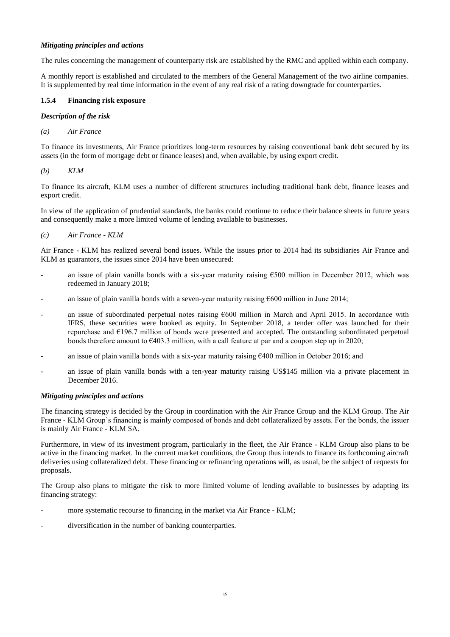# *Mitigating principles and actions*

The rules concerning the management of counterparty risk are established by the RMC and applied within each company.

A monthly report is established and circulated to the members of the General Management of the two airline companies. It is supplemented by real time information in the event of any real risk of a rating downgrade for counterparties.

# **1.5.4 Financing risk exposure**

# *Description of the risk*

*(a) Air France*

To finance its investments, Air France prioritizes long-term resources by raising conventional bank debt secured by its assets (in the form of mortgage debt or finance leases) and, when available, by using export credit.

*(b) KLM*

To finance its aircraft, KLM uses a number of different structures including traditional bank debt, finance leases and export credit.

In view of the application of prudential standards, the banks could continue to reduce their balance sheets in future years and consequently make a more limited volume of lending available to businesses.

*(c) Air France - KLM*

Air France - KLM has realized several bond issues. While the issues prior to 2014 had its subsidiaries Air France and KLM as guarantors, the issues since 2014 have been unsecured:

- an issue of plain vanilla bonds with a six-year maturity raising  $\epsilon$ 500 million in December 2012, which was redeemed in January 2018;
- an issue of plain vanilla bonds with a seven-year maturity raising  $600$  million in June 2014;
- an issue of subordinated perpetual notes raising  $600$  million in March and April 2015. In accordance with IFRS, these securities were booked as equity. In September 2018, a tender offer was launched for their repurchase and €196.7 million of bonds were presented and accepted. The outstanding subordinated perpetual bonds therefore amount to  $\epsilon$ 403.3 million, with a call feature at par and a coupon step up in 2020;
- an issue of plain vanilla bonds with a six-year maturity raising  $\epsilon$ 400 million in October 2016; and
- an issue of plain vanilla bonds with a ten-year maturity raising US\$145 million via a private placement in December 2016.

# *Mitigating principles and actions*

The financing strategy is decided by the Group in coordination with the Air France Group and the KLM Group. The Air France - KLM Group's financing is mainly composed of bonds and debt collateralized by assets. For the bonds, the issuer is mainly Air France - KLM SA.

Furthermore, in view of its investment program, particularly in the fleet, the Air France - KLM Group also plans to be active in the financing market. In the current market conditions, the Group thus intends to finance its forthcoming aircraft deliveries using collateralized debt. These financing or refinancing operations will, as usual, be the subject of requests for proposals.

The Group also plans to mitigate the risk to more limited volume of lending available to businesses by adapting its financing strategy:

- more systematic recourse to financing in the market via Air France KLM;
- diversification in the number of banking counterparties.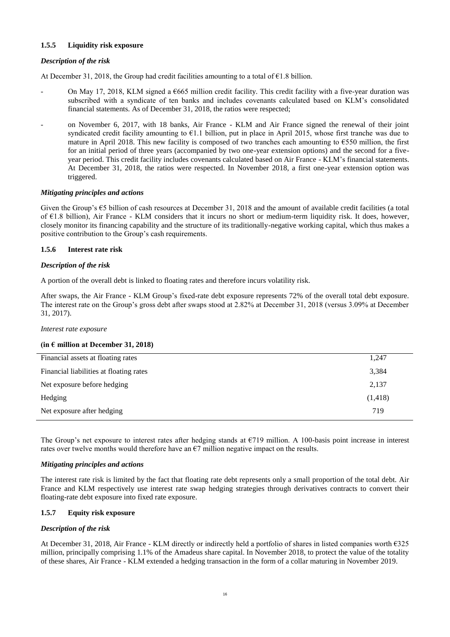# **1.5.5 Liquidity risk exposure**

# *Description of the risk*

At December 31, 2018, the Group had credit facilities amounting to a total of  $\epsilon$ 1.8 billion.

- On May 17, 2018, KLM signed a  $\epsilon$ 665 million credit facility. This credit facility with a five-year duration was subscribed with a syndicate of ten banks and includes covenants calculated based on KLM's consolidated financial statements. As of December 31, 2018, the ratios were respected;
- on November 6, 2017, with 18 banks, Air France KLM and Air France signed the renewal of their joint syndicated credit facility amounting to  $E1.1$  billion, put in place in April 2015, whose first tranche was due to mature in April 2018. This new facility is composed of two tranches each amounting to  $\epsilon$ 550 million, the first for an initial period of three years (accompanied by two one-year extension options) and the second for a fiveyear period. This credit facility includes covenants calculated based on Air France - KLM's financial statements. At December 31, 2018, the ratios were respected. In November 2018, a first one-year extension option was triggered.

#### *Mitigating principles and actions*

Given the Group's  $\epsilon$ 5 billion of cash resources at December 31, 2018 and the amount of available credit facilities (a total of  $E1.8$  billion), Air France - KLM considers that it incurs no short or medium-term liquidity risk. It does, however, closely monitor its financing capability and the structure of its traditionally-negative working capital, which thus makes a positive contribution to the Group's cash requirements.

# **1.5.6 Interest rate risk**

#### *Description of the risk*

A portion of the overall debt is linked to floating rates and therefore incurs volatility risk.

After swaps, the Air France - KLM Group's fixed-rate debt exposure represents 72% of the overall total debt exposure. The interest rate on the Group's gross debt after swaps stood at 2.82% at December 31, 2018 (versus 3.09% at December 31, 2017).

#### *Interest rate exposure*

#### **(in € million at December 31, 2018)**

| 1,247    |
|----------|
| 3,384    |
| 2,137    |
| (1, 418) |
| 719      |
|          |

The Group's net exposure to interest rates after hedging stands at  $\epsilon$ 719 million. A 100-basis point increase in interest rates over twelve months would therefore have an  $\epsilon$ 7 million negative impact on the results.

#### *Mitigating principles and actions*

The interest rate risk is limited by the fact that floating rate debt represents only a small proportion of the total debt. Air France and KLM respectively use interest rate swap hedging strategies through derivatives contracts to convert their floating-rate debt exposure into fixed rate exposure.

# **1.5.7 Equity risk exposure**

# *Description of the risk*

At December 31, 2018, Air France - KLM directly or indirectly held a portfolio of shares in listed companies worth €325 million, principally comprising 1.1% of the Amadeus share capital. In November 2018, to protect the value of the totality of these shares, Air France - KLM extended a hedging transaction in the form of a collar maturing in November 2019.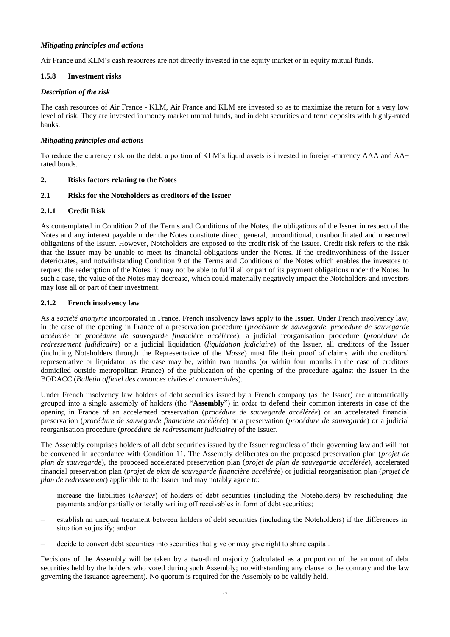# *Mitigating principles and actions*

Air France and KLM's cash resources are not directly invested in the equity market or in equity mutual funds.

# **1.5.8 Investment risks**

# *Description of the risk*

The cash resources of Air France - KLM, Air France and KLM are invested so as to maximize the return for a very low level of risk. They are invested in money market mutual funds, and in debt securities and term deposits with highly-rated banks.

# *Mitigating principles and actions*

To reduce the currency risk on the debt, a portion of KLM's liquid assets is invested in foreign-currency AAA and AA+ rated bonds.

# **2. Risks factors relating to the Notes**

# **2.1 Risks for the Noteholders as creditors of the Issuer**

# **2.1.1 Credit Risk**

As contemplated in Condition 2 of the Terms and Conditions of the Notes, the obligations of the Issuer in respect of the Notes and any interest payable under the Notes constitute direct, general, unconditional, unsubordinated and unsecured obligations of the Issuer. However, Noteholders are exposed to the credit risk of the Issuer. Credit risk refers to the risk that the Issuer may be unable to meet its financial obligations under the Notes. If the creditworthiness of the Issuer deteriorates, and notwithstanding Condition 9 of the Terms and Conditions of the Notes which enables the investors to request the redemption of the Notes, it may not be able to fulfil all or part of its payment obligations under the Notes. In such a case, the value of the Notes may decrease, which could materially negatively impact the Noteholders and investors may lose all or part of their investment.

# **2.1.2 French insolvency law**

As a *société anonyme* incorporated in France, French insolvency laws apply to the Issuer. Under French insolvency law, in the case of the opening in France of a preservation procedure (*procédure de sauvegarde, procédure de sauvegarde accélérée* or *procédure de sauvegarde financière accélérée*), a judicial reorganisation procedure (*procédure de redressement judidicaire*) or a judicial liquidation (*liquidation judiciaire*) of the Issuer, all creditors of the Issuer (including Noteholders through the Representative of the *Masse*) must file their proof of claims with the creditors' representative or liquidator, as the case may be, within two months (or within four months in the case of creditors domiciled outside metropolitan France) of the publication of the opening of the procedure against the Issuer in the BODACC (*Bulletin officiel des annonces civiles et commerciales*).

Under French insolvency law holders of debt securities issued by a French company (as the Issuer) are automatically grouped into a single assembly of holders (the "**Assembly**") in order to defend their common interests in case of the opening in France of an accelerated preservation (*procédure de sauvegarde accélérée*) or an accelerated financial preservation (*procédure de sauvegarde financière accélérée*) or a preservation (*procédure de sauvegarde*) or a judicial reorganisation procedure (*procédure de redressement judiciaire*) of the Issuer.

The Assembly comprises holders of all debt securities issued by the Issuer regardless of their governing law and will not be convened in accordance with Condition 11. The Assembly deliberates on the proposed preservation plan (*projet de plan de sauvegarde*), the proposed accelerated preservation plan (*projet de plan de sauvegarde accélérée*), accelerated financial preservation plan (*projet de plan de sauvegarde financière accélérée*) or judicial reorganisation plan (*projet de plan de redressement*) applicable to the Issuer and may notably agree to:

- increase the liabilities (*charges*) of holders of debt securities (including the Noteholders) by rescheduling due payments and/or partially or totally writing off receivables in form of debt securities;
- establish an unequal treatment between holders of debt securities (including the Noteholders) if the differences in situation so justify; and/or
- decide to convert debt securities into securities that give or may give right to share capital.

Decisions of the Assembly will be taken by a two-third majority (calculated as a proportion of the amount of debt securities held by the holders who voted during such Assembly; notwithstanding any clause to the contrary and the law governing the issuance agreement). No quorum is required for the Assembly to be validly held.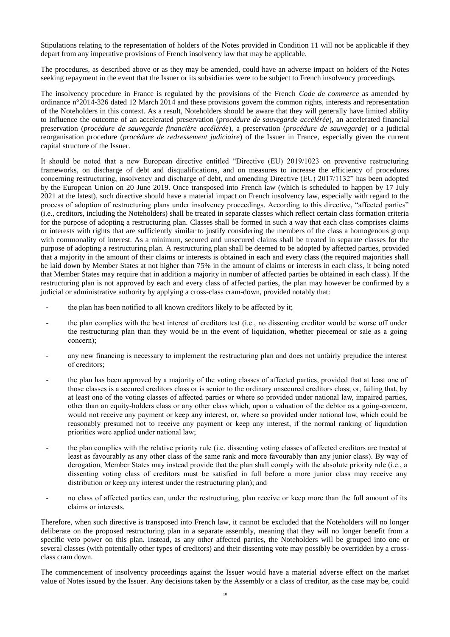Stipulations relating to the representation of holders of the Notes provided in Condition 11 will not be applicable if they depart from any imperative provisions of French insolvency law that may be applicable.

The procedures, as described above or as they may be amended, could have an adverse impact on holders of the Notes seeking repayment in the event that the Issuer or its subsidiaries were to be subject to French insolvency proceedings.

The insolvency procedure in France is regulated by the provisions of the French *Code de commerce* as amended by ordinance n°2014-326 dated 12 March 2014 and these provisions govern the common rights, interests and representation of the Noteholders in this context. As a result, Noteholders should be aware that they will generally have limited ability to influence the outcome of an accelerated preservation (*procédure de sauvegarde accélérée*), an accelerated financial preservation (*procédure de sauvegarde financière accélérée*), a preservation (*procédure de sauvegarde*) or a judicial reorganisation procedure (*procédure de redressement judiciaire*) of the Issuer in France, especially given the current capital structure of the Issuer.

It should be noted that a new European directive entitled "Directive (EU) 2019/1023 on preventive restructuring frameworks, on discharge of debt and disqualifications, and on measures to increase the efficiency of procedures concerning restructuring, insolvency and discharge of debt, and amending Directive (EU) 2017/1132" has been adopted by the European Union on 20 June 2019. Once transposed into French law (which is scheduled to happen by 17 July 2021 at the latest), such directive should have a material impact on French insolvency law, especially with regard to the process of adoption of restructuring plans under insolvency proceedings. According to this directive, "affected parties" (i.e., creditors, including the Noteholders) shall be treated in separate classes which reflect certain class formation criteria for the purpose of adopting a restructuring plan. Classes shall be formed in such a way that each class comprises claims or interests with rights that are sufficiently similar to justify considering the members of the class a homogenous group with commonality of interest. As a minimum, secured and unsecured claims shall be treated in separate classes for the purpose of adopting a restructuring plan. A restructuring plan shall be deemed to be adopted by affected parties, provided that a majority in the amount of their claims or interests is obtained in each and every class (the required majorities shall be laid down by Member States at not higher than 75% in the amount of claims or interests in each class, it being noted that Member States may require that in addition a majority in number of affected parties be obtained in each class). If the restructuring plan is not approved by each and every class of affected parties, the plan may however be confirmed by a judicial or administrative authority by applying a cross-class cram-down, provided notably that:

- the plan has been notified to all known creditors likely to be affected by it;
- the plan complies with the best interest of creditors test (i.e., no dissenting creditor would be worse off under the restructuring plan than they would be in the event of liquidation, whether piecemeal or sale as a going concern);
- any new financing is necessary to implement the restructuring plan and does not unfairly prejudice the interest of creditors;
- the plan has been approved by a majority of the voting classes of affected parties, provided that at least one of those classes is a secured creditors class or is senior to the ordinary unsecured creditors class; or, failing that, by at least one of the voting classes of affected parties or where so provided under national law, impaired parties, other than an equity-holders class or any other class which, upon a valuation of the debtor as a going-concern, would not receive any payment or keep any interest, or, where so provided under national law, which could be reasonably presumed not to receive any payment or keep any interest, if the normal ranking of liquidation priorities were applied under national law;
- the plan complies with the relative priority rule (i.e. dissenting voting classes of affected creditors are treated at least as favourably as any other class of the same rank and more favourably than any junior class). By way of derogation, Member States may instead provide that the plan shall comply with the absolute priority rule (i.e., a dissenting voting class of creditors must be satisfied in full before a more junior class may receive any distribution or keep any interest under the restructuring plan); and
- no class of affected parties can, under the restructuring, plan receive or keep more than the full amount of its claims or interests.

Therefore, when such directive is transposed into French law, it cannot be excluded that the Noteholders will no longer deliberate on the proposed restructuring plan in a separate assembly, meaning that they will no longer benefit from a specific veto power on this plan. Instead, as any other affected parties, the Noteholders will be grouped into one or several classes (with potentially other types of creditors) and their dissenting vote may possibly be overridden by a crossclass cram down.

The commencement of insolvency proceedings against the Issuer would have a material adverse effect on the market value of Notes issued by the Issuer. Any decisions taken by the Assembly or a class of creditor, as the case may be, could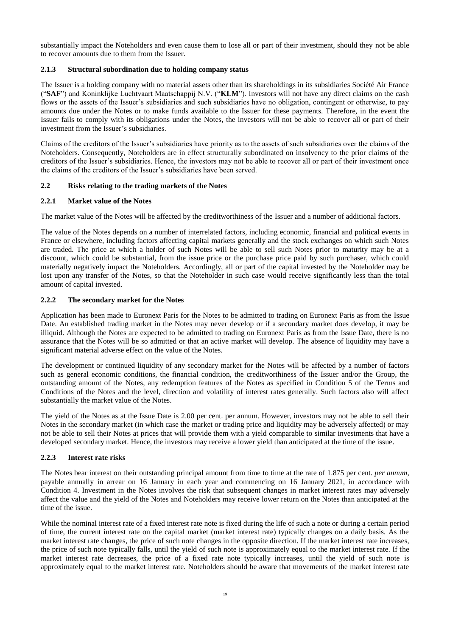substantially impact the Noteholders and even cause them to lose all or part of their investment, should they not be able to recover amounts due to them from the Issuer.

# **2.1.3 Structural subordination due to holding company status**

The Issuer is a holding company with no material assets other than its shareholdings in its subsidiaries Société Air France ("**SAF**") and Koninklijke Luchtvaart Maatschappij N.V. ("**KLM**"). Investors will not have any direct claims on the cash flows or the assets of the Issuer's subsidiaries and such subsidiaries have no obligation, contingent or otherwise, to pay amounts due under the Notes or to make funds available to the Issuer for these payments. Therefore, in the event the Issuer fails to comply with its obligations under the Notes, the investors will not be able to recover all or part of their investment from the Issuer's subsidiaries.

Claims of the creditors of the Issuer's subsidiaries have priority as to the assets of such subsidiaries over the claims of the Noteholders. Consequently, Noteholders are in effect structurally subordinated on insolvency to the prior claims of the creditors of the Issuer's subsidiaries. Hence, the investors may not be able to recover all or part of their investment once the claims of the creditors of the Issuer's subsidiaries have been served.

# **2.2 Risks relating to the trading markets of the Notes**

# **2.2.1 Market value of the Notes**

The market value of the Notes will be affected by the creditworthiness of the Issuer and a number of additional factors.

The value of the Notes depends on a number of interrelated factors, including economic, financial and political events in France or elsewhere, including factors affecting capital markets generally and the stock exchanges on which such Notes are traded. The price at which a holder of such Notes will be able to sell such Notes prior to maturity may be at a discount, which could be substantial, from the issue price or the purchase price paid by such purchaser, which could materially negatively impact the Noteholders. Accordingly, all or part of the capital invested by the Noteholder may be lost upon any transfer of the Notes, so that the Noteholder in such case would receive significantly less than the total amount of capital invested.

# **2.2.2 The secondary market for the Notes**

Application has been made to Euronext Paris for the Notes to be admitted to trading on Euronext Paris as from the Issue Date. An established trading market in the Notes may never develop or if a secondary market does develop, it may be illiquid. Although the Notes are expected to be admitted to trading on Euronext Paris as from the Issue Date, there is no assurance that the Notes will be so admitted or that an active market will develop. The absence of liquidity may have a significant material adverse effect on the value of the Notes.

The development or continued liquidity of any secondary market for the Notes will be affected by a number of factors such as general economic conditions, the financial condition, the creditworthiness of the Issuer and/or the Group, the outstanding amount of the Notes, any redemption features of the Notes as specified in Condition 5 of the Terms and Conditions of the Notes and the level, direction and volatility of interest rates generally. Such factors also will affect substantially the market value of the Notes.

The yield of the Notes as at the Issue Date is 2.00 per cent. per annum. However, investors may not be able to sell their Notes in the secondary market (in which case the market or trading price and liquidity may be adversely affected) or may not be able to sell their Notes at prices that will provide them with a yield comparable to similar investments that have a developed secondary market. Hence, the investors may receive a lower yield than anticipated at the time of the issue.

# **2.2.3 Interest rate risks**

The Notes bear interest on their outstanding principal amount from time to time at the rate of 1.875 per cent. *per annum*, payable annually in arrear on 16 January in each year and commencing on 16 January 2021, in accordance with Condition 4. Investment in the Notes involves the risk that subsequent changes in market interest rates may adversely affect the value and the yield of the Notes and Noteholders may receive lower return on the Notes than anticipated at the time of the issue.

While the nominal interest rate of a fixed interest rate note is fixed during the life of such a note or during a certain period of time, the current interest rate on the capital market (market interest rate) typically changes on a daily basis. As the market interest rate changes, the price of such note changes in the opposite direction. If the market interest rate increases, the price of such note typically falls, until the yield of such note is approximately equal to the market interest rate. If the market interest rate decreases, the price of a fixed rate note typically increases, until the yield of such note is approximately equal to the market interest rate. Noteholders should be aware that movements of the market interest rate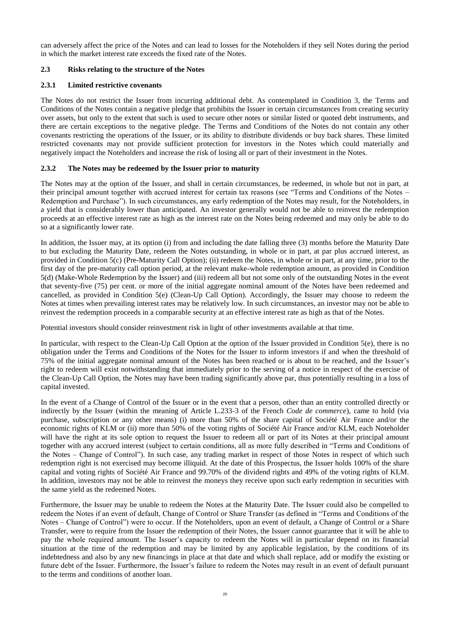can adversely affect the price of the Notes and can lead to losses for the Noteholders if they sell Notes during the period in which the market interest rate exceeds the fixed rate of the Notes.

# **2.3 Risks relating to the structure of the Notes**

# **2.3.1 Limited restrictive covenants**

The Notes do not restrict the Issuer from incurring additional debt. As contemplated in Condition 3, the Terms and Conditions of the Notes contain a negative pledge that prohibits the Issuer in certain circumstances from creating security over assets, but only to the extent that such is used to secure other notes or similar listed or quoted debt instruments, and there are certain exceptions to the negative pledge. The Terms and Conditions of the Notes do not contain any other covenants restricting the operations of the Issuer, or its ability to distribute dividends or buy back shares. These limited restricted covenants may not provide sufficient protection for investors in the Notes which could materially and negatively impact the Noteholders and increase the risk of losing all or part of their investment in the Notes.

# **2.3.2 The Notes may be redeemed by the Issuer prior to maturity**

The Notes may at the option of the Issuer, and shall in certain circumstances, be redeemed, in whole but not in part, at their principal amount together with accrued interest for certain tax reasons (see "Terms and Conditions of the Notes – Redemption and Purchase"). In such circumstances, any early redemption of the Notes may result, for the Noteholders, in a yield that is considerably lower than anticipated. An investor generally would not be able to reinvest the redemption proceeds at an effective interest rate as high as the interest rate on the Notes being redeemed and may only be able to do so at a significantly lower rate.

In addition, the Issuer may, at its option (i) from and including the date falling three (3) months before the Maturity Date to but excluding the Maturity Date, redeem the Notes outstanding, in whole or in part, at par plus accrued interest, as provided in Condition 5(c) (Pre-Maturity Call Option); (ii) redeem the Notes, in whole or in part, at any time, prior to the first day of the pre-maturity call option period, at the relevant make-whole redemption amount, as provided in Condition 5(d) (Make-Whole Redemption by the Issuer) and (iii) redeem all but not some only of the outstanding Notes in the event that seventy-five (75) per cent. or more of the initial aggregate nominal amount of the Notes have been redeemed and cancelled, as provided in Condition 5(e) (Clean-Up Call Option). Accordingly, the Issuer may choose to redeem the Notes at times when prevailing interest rates may be relatively low. In such circumstances, an investor may not be able to reinvest the redemption proceeds in a comparable security at an effective interest rate as high as that of the Notes.

Potential investors should consider reinvestment risk in light of other investments available at that time.

In particular, with respect to the Clean-Up Call Option at the option of the Issuer provided in Condition 5(e), there is no obligation under the Terms and Conditions of the Notes for the Issuer to inform investors if and when the threshold of 75% of the initial aggregate nominal amount of the Notes has been reached or is about to be reached, and the Issuer's right to redeem will exist notwithstanding that immediately prior to the serving of a notice in respect of the exercise of the Clean-Up Call Option, the Notes may have been trading significantly above par, thus potentially resulting in a loss of capital invested.

In the event of a Change of Control of the Issuer or in the event that a person, other than an entity controlled directly or indirectly by the Issuer (within the meaning of Article L.233-3 of the French *Code de commerce*), came to hold (via purchase, subscription or any other means) (i) more than 50% of the share capital of Société Air France and/or the economic rights of KLM or (ii) more than 50% of the voting rights of Société Air France and/or KLM, each Noteholder will have the right at its sole option to request the Issuer to redeem all or part of its Notes at their principal amount together with any accrued interest (subject to certain conditions, all as more fully described in "Terms and Conditions of the Notes – Change of Control"). In such case, any trading market in respect of those Notes in respect of which such redemption right is not exercised may become illiquid. At the date of this Prospectus, the Issuer holds 100% of the share capital and voting rights of Société Air France and 99.70% of the dividend rights and 49% of the voting rights of KLM. In addition, investors may not be able to reinvest the moneys they receive upon such early redemption in securities with the same yield as the redeemed Notes.

Furthermore, the Issuer may be unable to redeem the Notes at the Maturity Date. The Issuer could also be compelled to redeem the Notes if an event of default, Change of Control or Share Transfer (as defined in "Terms and Conditions of the Notes – Change of Control") were to occur. If the Noteholders, upon an event of default, a Change of Control or a Share Transfer, were to require from the Issuer the redemption of their Notes, the Issuer cannot guarantee that it will be able to pay the whole required amount. The Issuer's capacity to redeem the Notes will in particular depend on its financial situation at the time of the redemption and may be limited by any applicable legislation, by the conditions of its indebtedness and also by any new financings in place at that date and which shall replace, add or modify the existing or future debt of the Issuer. Furthermore, the Issuer's failure to redeem the Notes may result in an event of default pursuant to the terms and conditions of another loan.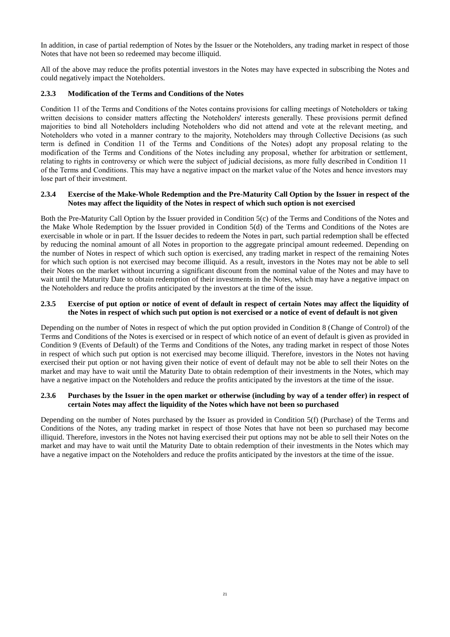In addition, in case of partial redemption of Notes by the Issuer or the Noteholders, any trading market in respect of those Notes that have not been so redeemed may become illiquid.

All of the above may reduce the profits potential investors in the Notes may have expected in subscribing the Notes and could negatively impact the Noteholders.

# **2.3.3 Modification of the Terms and Conditions of the Notes**

Condition 11 of the Terms and Conditions of the Notes contains provisions for calling meetings of Noteholders or taking written decisions to consider matters affecting the Noteholders' interests generally. These provisions permit defined majorities to bind all Noteholders including Noteholders who did not attend and vote at the relevant meeting, and Noteholders who voted in a manner contrary to the majority, Noteholders may through Collective Decisions (as such term is defined in Condition 11 of the Terms and Conditions of the Notes) adopt any proposal relating to the modification of the Terms and Conditions of the Notes including any proposal, whether for arbitration or settlement, relating to rights in controversy or which were the subject of judicial decisions, as more fully described in Condition 11 of the Terms and Conditions. This may have a negative impact on the market value of the Notes and hence investors may lose part of their investment.

#### **2.3.4 Exercise of the Make-Whole Redemption and the Pre-Maturity Call Option by the Issuer in respect of the Notes may affect the liquidity of the Notes in respect of which such option is not exercised**

Both the Pre-Maturity Call Option by the Issuer provided in Condition 5(c) of the Terms and Conditions of the Notes and the Make Whole Redemption by the Issuer provided in Condition 5(d) of the Terms and Conditions of the Notes are exercisable in whole or in part. If the Issuer decides to redeem the Notes in part, such partial redemption shall be effected by reducing the nominal amount of all Notes in proportion to the aggregate principal amount redeemed. Depending on the number of Notes in respect of which such option is exercised, any trading market in respect of the remaining Notes for which such option is not exercised may become illiquid. As a result, investors in the Notes may not be able to sell their Notes on the market without incurring a significant discount from the nominal value of the Notes and may have to wait until the Maturity Date to obtain redemption of their investments in the Notes, which may have a negative impact on the Noteholders and reduce the profits anticipated by the investors at the time of the issue.

#### **2.3.5 Exercise of put option or notice of event of default in respect of certain Notes may affect the liquidity of the Notes in respect of which such put option is not exercised or a notice of event of default is not given**

Depending on the number of Notes in respect of which the put option provided in Condition 8 (Change of Control) of the Terms and Conditions of the Notes is exercised or in respect of which notice of an event of default is given as provided in Condition 9 (Events of Default) of the Terms and Conditions of the Notes, any trading market in respect of those Notes in respect of which such put option is not exercised may become illiquid. Therefore, investors in the Notes not having exercised their put option or not having given their notice of event of default may not be able to sell their Notes on the market and may have to wait until the Maturity Date to obtain redemption of their investments in the Notes, which may have a negative impact on the Noteholders and reduce the profits anticipated by the investors at the time of the issue.

#### **2.3.6 Purchases by the Issuer in the open market or otherwise (including by way of a tender offer) in respect of certain Notes may affect the liquidity of the Notes which have not been so purchased**

Depending on the number of Notes purchased by the Issuer as provided in Condition 5(f) (Purchase) of the Terms and Conditions of the Notes, any trading market in respect of those Notes that have not been so purchased may become illiquid. Therefore, investors in the Notes not having exercised their put options may not be able to sell their Notes on the market and may have to wait until the Maturity Date to obtain redemption of their investments in the Notes which may have a negative impact on the Noteholders and reduce the profits anticipated by the investors at the time of the issue.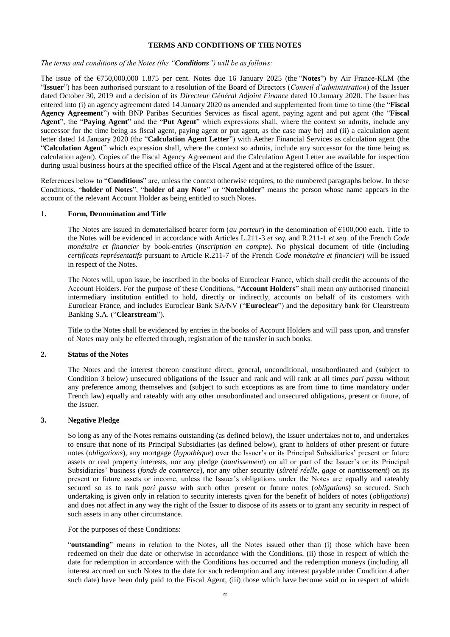#### **TERMS AND CONDITIONS OF THE NOTES**

<span id="page-25-0"></span>*The terms and conditions of the Notes (the "Conditions") will be as follows:*

The issue of the €750,000,000 1.875 per cent. Notes due 16 January 2025 (the "**Notes**") by Air France-KLM (the "**Issuer**") has been authorised pursuant to a resolution of the Board of Directors (*Conseil d'administration*) of the Issuer dated October 30, 2019 and a decision of its *Directeur Général Adjoint Finance* dated 10 January 2020. The Issuer has entered into (i) an agency agreement dated 14 January 2020 as amended and supplemented from time to time (the "**Fiscal Agency Agreement**") with BNP Paribas Securities Services as fiscal agent, paying agent and put agent (the "**Fiscal Agent**", the "**Paying Agent**" and the "**Put Agent**" which expressions shall, where the context so admits, include any successor for the time being as fiscal agent, paying agent or put agent, as the case may be) and (ii) a calculation agent letter dated 14 January 2020 (the "**Calculation Agent Letter**") with Aether Financial Services as calculation agent (the "**Calculation Agent**" which expression shall, where the context so admits, include any successor for the time being as calculation agent). Copies of the Fiscal Agency Agreement and the Calculation Agent Letter are available for inspection during usual business hours at the specified office of the Fiscal Agent and at the registered office of the Issuer.

References below to "**Conditions**" are, unless the context otherwise requires, to the numbered paragraphs below. In these Conditions, "**holder of Notes**", "**holder of any Note**" or "**Noteholder**" means the person whose name appears in the account of the relevant Account Holder as being entitled to such Notes.

#### **1. Form, Denomination and Title**

The Notes are issued in dematerialised bearer form (*au porteur*) in the denomination of €100,000 each. Title to the Notes will be evidenced in accordance with Articles L.211-3 *et seq.* and R.211-1 *et seq.* of the French *Code monétaire et financier* by book-entries (*inscription en compte*). No physical document of title (including *certificats représentatifs* pursuant to Article R.211-7 of the French *Code monétaire et financier*) will be issued in respect of the Notes.

The Notes will, upon issue, be inscribed in the books of Euroclear France, which shall credit the accounts of the Account Holders. For the purpose of these Conditions, "**Account Holders**" shall mean any authorised financial intermediary institution entitled to hold, directly or indirectly, accounts on behalf of its customers with Euroclear France, and includes Euroclear Bank SA/NV ("**Euroclear**") and the depositary bank for Clearstream Banking S.A. ("**Clearstream**").

Title to the Notes shall be evidenced by entries in the books of Account Holders and will pass upon, and transfer of Notes may only be effected through, registration of the transfer in such books.

#### **2. Status of the Notes**

The Notes and the interest thereon constitute direct, general, unconditional, unsubordinated and (subject to Condition 3 below) unsecured obligations of the Issuer and rank and will rank at all times *pari passu* without any preference among themselves and (subject to such exceptions as are from time to time mandatory under French law) equally and rateably with any other unsubordinated and unsecured obligations, present or future, of the Issuer.

# **3. Negative Pledge**

So long as any of the Notes remains outstanding (as defined below), the Issuer undertakes not to, and undertakes to ensure that none of its Principal Subsidiaries (as defined below), grant to holders of other present or future notes (*obligations*), any mortgage (*hypothèque*) over the Issuer's or its Principal Subsidiaries' present or future assets or real property interests, nor any pledge (*nantissement*) on all or part of the Issuer's or its Principal Subsidiaries' business (*fonds de commerce*), nor any other security (*sûreté réelle, gage* or *nantissement*) on its present or future assets or income, unless the Issuer's obligations under the Notes are equally and rateably secured so as to rank *pari passu* with such other present or future notes (*obligations*) so secured. Such undertaking is given only in relation to security interests given for the benefit of holders of notes (*obligations*) and does not affect in any way the right of the Issuer to dispose of its assets or to grant any security in respect of such assets in any other circumstance.

For the purposes of these Conditions:

"**outstanding**" means in relation to the Notes, all the Notes issued other than (i) those which have been redeemed on their due date or otherwise in accordance with the Conditions, (ii) those in respect of which the date for redemption in accordance with the Conditions has occurred and the redemption moneys (including all interest accrued on such Notes to the date for such redemption and any interest payable under Condition 4 after such date) have been duly paid to the Fiscal Agent, (iii) those which have become void or in respect of which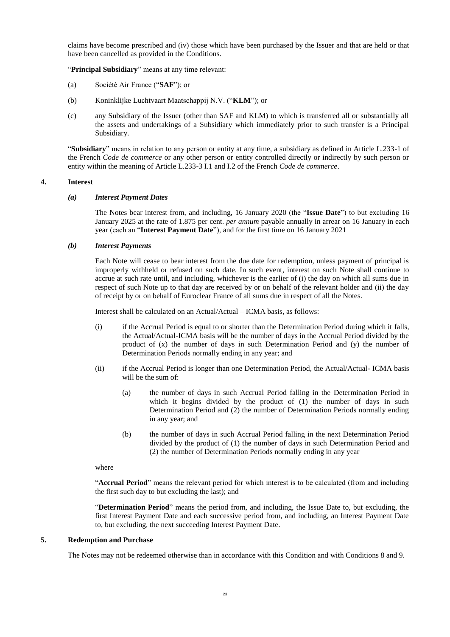claims have become prescribed and (iv) those which have been purchased by the Issuer and that are held or that have been cancelled as provided in the Conditions.

"**Principal Subsidiary**" means at any time relevant:

- (a) Société Air France ("**SAF**"); or
- (b) Koninklijke Luchtvaart Maatschappij N.V. ("**KLM**"); or
- (c) any Subsidiary of the Issuer (other than SAF and KLM) to which is transferred all or substantially all the assets and undertakings of a Subsidiary which immediately prior to such transfer is a Principal Subsidiary.

"**Subsidiary**" means in relation to any person or entity at any time, a subsidiary as defined in Article L.233-1 of the French *Code de commerce* or any other person or entity controlled directly or indirectly by such person or entity within the meaning of Article L.233-3 I.1 and I.2 of the French *Code de commerce*.

#### **4. Interest**

#### *(a) Interest Payment Dates*

The Notes bear interest from, and including, 16 January 2020 (the "**Issue Date**") to but excluding 16 January 2025 at the rate of 1.875 per cent. *per annum* payable annually in arrear on 16 January in each year (each an "**Interest Payment Date**"), and for the first time on 16 January 2021

#### *(b) Interest Payments*

Each Note will cease to bear interest from the due date for redemption, unless payment of principal is improperly withheld or refused on such date. In such event, interest on such Note shall continue to accrue at such rate until, and including, whichever is the earlier of (i) the day on which all sums due in respect of such Note up to that day are received by or on behalf of the relevant holder and (ii) the day of receipt by or on behalf of Euroclear France of all sums due in respect of all the Notes.

Interest shall be calculated on an Actual/Actual – ICMA basis, as follows:

- (i) if the Accrual Period is equal to or shorter than the Determination Period during which it falls, the Actual/Actual-ICMA basis will be the number of days in the Accrual Period divided by the product of (x) the number of days in such Determination Period and (y) the number of Determination Periods normally ending in any year; and
- (ii) if the Accrual Period is longer than one Determination Period, the Actual/Actual- ICMA basis will be the sum of:
	- (a) the number of days in such Accrual Period falling in the Determination Period in which it begins divided by the product of (1) the number of days in such Determination Period and (2) the number of Determination Periods normally ending in any year; and
	- (b) the number of days in such Accrual Period falling in the next Determination Period divided by the product of (1) the number of days in such Determination Period and (2) the number of Determination Periods normally ending in any year

where

"**Accrual Period**" means the relevant period for which interest is to be calculated (from and including the first such day to but excluding the last); and

"**Determination Period**" means the period from, and including, the Issue Date to, but excluding, the first Interest Payment Date and each successive period from, and including, an Interest Payment Date to, but excluding, the next succeeding Interest Payment Date.

#### **5. Redemption and Purchase**

The Notes may not be redeemed otherwise than in accordance with this Condition and with Conditions 8 and 9.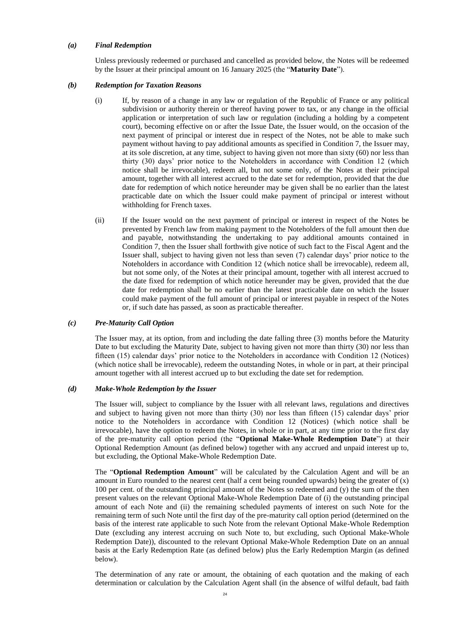# *(a) Final Redemption*

Unless previously redeemed or purchased and cancelled as provided below, the Notes will be redeemed by the Issuer at their principal amount on 16 January 2025 (the "**Maturity Date**").

#### *(b) Redemption for Taxation Reasons*

- (i) If, by reason of a change in any law or regulation of the Republic of France or any political subdivision or authority therein or thereof having power to tax, or any change in the official application or interpretation of such law or regulation (including a holding by a competent court), becoming effective on or after the Issue Date, the Issuer would, on the occasion of the next payment of principal or interest due in respect of the Notes, not be able to make such payment without having to pay additional amounts as specified in Condition 7, the Issuer may, at its sole discretion, at any time, subject to having given not more than sixty (60) nor less than thirty (30) days' prior notice to the Noteholders in accordance with Condition 12 (which notice shall be irrevocable), redeem all, but not some only, of the Notes at their principal amount, together with all interest accrued to the date set for redemption, provided that the due date for redemption of which notice hereunder may be given shall be no earlier than the latest practicable date on which the Issuer could make payment of principal or interest without withholding for French taxes.
- (ii) If the Issuer would on the next payment of principal or interest in respect of the Notes be prevented by French law from making payment to the Noteholders of the full amount then due and payable, notwithstanding the undertaking to pay additional amounts contained in Condition 7, then the Issuer shall forthwith give notice of such fact to the Fiscal Agent and the Issuer shall, subject to having given not less than seven (7) calendar days' prior notice to the Noteholders in accordance with Condition 12 (which notice shall be irrevocable), redeem all, but not some only, of the Notes at their principal amount, together with all interest accrued to the date fixed for redemption of which notice hereunder may be given, provided that the due date for redemption shall be no earlier than the latest practicable date on which the Issuer could make payment of the full amount of principal or interest payable in respect of the Notes or, if such date has passed, as soon as practicable thereafter.

#### *(c) Pre-Maturity Call Option*

The Issuer may, at its option, from and including the date falling three (3) months before the Maturity Date to but excluding the Maturity Date, subject to having given not more than thirty (30) nor less than fifteen (15) calendar days' prior notice to the Noteholders in accordance with Condition 12 (Notices) (which notice shall be irrevocable), redeem the outstanding Notes, in whole or in part, at their principal amount together with all interest accrued up to but excluding the date set for redemption.

#### *(d) Make-Whole Redemption by the Issuer*

The Issuer will, subject to compliance by the Issuer with all relevant laws, regulations and directives and subject to having given not more than thirty (30) nor less than fifteen (15) calendar days' prior notice to the Noteholders in accordance with Condition 12 (Notices) (which notice shall be irrevocable), have the option to redeem the Notes, in whole or in part, at any time prior to the first day of the pre-maturity call option period (the "**Optional Make-Whole Redemption Date**") at their Optional Redemption Amount (as defined below) together with any accrued and unpaid interest up to, but excluding, the Optional Make-Whole Redemption Date.

The "**Optional Redemption Amount**" will be calculated by the Calculation Agent and will be an amount in Euro rounded to the nearest cent (half a cent being rounded upwards) being the greater of (x) 100 per cent. of the outstanding principal amount of the Notes so redeemed and (y) the sum of the then present values on the relevant Optional Make-Whole Redemption Date of (i) the outstanding principal amount of each Note and (ii) the remaining scheduled payments of interest on such Note for the remaining term of such Note until the first day of the pre-maturity call option period (determined on the basis of the interest rate applicable to such Note from the relevant Optional Make-Whole Redemption Date (excluding any interest accruing on such Note to, but excluding, such Optional Make-Whole Redemption Date)), discounted to the relevant Optional Make-Whole Redemption Date on an annual basis at the Early Redemption Rate (as defined below) plus the Early Redemption Margin (as defined below).

The determination of any rate or amount, the obtaining of each quotation and the making of each determination or calculation by the Calculation Agent shall (in the absence of wilful default, bad faith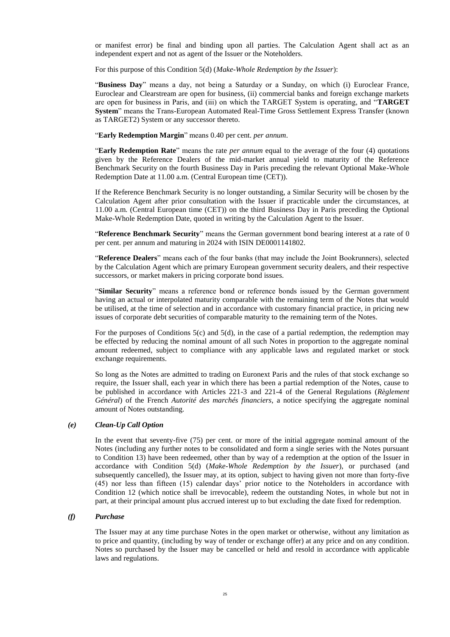or manifest error) be final and binding upon all parties. The Calculation Agent shall act as an independent expert and not as agent of the Issuer or the Noteholders.

For this purpose of this Condition 5(d) (*Make-Whole Redemption by the Issuer*):

"**Business Day**" means a day, not being a Saturday or a Sunday, on which (i) Euroclear France, Euroclear and Clearstream are open for business, (ii) commercial banks and foreign exchange markets are open for business in Paris, and (iii) on which the TARGET System is operating, and "**TARGET System**" means the Trans-European Automated Real-Time Gross Settlement Express Transfer (known as TARGET2) System or any successor thereto.

"**Early Redemption Margin**" means 0.40 per cent. *per annum*.

"**Early Redemption Rate**" means the rate *per annum* equal to the average of the four (4) quotations given by the Reference Dealers of the mid-market annual yield to maturity of the Reference Benchmark Security on the fourth Business Day in Paris preceding the relevant Optional Make-Whole Redemption Date at 11.00 a.m. (Central European time (CET)).

If the Reference Benchmark Security is no longer outstanding, a Similar Security will be chosen by the Calculation Agent after prior consultation with the Issuer if practicable under the circumstances, at 11.00 a.m. (Central European time (CET)) on the third Business Day in Paris preceding the Optional Make-Whole Redemption Date, quoted in writing by the Calculation Agent to the Issuer.

"**Reference Benchmark Security**" means the German government bond bearing interest at a rate of 0 per cent. per annum and maturing in 2024 with ISIN DE0001141802.

"**Reference Dealers**" means each of the four banks (that may include the Joint Bookrunners), selected by the Calculation Agent which are primary European government security dealers, and their respective successors, or market makers in pricing corporate bond issues.

"**Similar Security**" means a reference bond or reference bonds issued by the German government having an actual or interpolated maturity comparable with the remaining term of the Notes that would be utilised, at the time of selection and in accordance with customary financial practice, in pricing new issues of corporate debt securities of comparable maturity to the remaining term of the Notes.

For the purposes of Conditions 5(c) and 5(d), in the case of a partial redemption, the redemption may be effected by reducing the nominal amount of all such Notes in proportion to the aggregate nominal amount redeemed, subject to compliance with any applicable laws and regulated market or stock exchange requirements.

So long as the Notes are admitted to trading on Euronext Paris and the rules of that stock exchange so require, the Issuer shall, each year in which there has been a partial redemption of the Notes, cause to be published in accordance with Articles 221-3 and 221-4 of the General Regulations (*Règlement Général*) of the French *Autorité des marchés financiers*, a notice specifying the aggregate nominal amount of Notes outstanding.

#### *(e) Clean-Up Call Option*

In the event that seventy-five (75) per cent. or more of the initial aggregate nominal amount of the Notes (including any further notes to be consolidated and form a single series with the Notes pursuant to Condition 13) have been redeemed, other than by way of a redemption at the option of the Issuer in accordance with Condition 5(d) (*Make-Whole Redemption by the Issuer*), or purchased (and subsequently cancelled), the Issuer may, at its option, subject to having given not more than forty-five (45) nor less than fifteen (15) calendar days' prior notice to the Noteholders in accordance with Condition 12 (which notice shall be irrevocable), redeem the outstanding Notes, in whole but not in part, at their principal amount plus accrued interest up to but excluding the date fixed for redemption.

#### *(f) Purchase*

The Issuer may at any time purchase Notes in the open market or otherwise, without any limitation as to price and quantity, (including by way of tender or exchange offer) at any price and on any condition. Notes so purchased by the Issuer may be cancelled or held and resold in accordance with applicable laws and regulations.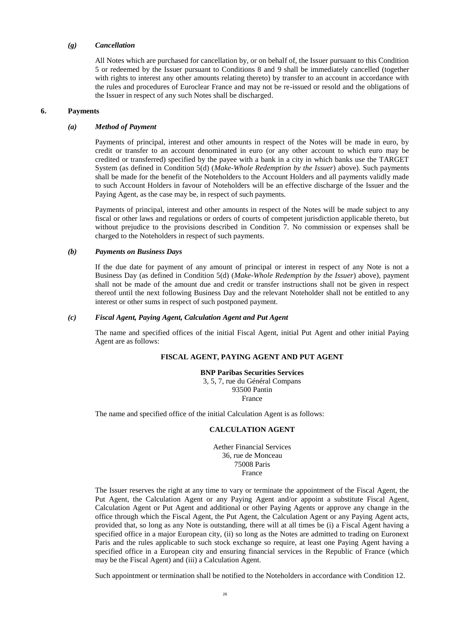# *(g) Cancellation*

All Notes which are purchased for cancellation by, or on behalf of, the Issuer pursuant to this Condition 5 or redeemed by the Issuer pursuant to Conditions 8 and 9 shall be immediately cancelled (together with rights to interest any other amounts relating thereto) by transfer to an account in accordance with the rules and procedures of Euroclear France and may not be re-issued or resold and the obligations of the Issuer in respect of any such Notes shall be discharged.

#### **6. Payments**

#### *(a) Method of Payment*

Payments of principal, interest and other amounts in respect of the Notes will be made in euro, by credit or transfer to an account denominated in euro (or any other account to which euro may be credited or transferred) specified by the payee with a bank in a city in which banks use the TARGET System (as defined in Condition 5(d) (*Make-Whole Redemption by the Issuer*) above). Such payments shall be made for the benefit of the Noteholders to the Account Holders and all payments validly made to such Account Holders in favour of Noteholders will be an effective discharge of the Issuer and the Paying Agent, as the case may be, in respect of such payments.

Payments of principal, interest and other amounts in respect of the Notes will be made subject to any fiscal or other laws and regulations or orders of courts of competent jurisdiction applicable thereto, but without prejudice to the provisions described in Condition 7. No commission or expenses shall be charged to the Noteholders in respect of such payments.

#### *(b) Payments on Business Days*

If the due date for payment of any amount of principal or interest in respect of any Note is not a Business Day (as defined in Condition 5(d) (*Make-Whole Redemption by the Issuer*) above), payment shall not be made of the amount due and credit or transfer instructions shall not be given in respect thereof until the next following Business Day and the relevant Noteholder shall not be entitled to any interest or other sums in respect of such postponed payment.

#### *(c) Fiscal Agent, Paying Agent, Calculation Agent and Put Agent*

The name and specified offices of the initial Fiscal Agent, initial Put Agent and other initial Paying Agent are as follows:

# **FISCAL AGENT, PAYING AGENT AND PUT AGENT**

**BNP Paribas Securities Services** 3, 5, 7, rue du Général Compans 93500 Pantin France

The name and specified office of the initial Calculation Agent is as follows:

#### **CALCULATION AGENT**

Aether Financial Services 36, rue de Monceau 75008 Paris France

The Issuer reserves the right at any time to vary or terminate the appointment of the Fiscal Agent, the Put Agent, the Calculation Agent or any Paying Agent and/or appoint a substitute Fiscal Agent, Calculation Agent or Put Agent and additional or other Paying Agents or approve any change in the office through which the Fiscal Agent, the Put Agent, the Calculation Agent or any Paying Agent acts, provided that, so long as any Note is outstanding, there will at all times be (i) a Fiscal Agent having a specified office in a major European city, (ii) so long as the Notes are admitted to trading on Euronext Paris and the rules applicable to such stock exchange so require, at least one Paying Agent having a specified office in a European city and ensuring financial services in the Republic of France (which may be the Fiscal Agent) and (iii) a Calculation Agent.

Such appointment or termination shall be notified to the Noteholders in accordance with Condition 12.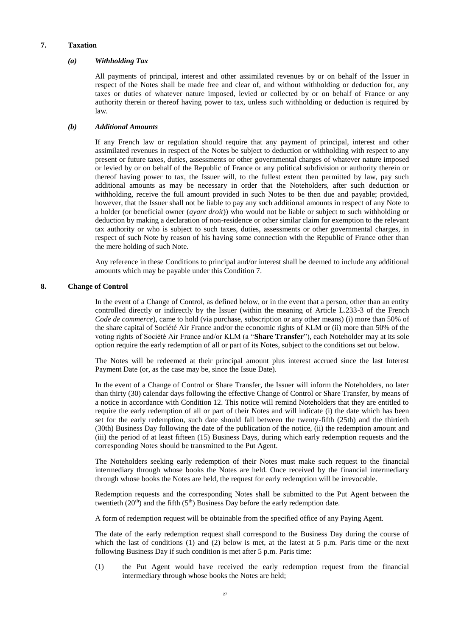#### **7. Taxation**

#### *(a) Withholding Tax*

All payments of principal, interest and other assimilated revenues by or on behalf of the Issuer in respect of the Notes shall be made free and clear of, and without withholding or deduction for, any taxes or duties of whatever nature imposed, levied or collected by or on behalf of France or any authority therein or thereof having power to tax, unless such withholding or deduction is required by law.

#### *(b) Additional Amounts*

If any French law or regulation should require that any payment of principal, interest and other assimilated revenues in respect of the Notes be subject to deduction or withholding with respect to any present or future taxes, duties, assessments or other governmental charges of whatever nature imposed or levied by or on behalf of the Republic of France or any political subdivision or authority therein or thereof having power to tax, the Issuer will, to the fullest extent then permitted by law, pay such additional amounts as may be necessary in order that the Noteholders, after such deduction or withholding, receive the full amount provided in such Notes to be then due and payable; provided, however, that the Issuer shall not be liable to pay any such additional amounts in respect of any Note to a holder (or beneficial owner (*ayant droit*)) who would not be liable or subject to such withholding or deduction by making a declaration of non-residence or other similar claim for exemption to the relevant tax authority or who is subject to such taxes, duties, assessments or other governmental charges, in respect of such Note by reason of his having some connection with the Republic of France other than the mere holding of such Note.

Any reference in these Conditions to principal and/or interest shall be deemed to include any additional amounts which may be payable under this Condition 7.

#### **8. Change of Control**

In the event of a Change of Control, as defined below, or in the event that a person, other than an entity controlled directly or indirectly by the Issuer (within the meaning of Article L.233-3 of the French *Code de commerce*), came to hold (via purchase, subscription or any other means) (i) more than 50% of the share capital of Société Air France and/or the economic rights of KLM or (ii) more than 50% of the voting rights of Société Air France and/or KLM (a "**Share Transfer**"), each Noteholder may at its sole option require the early redemption of all or part of its Notes, subject to the conditions set out below.

The Notes will be redeemed at their principal amount plus interest accrued since the last Interest Payment Date (or, as the case may be, since the Issue Date).

In the event of a Change of Control or Share Transfer, the Issuer will inform the Noteholders, no later than thirty (30) calendar days following the effective Change of Control or Share Transfer, by means of a notice in accordance with Condition 12. This notice will remind Noteholders that they are entitled to require the early redemption of all or part of their Notes and will indicate (i) the date which has been set for the early redemption, such date should fall between the twenty-fifth (25th) and the thirtieth (30th) Business Day following the date of the publication of the notice, (ii) the redemption amount and (iii) the period of at least fifteen (15) Business Days, during which early redemption requests and the corresponding Notes should be transmitted to the Put Agent.

The Noteholders seeking early redemption of their Notes must make such request to the financial intermediary through whose books the Notes are held. Once received by the financial intermediary through whose books the Notes are held, the request for early redemption will be irrevocable.

Redemption requests and the corresponding Notes shall be submitted to the Put Agent between the twentieth  $(20<sup>th</sup>)$  and the fifth  $(5<sup>th</sup>)$  Business Day before the early redemption date.

A form of redemption request will be obtainable from the specified office of any Paying Agent.

The date of the early redemption request shall correspond to the Business Day during the course of which the last of conditions (1) and (2) below is met, at the latest at 5 p.m. Paris time or the next following Business Day if such condition is met after 5 p.m. Paris time:

(1) the Put Agent would have received the early redemption request from the financial intermediary through whose books the Notes are held;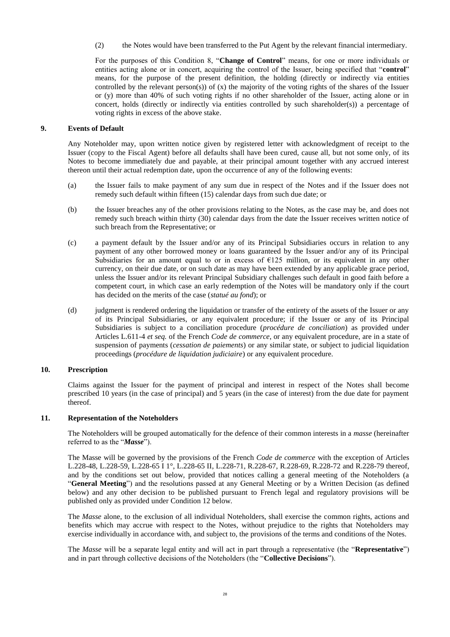(2) the Notes would have been transferred to the Put Agent by the relevant financial intermediary.

For the purposes of this Condition 8, "**Change of Control**" means, for one or more individuals or entities acting alone or in concert, acquiring the control of the Issuer, being specified that "**control**" means, for the purpose of the present definition, the holding (directly or indirectly via entities controlled by the relevant person(s)) of  $(x)$  the majority of the voting rights of the shares of the Issuer or (y) more than 40% of such voting rights if no other shareholder of the Issuer, acting alone or in concert, holds (directly or indirectly via entities controlled by such shareholder(s)) a percentage of voting rights in excess of the above stake.

# **9. Events of Default**

Any Noteholder may, upon written notice given by registered letter with acknowledgment of receipt to the Issuer (copy to the Fiscal Agent) before all defaults shall have been cured, cause all, but not some only, of its Notes to become immediately due and payable, at their principal amount together with any accrued interest thereon until their actual redemption date, upon the occurrence of any of the following events:

- (a) the Issuer fails to make payment of any sum due in respect of the Notes and if the Issuer does not remedy such default within fifteen (15) calendar days from such due date; or
- (b) the Issuer breaches any of the other provisions relating to the Notes, as the case may be, and does not remedy such breach within thirty (30) calendar days from the date the Issuer receives written notice of such breach from the Representative; or
- (c) a payment default by the Issuer and/or any of its Principal Subsidiaries occurs in relation to any payment of any other borrowed money or loans guaranteed by the Issuer and/or any of its Principal Subsidiaries for an amount equal to or in excess of  $E125$  million, or its equivalent in any other currency, on their due date, or on such date as may have been extended by any applicable grace period, unless the Issuer and/or its relevant Principal Subsidiary challenges such default in good faith before a competent court, in which case an early redemption of the Notes will be mandatory only if the court has decided on the merits of the case (*statué au fond*); or
- (d) judgment is rendered ordering the liquidation or transfer of the entirety of the assets of the Issuer or any of its Principal Subsidiaries, or any equivalent procedure; if the Issuer or any of its Principal Subsidiaries is subject to a conciliation procedure (*procédure de conciliation*) as provided under Articles L.611-4 *et seq.* of the French *Code de commerce*, or any equivalent procedure, are in a state of suspension of payments (*cessation de paiements*) or any similar state, or subject to judicial liquidation proceedings (*procédure de liquidation judiciaire*) or any equivalent procedure.

#### **10. Prescription**

Claims against the Issuer for the payment of principal and interest in respect of the Notes shall become prescribed 10 years (in the case of principal) and 5 years (in the case of interest) from the due date for payment thereof.

#### **11. Representation of the Noteholders**

The Noteholders will be grouped automatically for the defence of their common interests in a *masse* (hereinafter referred to as the "*Masse*").

The Masse will be governed by the provisions of the French *Code de commerce* with the exception of Articles L.228-48, L.228-59, L.228-65 I 1°, L.228-65 II, L.228-71, R.228-67, R.228-69, R.228-72 and R.228-79 thereof, and by the conditions set out below, provided that notices calling a general meeting of the Noteholders (a "**General Meeting**") and the resolutions passed at any General Meeting or by a Written Decision (as defined below) and any other decision to be published pursuant to French legal and regulatory provisions will be published only as provided under Condition 12 below.

The *Masse* alone, to the exclusion of all individual Noteholders, shall exercise the common rights, actions and benefits which may accrue with respect to the Notes, without prejudice to the rights that Noteholders may exercise individually in accordance with, and subject to, the provisions of the terms and conditions of the Notes.

The *Masse* will be a separate legal entity and will act in part through a representative (the "**Representative**") and in part through collective decisions of the Noteholders (the "**Collective Decisions**").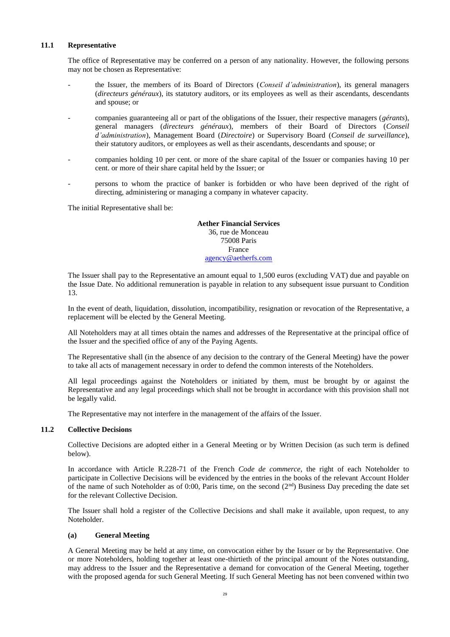#### **11.1 Representative**

The office of Representative may be conferred on a person of any nationality. However, the following persons may not be chosen as Representative:

- the Issuer, the members of its Board of Directors (*Conseil d'administration*), its general managers (*directeurs généraux*), its statutory auditors, or its employees as well as their ascendants, descendants and spouse; or
- companies guaranteeing all or part of the obligations of the Issuer, their respective managers (*gérants*), general managers (*directeurs généraux*), members of their Board of Directors (*Conseil d'administration*), Management Board (*Directoire*) or Supervisory Board (*Conseil de surveillance*), their statutory auditors, or employees as well as their ascendants, descendants and spouse; or
- companies holding 10 per cent. or more of the share capital of the Issuer or companies having 10 per cent. or more of their share capital held by the Issuer; or
- persons to whom the practice of banker is forbidden or who have been deprived of the right of directing, administering or managing a company in whatever capacity.

The initial Representative shall be:

# **Aether Financial Services** 36, rue de Monceau

75008 Paris France [agency@aetherfs.com](mailto:agency@aetherfs.com)

The Issuer shall pay to the Representative an amount equal to 1,500 euros (excluding VAT) due and payable on the Issue Date. No additional remuneration is payable in relation to any subsequent issue pursuant to Condition 13.

In the event of death, liquidation, dissolution, incompatibility, resignation or revocation of the Representative, a replacement will be elected by the General Meeting.

All Noteholders may at all times obtain the names and addresses of the Representative at the principal office of the Issuer and the specified office of any of the Paying Agents.

The Representative shall (in the absence of any decision to the contrary of the General Meeting) have the power to take all acts of management necessary in order to defend the common interests of the Noteholders.

All legal proceedings against the Noteholders or initiated by them, must be brought by or against the Representative and any legal proceedings which shall not be brought in accordance with this provision shall not be legally valid.

The Representative may not interfere in the management of the affairs of the Issuer.

#### **11.2 Collective Decisions**

Collective Decisions are adopted either in a General Meeting or by Written Decision (as such term is defined below).

In accordance with Article R.228-71 of the French *Code de commerce*, the right of each Noteholder to participate in Collective Decisions will be evidenced by the entries in the books of the relevant Account Holder of the name of such Noteholder as of 0:00, Paris time, on the second  $(2<sup>nd</sup>)$  Business Day preceding the date set for the relevant Collective Decision.

The Issuer shall hold a register of the Collective Decisions and shall make it available, upon request, to any Noteholder.

# **(a) General Meeting**

A General Meeting may be held at any time, on convocation either by the Issuer or by the Representative. One or more Noteholders, holding together at least one-thirtieth of the principal amount of the Notes outstanding, may address to the Issuer and the Representative a demand for convocation of the General Meeting, together with the proposed agenda for such General Meeting. If such General Meeting has not been convened within two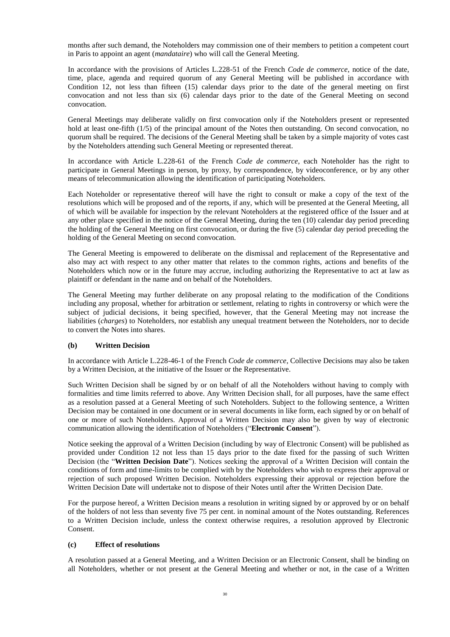months after such demand, the Noteholders may commission one of their members to petition a competent court in Paris to appoint an agent (*mandataire*) who will call the General Meeting.

In accordance with the provisions of Articles L.228-51 of the French *Code de commerce*, notice of the date, time, place, agenda and required quorum of any General Meeting will be published in accordance with Condition 12, not less than fifteen (15) calendar days prior to the date of the general meeting on first convocation and not less than six (6) calendar days prior to the date of the General Meeting on second convocation.

General Meetings may deliberate validly on first convocation only if the Noteholders present or represented hold at least one-fifth (1/5) of the principal amount of the Notes then outstanding. On second convocation, no quorum shall be required. The decisions of the General Meeting shall be taken by a simple majority of votes cast by the Noteholders attending such General Meeting or represented thereat.

In accordance with Article L.228-61 of the French *Code de commerce*, each Noteholder has the right to participate in General Meetings in person, by proxy, by correspondence, by videoconference, or by any other means of telecommunication allowing the identification of participating Noteholders.

Each Noteholder or representative thereof will have the right to consult or make a copy of the text of the resolutions which will be proposed and of the reports, if any, which will be presented at the General Meeting, all of which will be available for inspection by the relevant Noteholders at the registered office of the Issuer and at any other place specified in the notice of the General Meeting, during the ten (10) calendar day period preceding the holding of the General Meeting on first convocation, or during the five (5) calendar day period preceding the holding of the General Meeting on second convocation.

The General Meeting is empowered to deliberate on the dismissal and replacement of the Representative and also may act with respect to any other matter that relates to the common rights, actions and benefits of the Noteholders which now or in the future may accrue, including authorizing the Representative to act at law as plaintiff or defendant in the name and on behalf of the Noteholders.

The General Meeting may further deliberate on any proposal relating to the modification of the Conditions including any proposal, whether for arbitration or settlement, relating to rights in controversy or which were the subject of judicial decisions, it being specified, however, that the General Meeting may not increase the liabilities (*charges*) to Noteholders, nor establish any unequal treatment between the Noteholders, nor to decide to convert the Notes into shares.

# **(b) Written Decision**

In accordance with Article L.228-46-1 of the French *Code de commerce*, Collective Decisions may also be taken by a Written Decision, at the initiative of the Issuer or the Representative.

Such Written Decision shall be signed by or on behalf of all the Noteholders without having to comply with formalities and time limits referred to above. Any Written Decision shall, for all purposes, have the same effect as a resolution passed at a General Meeting of such Noteholders. Subject to the following sentence, a Written Decision may be contained in one document or in several documents in like form, each signed by or on behalf of one or more of such Noteholders. Approval of a Written Decision may also be given by way of electronic communication allowing the identification of Noteholders ("**Electronic Consent**").

Notice seeking the approval of a Written Decision (including by way of Electronic Consent) will be published as provided under Condition 12 not less than 15 days prior to the date fixed for the passing of such Written Decision (the "**Written Decision Date**"). Notices seeking the approval of a Written Decision will contain the conditions of form and time-limits to be complied with by the Noteholders who wish to express their approval or rejection of such proposed Written Decision. Noteholders expressing their approval or rejection before the Written Decision Date will undertake not to dispose of their Notes until after the Written Decision Date.

For the purpose hereof, a Written Decision means a resolution in writing signed by or approved by or on behalf of the holders of not less than seventy five 75 per cent. in nominal amount of the Notes outstanding. References to a Written Decision include, unless the context otherwise requires, a resolution approved by Electronic Consent.

#### **(c) Effect of resolutions**

A resolution passed at a General Meeting, and a Written Decision or an Electronic Consent, shall be binding on all Noteholders, whether or not present at the General Meeting and whether or not, in the case of a Written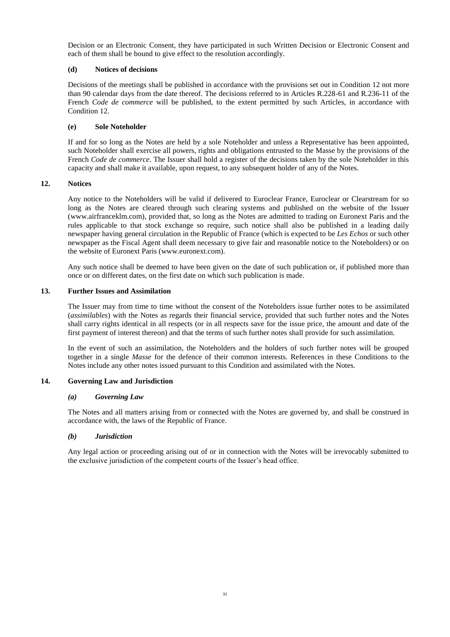Decision or an Electronic Consent, they have participated in such Written Decision or Electronic Consent and each of them shall be bound to give effect to the resolution accordingly.

# **(d) Notices of decisions**

Decisions of the meetings shall be published in accordance with the provisions set out in Condition 12 not more than 90 calendar days from the date thereof. The decisions referred to in Articles R.228-61 and R.236-11 of the French *Code de commerce* will be published, to the extent permitted by such Articles, in accordance with Condition 12.

#### **(e) Sole Noteholder**

If and for so long as the Notes are held by a sole Noteholder and unless a Representative has been appointed, such Noteholder shall exercise all powers, rights and obligations entrusted to the Masse by the provisions of the French *Code de commerce*. The Issuer shall hold a register of the decisions taken by the sole Noteholder in this capacity and shall make it available, upon request, to any subsequent holder of any of the Notes.

#### **12. Notices**

Any notice to the Noteholders will be valid if delivered to Euroclear France, Euroclear or Clearstream for so long as the Notes are cleared through such clearing systems and published on the website of the Issuer (www.airfranceklm.com), provided that, so long as the Notes are admitted to trading on Euronext Paris and the rules applicable to that stock exchange so require, such notice shall also be published in a leading daily newspaper having general circulation in the Republic of France (which is expected to be *Les Echos* or such other newspaper as the Fiscal Agent shall deem necessary to give fair and reasonable notice to the Noteholders) or on the website of Euronext Paris (www.euronext.com).

Any such notice shall be deemed to have been given on the date of such publication or, if published more than once or on different dates, on the first date on which such publication is made.

#### **13. Further Issues and Assimilation**

The Issuer may from time to time without the consent of the Noteholders issue further notes to be assimilated (*assimilables*) with the Notes as regards their financial service, provided that such further notes and the Notes shall carry rights identical in all respects (or in all respects save for the issue price, the amount and date of the first payment of interest thereon) and that the terms of such further notes shall provide for such assimilation.

In the event of such an assimilation, the Noteholders and the holders of such further notes will be grouped together in a single *Masse* for the defence of their common interests. References in these Conditions to the Notes include any other notes issued pursuant to this Condition and assimilated with the Notes.

# **14. Governing Law and Jurisdiction**

#### *(a) Governing Law*

The Notes and all matters arising from or connected with the Notes are governed by, and shall be construed in accordance with, the laws of the Republic of France.

# *(b) Jurisdiction*

<span id="page-34-0"></span>Any legal action or proceeding arising out of or in connection with the Notes will be irrevocably submitted to the exclusive jurisdiction of the competent courts of the Issuer's head office.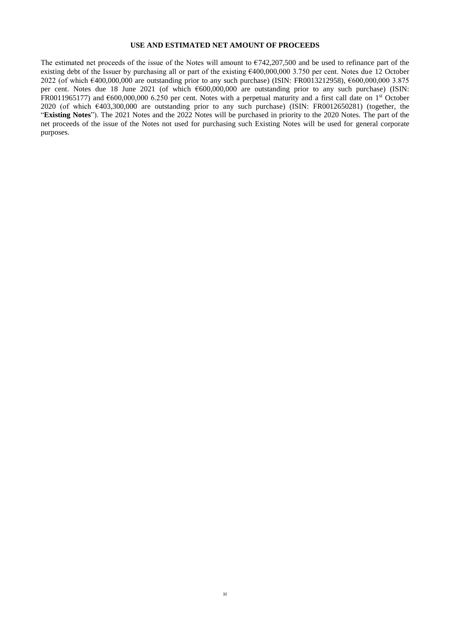# **USE AND ESTIMATED NET AMOUNT OF PROCEEDS**

<span id="page-35-0"></span>The estimated net proceeds of the issue of the Notes will amount to  $\epsilon$ 742,207,500 and be used to refinance part of the existing debt of the Issuer by purchasing all or part of the existing €400,000,000 3.750 per cent. Notes due 12 October 2022 (of which €400,000,000 are outstanding prior to any such purchase) (ISIN: FR0013212958), €600,000,000 3.875 per cent. Notes due 18 June 2021 (of which €600,000,000 are outstanding prior to any such purchase) (ISIN: FR0011965177) and €600,000,000 6.250 per cent. Notes with a perpetual maturity and a first call date on 1st October 2020 (of which €403,300,000 are outstanding prior to any such purchase) (ISIN: FR0012650281) (together, the "**Existing Notes**"). The 2021 Notes and the 2022 Notes will be purchased in priority to the 2020 Notes. The part of the net proceeds of the issue of the Notes not used for purchasing such Existing Notes will be used for general corporate purposes.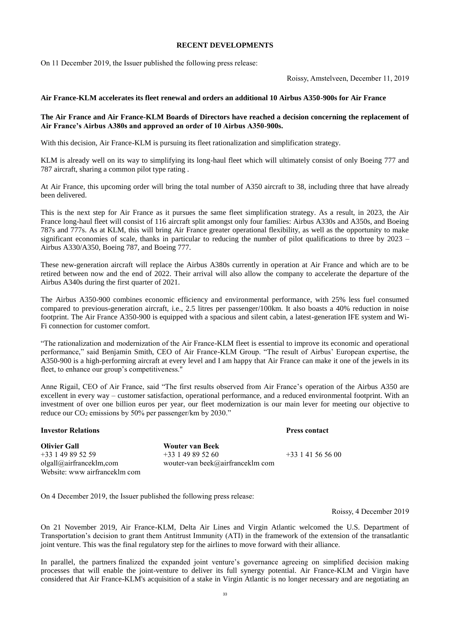#### **RECENT DEVELOPMENTS**

On 11 December 2019, the Issuer published the following press release:

Roissy, Amstelveen, December 11, 2019

#### **Air France-KLM accelerates its fleet renewal and orders an additional 10 Airbus A350-900s for Air France**

#### **The Air France and Air France-KLM Boards of Directors have reached a decision concerning the replacement of Air France's Airbus A380s and approved an order of 10 Airbus A350-900s.**

With this decision, Air France-KLM is pursuing its fleet rationalization and simplification strategy.

KLM is already well on its way to simplifying its long-haul fleet which will ultimately consist of only Boeing 777 and 787 aircraft, sharing a common pilot type rating .

At Air France, this upcoming order will bring the total number of A350 aircraft to 38, including three that have already been delivered.

This is the next step for Air France as it pursues the same fleet simplification strategy. As a result, in 2023, the Air France long-haul fleet will consist of 116 aircraft split amongst only four families: Airbus A330s and A350s, and Boeing 787s and 777s. As at KLM, this will bring Air France greater operational flexibility, as well as the opportunity to make significant economies of scale, thanks in particular to reducing the number of pilot qualifications to three by 2023 – Airbus A330/A350, Boeing 787, and Boeing 777.

These new-generation aircraft will replace the Airbus A380s currently in operation at Air France and which are to be retired between now and the end of 2022. Their arrival will also allow the company to accelerate the departure of the Airbus A340s during the first quarter of 2021.

The Airbus A350-900 combines economic efficiency and environmental performance, with 25% less fuel consumed compared to previous-generation aircraft, i.e., 2.5 litres per passenger/100km. It also boasts a 40% reduction in noise footprint. The Air France A350-900 is equipped with a spacious and silent cabin, a latest-generation IFE system and Wi-Fi connection for customer comfort.

"The rationalization and modernization of the Air France-KLM fleet is essential to improve its economic and operational performance," said Benjamin Smith, CEO of Air France-KLM Group. "The result of Airbus' European expertise, the A350-900 is a high-performing aircraft at every level and I am happy that Air France can make it one of the jewels in its fleet, to enhance our group's competitiveness."

Anne Rigail, CEO of Air France, said "The first results observed from Air France's operation of the Airbus A350 are excellent in every way – customer satisfaction, operational performance, and a reduced environmental footprint. With an investment of over one billion euros per year, our fleet modernization is our main lever for meeting our objective to reduce our  $CO_2$  emissions by 50% per passenger/km by 2030."

| <b>Olivier Gall</b>           | <b>Wouter van Beek</b>           |                     |
|-------------------------------|----------------------------------|---------------------|
| $+33$ 1 49 89 52 59           | $+33149895260$                   | $+33$ 1 41 56 56 00 |
| olgall@airfranceklm.com       | wouter-van beek@airfranceklm com |                     |
| Website: www airfranceklm com |                                  |                     |

**Investor Relations Press contact**

On 4 December 2019, the Issuer published the following press release:

Roissy, 4 December 2019

On 21 November 2019, Air France-KLM, Delta Air Lines and Virgin Atlantic welcomed the U.S. Department of Transportation's decision to grant them Antitrust Immunity (ATI) in the framework of the extension of the transatlantic joint venture. This was the final regulatory step for the airlines to move forward with their alliance.

In parallel, the partners finalized the expanded joint venture's governance agreeing on simplified decision making processes that will enable the joint-venture to deliver its full synergy potential. Air France-KLM and Virgin have considered that Air France-KLM's acquisition of a stake in Virgin Atlantic is no longer necessary and are negotiating an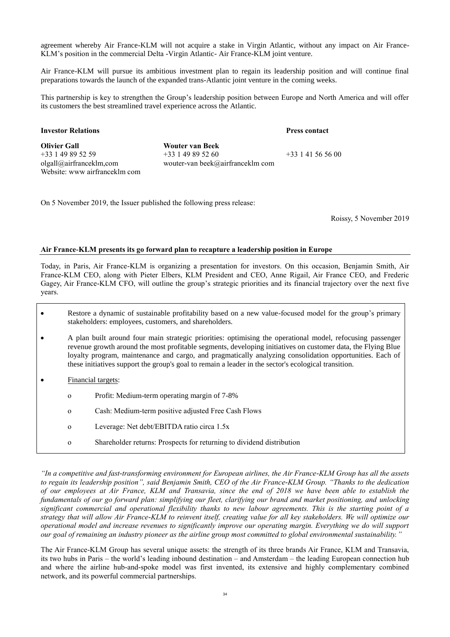agreement whereby Air France-KLM will not acquire a stake in Virgin Atlantic, without any impact on Air France-KLM's position in the commercial Delta -Virgin Atlantic- Air France-KLM joint venture.

Air France-KLM will pursue its ambitious investment plan to regain its leadership position and will continue final preparations towards the launch of the expanded trans-Atlantic joint venture in the coming weeks.

This partnership is key to strengthen the Group's leadership position between Europe and North America and will offer its customers the best streamlined travel experience across the Atlantic.

# **Investor Relations Press contact**

+33 1 41 56 56 00

**Olivier Gall** +33 1 49 89 52 59 olgall@airfranceklm,com Website: www airfranceklm com **Wouter van Beek** +33 1 49 89 52 60 wouter-van beek@airfranceklm com

On 5 November 2019, the Issuer published the following press release:

Roissy, 5 November 2019

# **Air France-KLM presents its go forward plan to recapture a leadership position in Europe**

Today, in Paris, Air France-KLM is organizing a presentation for investors. On this occasion, Benjamin Smith, Air France-KLM CEO, along with Pieter Elbers, KLM President and CEO, Anne Rigail, Air France CEO, and Frederic Gagey, Air France-KLM CFO, will outline the group's strategic priorities and its financial trajectory over the next five years.

- Restore a dynamic of sustainable profitability based on a new value-focused model for the group's primary stakeholders: employees, customers, and shareholders.
- A plan built around four main strategic priorities: optimising the operational model, refocusing passenger revenue growth around the most profitable segments, developing initiatives on customer data, the Flying Blue loyalty program, maintenance and cargo, and pragmatically analyzing consolidation opportunities. Each of these initiatives support the group's goal to remain a leader in the sector's ecological transition.
- Financial targets:
	- o Profit: Medium-term operating margin of 7-8%
	- o Cash: Medium-term positive adjusted Free Cash Flows
	- o Leverage: Net debt/EBITDA ratio circa 1.5x
	- o Shareholder returns: Prospects for returning to dividend distribution

*"In a competitive and fast-transforming environment for European airlines, the Air France-KLM Group has all the assets to regain its leadership position", said Benjamin Smith, CEO of the Air France-KLM Group. "Thanks to the dedication of our employees at Air France, KLM and Transavia, since the end of 2018 we have been able to establish the fundamentals of our go forward plan: simplifying our fleet, clarifying our brand and market positioning, and unlocking significant commercial and operational flexibility thanks to new labour agreements. This is the starting point of a strategy that will allow Air France-KLM to reinvent itself, creating value for all key stakeholders. We will optimize our operational model and increase revenues to significantly improve our operating margin. Everything we do will support our goal of remaining an industry pioneer as the airline group most committed to global environmental sustainability."*

The Air France-KLM Group has several unique assets: the strength of its three brands Air France, KLM and Transavia, its two hubs in Paris – the world's leading inbound destination – and Amsterdam – the leading European connection hub and where the airline hub-and-spoke model was first invented, its extensive and highly complementary combined network, and its powerful commercial partnerships.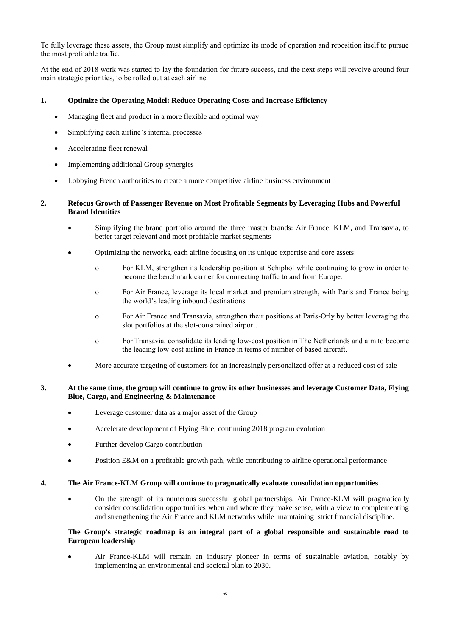To fully leverage these assets, the Group must simplify and optimize its mode of operation and reposition itself to pursue the most profitable traffic.

At the end of 2018 work was started to lay the foundation for future success, and the next steps will revolve around four main strategic priorities, to be rolled out at each airline.

# **1. Optimize the Operating Model: Reduce Operating Costs and Increase Efficiency**

- Managing fleet and product in a more flexible and optimal way
- Simplifying each airline's internal processes
- Accelerating fleet renewal
- Implementing additional Group synergies
- Lobbying French authorities to create a more competitive airline business environment

# **2. Refocus Growth of Passenger Revenue on Most Profitable Segments by Leveraging Hubs and Powerful Brand Identities**

- Simplifying the brand portfolio around the three master brands: Air France, KLM, and Transavia, to better target relevant and most profitable market segments
- Optimizing the networks, each airline focusing on its unique expertise and core assets:
	- o For KLM, strengthen its leadership position at Schiphol while continuing to grow in order to become the benchmark carrier for connecting traffic to and from Europe.
	- o For Air France, leverage its local market and premium strength, with Paris and France being the world's leading inbound destinations.
	- o For Air France and Transavia, strengthen their positions at Paris-Orly by better leveraging the slot portfolios at the slot-constrained airport.
	- o For Transavia, consolidate its leading low-cost position in The Netherlands and aim to become the leading low-cost airline in France in terms of number of based aircraft.
- More accurate targeting of customers for an increasingly personalized offer at a reduced cost of sale

# **3. At the same time, the group will continue to grow its other businesses and leverage Customer Data, Flying Blue, Cargo, and Engineering & Maintenance**

- Leverage customer data as a major asset of the Group
- Accelerate development of Flying Blue, continuing 2018 program evolution
- Further develop Cargo contribution
- Position E&M on a profitable growth path, while contributing to airline operational performance

# **4. The Air France-KLM Group will continue to pragmatically evaluate consolidation opportunities**

 On the strength of its numerous successful global partnerships, Air France-KLM will pragmatically consider consolidation opportunities when and where they make sense, with a view to complementing and strengthening the Air France and KLM networks while maintaining strict financial discipline.

# **The Group's strategic roadmap is an integral part of a global responsible and sustainable road to European leadership**

 Air France-KLM will remain an industry pioneer in terms of sustainable aviation, notably by implementing an environmental and societal plan to 2030.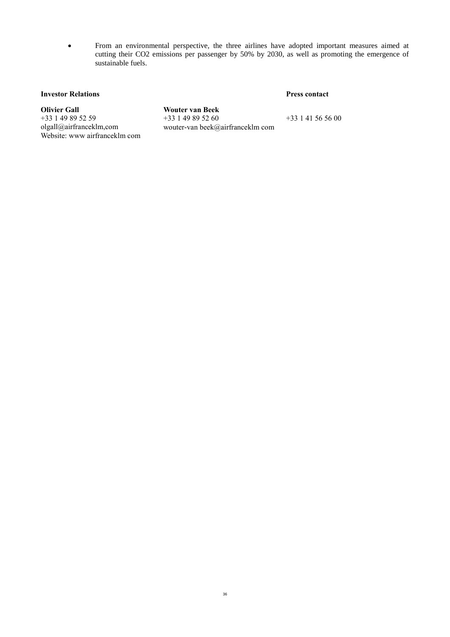From an environmental perspective, the three airlines have adopted important measures aimed at cutting their CO2 emissions per passenger by 50% by 2030, as well as promoting the emergence of sustainable fuels.

# **Investor Relations Press contact**

<span id="page-39-0"></span>**Olivier Gall** +33 1 49 89 52 59 olgall@airfranceklm,com Website: www airfranceklm com

**Wouter van Beek** +33 1 49 89 52 60 wouter-van beek@airfranceklm com

+33 1 41 56 56 00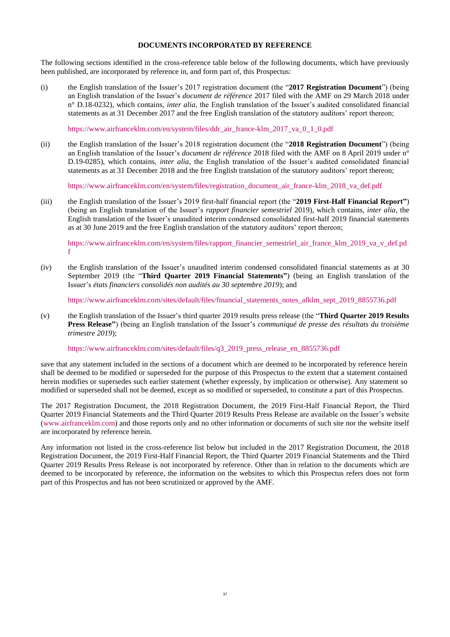#### **DOCUMENTS INCORPORATED BY REFERENCE**

The following sections identified in the cross-reference table below of the following documents, which have previously been published, are incorporated by reference in, and form part of, this Prospectus:

(i) the English translation of the Issuer's 2017 registration document (the "**2017 Registration Document**") (being an English translation of the Issuer's *document de référence* 2017 filed with the AMF on 29 March 2018 under n° D.18-0232), which contains, *inter alia*, the English translation of the Issuer's audited consolidated financial statements as at 31 December 2017 and the free English translation of the statutory auditors' report thereon;

[https://www.airfranceklm.com/en/system/files/ddr\\_air\\_france-klm\\_2017\\_va\\_0\\_1\\_0.pdf](https://www.airfranceklm.com/en/system/files/ddr_air_france-klm_2017_va_0_1_0.pdf)

(ii) the English translation of the Issuer's 2018 registration document (the "**2018 Registration Document**") (being an English translation of the Issuer's *document de référence* 2018 filed with the AMF on 8 April 2019 under n° D.19-0285), which contains, *inter alia*, the English translation of the Issuer's audited consolidated financial statements as at 31 December 2018 and the free English translation of the statutory auditors' report thereon;

[https://www.airfranceklm.com/en/system/files/registration\\_document\\_air\\_france-klm\\_2018\\_va\\_def.pdf](https://www.airfranceklm.com/en/system/files/registration_document_air_france-klm_2018_va_def.pdf)

(iii) the English translation of the Issuer's 2019 first-half financial report (the "**2019 First-Half Financial Report"**) (being an English translation of the Issuer's *rapport financier semestriel* 2019), which contains, *inter alia*, the English translation of the Issuer's unaudited interim condensed consolidated first-half 2019 financial statements as at 30 June 2019 and the free English translation of the statutory auditors' report thereon;

[https://www.airfranceklm.com/en/system/files/rapport\\_financier\\_semestriel\\_air\\_france\\_klm\\_2019\\_va\\_v\\_def.pd](https://www.airfranceklm.com/en/system/files/rapport_financier_semestriel_air_france_klm_2019_va_v_def.pdf) [f](https://www.airfranceklm.com/en/system/files/rapport_financier_semestriel_air_france_klm_2019_va_v_def.pdf)

(iv) the English translation of the Issuer's unaudited interim condensed consolidated financial statements as at 30 September 2019 (the "**Third Quarter 2019 Financial Statements"**) (being an English translation of the Issuer's *états financiers consolidés non audités au 30 septembre 2019*); and

[https://www.airfranceklm.com/sites/default/files/financial\\_statements\\_notes\\_afklm\\_sept\\_2019\\_8855736.pdf](https://www.airfranceklm.com/sites/default/files/financial_statements_notes_afklm_sept_2019_8855736.pdf)

(v) the English translation of the Issuer's third quarter 2019 results press release (the "**Third Quarter 2019 Results Press Release"**) (being an English translation of the Issuer's *communiqué de presse des résultats du troisième trimestre 2019*);

[https://www.airfranceklm.com/sites/default/files/q3\\_2019\\_press\\_release\\_en\\_8855736.pdf](https://www.airfranceklm.com/sites/default/files/q3_2019_press_release_en_8855736.pdf)

save that any statement included in the sections of a document which are deemed to be incorporated by reference herein shall be deemed to be modified or superseded for the purpose of this Prospectus to the extent that a statement contained herein modifies or supersedes such earlier statement (whether expressly, by implication or otherwise). Any statement so modified or superseded shall not be deemed, except as so modified or superseded, to constitute a part of this Prospectus.

The 2017 Registration Document, the 2018 Registration Document, the 2019 First-Half Financial Report, the Third Quarter 2019 Financial Statements and the Third Quarter 2019 Results Press Release are available on the Issuer's website [\(www.airfranceklm.com\)](http://www.airfranceklm.com/) and those reports only and no other information or documents of such site nor the website itself are incorporated by reference herein.

Any information not listed in the cross-reference list below but included in the 2017 Registration Document, the 2018 Registration Document, the 2019 First-Half Financial Report, the Third Quarter 2019 Financial Statements and the Third Quarter 2019 Results Press Release is not incorporated by reference. Other than in relation to the documents which are deemed to be incorporated by reference, the information on the websites to which this Prospectus refers does not form part of this Prospectus and has not been scrutinized or approved by the AMF.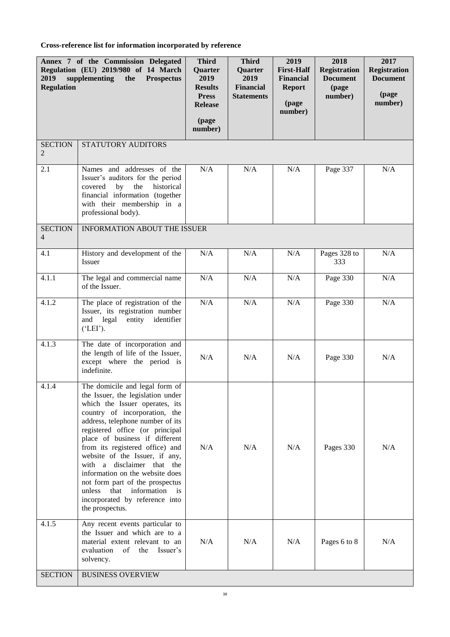**Cross-reference list for information incorporated by reference**

| 2019<br><b>Regulation</b>        | Annex 7 of the Commission Delegated<br>Regulation (EU) 2019/980 of 14 March<br>supplementing<br><b>Prospectus</b><br>the                                                                                                                                                                                                                                                                                                                                                                                                        | <b>Third</b><br>Quarter<br>2019<br><b>Results</b><br><b>Press</b><br><b>Release</b><br>(page<br>number) | <b>Third</b><br>Quarter<br>2019<br><b>Financial</b><br><b>Statements</b> | 2019<br><b>First-Half</b><br>Financial<br><b>Report</b><br>(page<br>number) | 2018<br><b>Registration</b><br><b>Document</b><br>(page<br>number) | 2017<br><b>Registration</b><br><b>Document</b><br>(page<br>number) |
|----------------------------------|---------------------------------------------------------------------------------------------------------------------------------------------------------------------------------------------------------------------------------------------------------------------------------------------------------------------------------------------------------------------------------------------------------------------------------------------------------------------------------------------------------------------------------|---------------------------------------------------------------------------------------------------------|--------------------------------------------------------------------------|-----------------------------------------------------------------------------|--------------------------------------------------------------------|--------------------------------------------------------------------|
| <b>SECTION</b><br>$\overline{2}$ | STATUTORY AUDITORS                                                                                                                                                                                                                                                                                                                                                                                                                                                                                                              |                                                                                                         |                                                                          |                                                                             |                                                                    |                                                                    |
| 2.1                              | Names and addresses of the<br>Issuer's auditors for the period<br>the<br>historical<br>covered<br>by<br>financial information (together<br>with their membership in a<br>professional body).                                                                                                                                                                                                                                                                                                                                    | N/A                                                                                                     | N/A                                                                      | N/A                                                                         | Page 337                                                           | N/A                                                                |
| <b>SECTION</b><br>$\overline{4}$ | <b>INFORMATION ABOUT THE ISSUER</b>                                                                                                                                                                                                                                                                                                                                                                                                                                                                                             |                                                                                                         |                                                                          |                                                                             |                                                                    |                                                                    |
| 4.1                              | History and development of the<br>Issuer                                                                                                                                                                                                                                                                                                                                                                                                                                                                                        | N/A                                                                                                     | $\rm N/A$                                                                | $\rm N/A$                                                                   | Pages 328 to<br>333                                                | N/A                                                                |
| 4.1.1                            | The legal and commercial name<br>of the Issuer.                                                                                                                                                                                                                                                                                                                                                                                                                                                                                 | N/A                                                                                                     | N/A                                                                      | N/A                                                                         | Page 330                                                           | N/A                                                                |
| 4.1.2                            | The place of registration of the<br>Issuer, its registration number<br>and legal<br>entity identifier<br>$^{\prime}$ ('LEI').                                                                                                                                                                                                                                                                                                                                                                                                   | N/A                                                                                                     | N/A                                                                      | N/A                                                                         | Page 330                                                           | N/A                                                                |
| 4.1.3                            | The date of incorporation and<br>the length of life of the Issuer,<br>except where the period is<br>indefinite.                                                                                                                                                                                                                                                                                                                                                                                                                 | N/A                                                                                                     | N/A                                                                      | N/A                                                                         | Page 330                                                           | N/A                                                                |
| 4.1.4                            | The domicile and legal form of<br>the Issuer, the legislation under<br>which the Issuer operates, its<br>country of incorporation, the<br>address, telephone number of its<br>registered office (or principal<br>place of business if different<br>from its registered office) and<br>website of the Issuer, if any,<br>with a disclaimer that the<br>information on the website does<br>not form part of the prospectus<br>that<br>information<br>unless<br>$\frac{1}{1}$<br>incorporated by reference into<br>the prospectus. | N/A                                                                                                     | N/A                                                                      | N/A                                                                         | Pages 330                                                          | N/A                                                                |
| 4.1.5                            | Any recent events particular to<br>the Issuer and which are to a<br>material extent relevant to an<br>of the<br>evaluation<br>Issuer's<br>solvency.                                                                                                                                                                                                                                                                                                                                                                             | N/A                                                                                                     | N/A                                                                      | N/A                                                                         | Pages 6 to 8                                                       | N/A                                                                |
| <b>SECTION</b>                   | <b>BUSINESS OVERVIEW</b>                                                                                                                                                                                                                                                                                                                                                                                                                                                                                                        |                                                                                                         |                                                                          |                                                                             |                                                                    |                                                                    |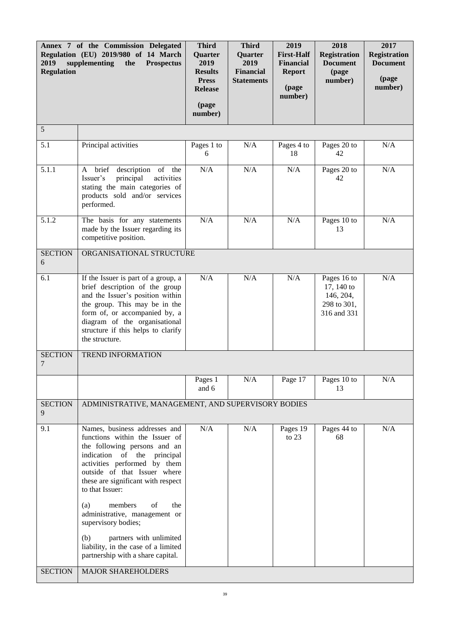| 2019<br><b>Regulation</b> | Annex 7 of the Commission Delegated<br>Regulation (EU) 2019/980 of 14 March<br>supplementing<br><b>Prospectus</b><br>the                                                                                                                                                                                                                                                                                                                                                                  | <b>Third</b><br>Quarter<br>2019<br><b>Results</b><br><b>Press</b><br><b>Release</b><br>(page<br>number) | <b>Third</b><br><b>Quarter</b><br>2019<br><b>Financial</b><br><b>Statements</b> | 2019<br><b>First-Half</b><br><b>Financial</b><br><b>Report</b><br>(page<br>number) | 2018<br><b>Registration</b><br><b>Document</b><br>(page<br>number)   | 2017<br><b>Registration</b><br><b>Document</b><br>(page<br>number) |
|---------------------------|-------------------------------------------------------------------------------------------------------------------------------------------------------------------------------------------------------------------------------------------------------------------------------------------------------------------------------------------------------------------------------------------------------------------------------------------------------------------------------------------|---------------------------------------------------------------------------------------------------------|---------------------------------------------------------------------------------|------------------------------------------------------------------------------------|----------------------------------------------------------------------|--------------------------------------------------------------------|
| 5                         |                                                                                                                                                                                                                                                                                                                                                                                                                                                                                           |                                                                                                         |                                                                                 |                                                                                    |                                                                      |                                                                    |
| 5.1                       | Principal activities                                                                                                                                                                                                                                                                                                                                                                                                                                                                      | Pages 1 to<br>6                                                                                         | N/A                                                                             | Pages 4 to<br>18                                                                   | Pages 20 to<br>42                                                    | N/A                                                                |
| 5.1.1                     | A brief<br>description of the<br>activities<br>Issuer's<br>principal<br>stating the main categories of<br>products sold and/or services<br>performed.                                                                                                                                                                                                                                                                                                                                     | N/A                                                                                                     | N/A                                                                             | N/A                                                                                | Pages 20 to<br>42                                                    | N/A                                                                |
| 5.1.2                     | The basis for any statements<br>made by the Issuer regarding its<br>competitive position.                                                                                                                                                                                                                                                                                                                                                                                                 | N/A                                                                                                     | N/A                                                                             | N/A                                                                                | Pages 10 to<br>13                                                    | N/A                                                                |
| <b>SECTION</b><br>6       | ORGANISATIONAL STRUCTURE                                                                                                                                                                                                                                                                                                                                                                                                                                                                  |                                                                                                         |                                                                                 |                                                                                    |                                                                      |                                                                    |
| 6.1                       | If the Issuer is part of a group, a<br>brief description of the group<br>and the Issuer's position within<br>the group. This may be in the<br>form of, or accompanied by, a<br>diagram of the organisational<br>structure if this helps to clarify<br>the structure.                                                                                                                                                                                                                      | N/A                                                                                                     | N/A                                                                             | N/A                                                                                | Pages 16 to<br>17, 140 to<br>146, 204,<br>298 to 301,<br>316 and 331 | N/A                                                                |
| <b>SECTION</b><br>7       | <b>TREND INFORMATION</b>                                                                                                                                                                                                                                                                                                                                                                                                                                                                  |                                                                                                         |                                                                                 |                                                                                    |                                                                      |                                                                    |
|                           |                                                                                                                                                                                                                                                                                                                                                                                                                                                                                           | Pages 1<br>and 6                                                                                        | N/A                                                                             | Page 17                                                                            | Pages 10 to<br>13                                                    | N/A                                                                |
| <b>SECTION</b><br>9       | ADMINISTRATIVE, MANAGEMENT, AND SUPERVISORY BODIES                                                                                                                                                                                                                                                                                                                                                                                                                                        |                                                                                                         |                                                                                 |                                                                                    |                                                                      |                                                                    |
| 9.1<br><b>SECTION</b>     | Names, business addresses and<br>functions within the Issuer of<br>the following persons and an<br>indication of the principal<br>activities performed by them<br>outside of that Issuer where<br>these are significant with respect<br>to that Issuer:<br>members<br>of<br>the<br>(a)<br>administrative, management or<br>supervisory bodies;<br>partners with unlimited<br>(b)<br>liability, in the case of a limited<br>partnership with a share capital.<br><b>MAJOR SHAREHOLDERS</b> | N/A                                                                                                     | N/A                                                                             | Pages 19<br>to $23$                                                                | Pages 44 to<br>68                                                    | N/A                                                                |
|                           |                                                                                                                                                                                                                                                                                                                                                                                                                                                                                           |                                                                                                         |                                                                                 |                                                                                    |                                                                      |                                                                    |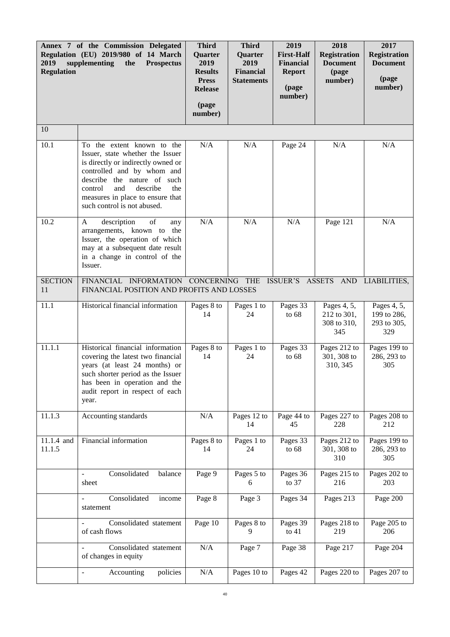| 2019<br><b>Regulation</b> | Annex 7 of the Commission Delegated<br>Regulation (EU) 2019/980 of 14 March<br>supplementing<br>the<br><b>Prospectus</b>                                                                                                                                                  | <b>Third</b><br>Quarter<br>2019<br><b>Results</b><br><b>Press</b><br><b>Release</b><br>(page<br>number) | <b>Third</b><br>Quarter<br>2019<br><b>Financial</b><br><b>Statements</b> | 2019<br><b>First-Half</b><br><b>Financial</b><br><b>Report</b><br>(page<br>number) | 2018<br><b>Registration</b><br><b>Document</b><br>(page<br>number) | 2017<br><b>Registration</b><br><b>Document</b><br>(page<br>number) |
|---------------------------|---------------------------------------------------------------------------------------------------------------------------------------------------------------------------------------------------------------------------------------------------------------------------|---------------------------------------------------------------------------------------------------------|--------------------------------------------------------------------------|------------------------------------------------------------------------------------|--------------------------------------------------------------------|--------------------------------------------------------------------|
| 10                        |                                                                                                                                                                                                                                                                           |                                                                                                         |                                                                          |                                                                                    |                                                                    |                                                                    |
| 10.1                      | To the extent known to the<br>Issuer, state whether the Issuer<br>is directly or indirectly owned or<br>controlled and by whom and<br>describe the nature of such<br>describe<br>the<br>control<br>and<br>measures in place to ensure that<br>such control is not abused. | N/A                                                                                                     | N/A                                                                      | Page 24                                                                            | N/A                                                                | N/A                                                                |
| 10.2                      | description<br>of<br>A<br>any<br>arrangements, known to<br>the<br>Issuer, the operation of which<br>may at a subsequent date result<br>in a change in control of the<br>Issuer.                                                                                           | N/A                                                                                                     | N/A                                                                      | N/A                                                                                | Page 121                                                           | N/A                                                                |
| <b>SECTION</b><br>11      | FINANCIAL INFORMATION CONCERNING THE ISSUER'S ASSETS AND LIABILITIES,<br>FINANCIAL POSITION AND PROFITS AND LOSSES                                                                                                                                                        |                                                                                                         |                                                                          |                                                                                    |                                                                    |                                                                    |
| 11.1                      | Historical financial information                                                                                                                                                                                                                                          | Pages 8 to<br>14                                                                                        | Pages 1 to<br>24                                                         | Pages 33<br>to $68$                                                                | Pages 4, 5,<br>212 to 301,<br>308 to 310,<br>345                   | Pages 4, 5,<br>199 to 286,<br>293 to 305,<br>329                   |
| 11.1.1                    | Historical financial information<br>covering the latest two financial<br>years (at least 24 months) or<br>such shorter period as the Issuer<br>has been in operation and the<br>audit report in respect of each<br>year.                                                  | Pages 8 to<br>14                                                                                        | Pages 1 to<br>24                                                         | Pages 33<br>to $68$                                                                | Pages 212 to<br>301, 308 to<br>310, 345                            | Pages 199 to<br>286, 293 to<br>305                                 |
| 11.1.3                    | Accounting standards                                                                                                                                                                                                                                                      | N/A                                                                                                     | Pages 12 to<br>14                                                        | Page 44 to<br>45                                                                   | Pages 227 to<br>228                                                | Pages 208 to<br>212                                                |
| 11.1.4 and<br>11.1.5      | Financial information                                                                                                                                                                                                                                                     | Pages 8 to<br>14                                                                                        | Pages 1 to<br>24                                                         | Pages 33<br>to $68$                                                                | Pages 212 to<br>301, 308 to<br>310                                 | Pages 199 to<br>286, 293 to<br>305                                 |
|                           | Consolidated<br>balance<br>sheet                                                                                                                                                                                                                                          | Page 9                                                                                                  | Pages 5 to<br>6                                                          | Pages 36<br>to $37$                                                                | Pages 215 to<br>216                                                | Pages 202 to<br>203                                                |
|                           | Consolidated<br>income<br>÷,<br>statement                                                                                                                                                                                                                                 | Page 8                                                                                                  | Page 3                                                                   | Pages 34                                                                           | Pages 213                                                          | Page 200                                                           |
|                           | Consolidated statement<br>of cash flows                                                                                                                                                                                                                                   | Page 10                                                                                                 | Pages 8 to<br>9                                                          | Pages 39<br>to $41$                                                                | Pages 218 to<br>219                                                | Page 205 to<br>206                                                 |
|                           | Consolidated statement<br>of changes in equity                                                                                                                                                                                                                            | N/A                                                                                                     | Page 7                                                                   | Page 38                                                                            | Page 217                                                           | Page 204                                                           |
|                           | Accounting<br>policies<br>$\blacksquare$                                                                                                                                                                                                                                  | $\rm N/A$                                                                                               | Pages 10 to                                                              | Pages 42                                                                           | Pages 220 to                                                       | Pages 207 to                                                       |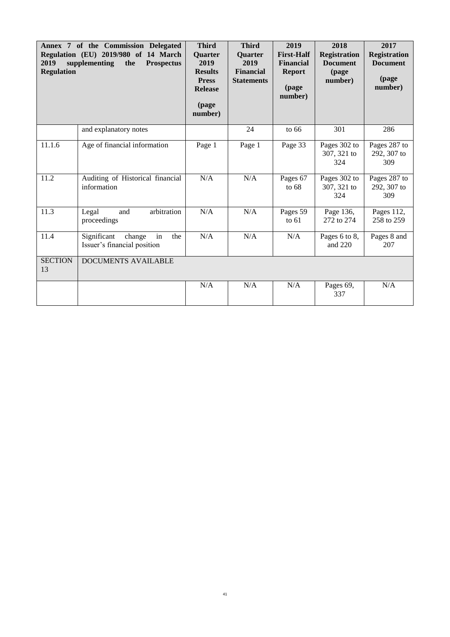<span id="page-44-0"></span>

| 2019<br><b>Regulation</b> | Annex 7 of the Commission Delegated<br>Regulation (EU) 2019/980 of 14 March<br>supplementing<br>the<br><b>Prospectus</b> | <b>Third</b><br><b>Quarter</b><br>2019<br><b>Results</b><br><b>Press</b><br><b>Release</b><br>(page<br>number) | <b>Third</b><br><b>Quarter</b><br>2019<br><b>Financial</b><br><b>Statements</b> | 2019<br><b>First-Half</b><br><b>Financial</b><br><b>Report</b><br>(page<br>number) | 2018<br><b>Registration</b><br><b>Document</b><br>(page<br>number) | 2017<br><b>Registration</b><br><b>Document</b><br>(page<br>number) |
|---------------------------|--------------------------------------------------------------------------------------------------------------------------|----------------------------------------------------------------------------------------------------------------|---------------------------------------------------------------------------------|------------------------------------------------------------------------------------|--------------------------------------------------------------------|--------------------------------------------------------------------|
|                           | and explanatory notes                                                                                                    |                                                                                                                | 24                                                                              | to $66$                                                                            | 301                                                                | 286                                                                |
| 11.1.6                    | Age of financial information                                                                                             | Page 1                                                                                                         | Page 1                                                                          | Page 33                                                                            | Pages 302 to<br>307, 321 to<br>324                                 | Pages 287 to<br>292, 307 to<br>309                                 |
| 11.2                      | Auditing of Historical financial<br>information                                                                          | N/A                                                                                                            | N/A                                                                             | Pages 67<br>to $68$                                                                | Pages 302 to<br>307, 321 to<br>324                                 | Pages 287 to<br>292, 307 to<br>309                                 |
| 11.3                      | arbitration<br>Legal<br>and<br>proceedings                                                                               | N/A                                                                                                            | N/A                                                                             | Pages 59<br>to $61$                                                                | Page 136,<br>272 to 274                                            | Pages 112,<br>258 to 259                                           |
| 11.4                      | Significant<br>change<br>in<br>the<br>Issuer's financial position                                                        | N/A                                                                                                            | $\rm N/A$                                                                       | N/A                                                                                | Pages 6 to 8,<br>and 220                                           | Pages 8 and<br>207                                                 |
| <b>SECTION</b><br>13      | <b>DOCUMENTS AVAILABLE</b>                                                                                               |                                                                                                                |                                                                                 |                                                                                    |                                                                    |                                                                    |
|                           |                                                                                                                          | N/A                                                                                                            | N/A                                                                             | N/A                                                                                | Pages 69,<br>337                                                   | N/A                                                                |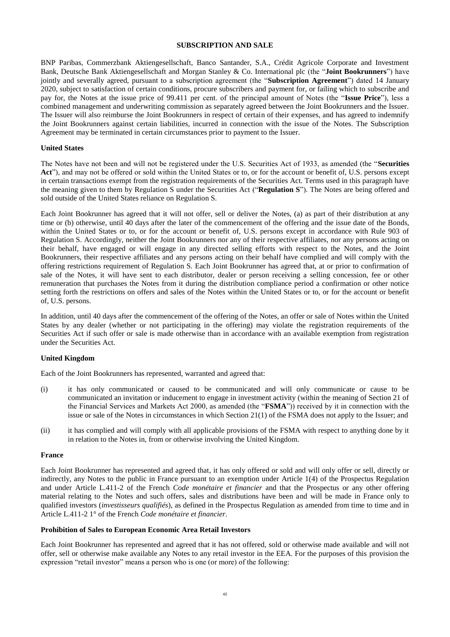# **SUBSCRIPTION AND SALE**

BNP Paribas, Commerzbank Aktiengesellschaft, Banco Santander, S.A., Crédit Agricole Corporate and Investment Bank, Deutsche Bank Aktiengesellschaft and Morgan Stanley & Co. International plc (the "**Joint Bookrunners**") have jointly and severally agreed, pursuant to a subscription agreement (the "**Subscription Agreement**") dated 14 January 2020, subject to satisfaction of certain conditions, procure subscribers and payment for, or failing which to subscribe and pay for, the Notes at the issue price of 99.411 per cent. of the principal amount of Notes (the "**Issue Price**"), less a combined management and underwriting commission as separately agreed between the Joint Bookrunners and the Issuer. The Issuer will also reimburse the Joint Bookrunners in respect of certain of their expenses, and has agreed to indemnify the Joint Bookrunners against certain liabilities, incurred in connection with the issue of the Notes. The Subscription Agreement may be terminated in certain circumstances prior to payment to the Issuer.

#### **United States**

The Notes have not been and will not be registered under the U.S. Securities Act of 1933, as amended (the "**Securities Act**"), and may not be offered or sold within the United States or to, or for the account or benefit of, U.S. persons except in certain transactions exempt from the registration requirements of the Securities Act. Terms used in this paragraph have the meaning given to them by Regulation S under the Securities Act ("**Regulation S**"). The Notes are being offered and sold outside of the United States reliance on Regulation S.

Each Joint Bookrunner has agreed that it will not offer, sell or deliver the Notes, (a) as part of their distribution at any time or (b) otherwise, until 40 days after the later of the commencement of the offering and the issue date of the Bonds, within the United States or to, or for the account or benefit of, U.S. persons except in accordance with Rule 903 of Regulation S. Accordingly, neither the Joint Bookrunners nor any of their respective affiliates, nor any persons acting on their behalf, have engaged or will engage in any directed selling efforts with respect to the Notes, and the Joint Bookrunners, their respective affiliates and any persons acting on their behalf have complied and will comply with the offering restrictions requirement of Regulation S. Each Joint Bookrunner has agreed that, at or prior to confirmation of sale of the Notes, it will have sent to each distributor, dealer or person receiving a selling concession, fee or other remuneration that purchases the Notes from it during the distribution compliance period a confirmation or other notice setting forth the restrictions on offers and sales of the Notes within the United States or to, or for the account or benefit of, U.S. persons.

In addition, until 40 days after the commencement of the offering of the Notes, an offer or sale of Notes within the United States by any dealer (whether or not participating in the offering) may violate the registration requirements of the Securities Act if such offer or sale is made otherwise than in accordance with an available exemption from registration under the Securities Act.

# **United Kingdom**

Each of the Joint Bookrunners has represented, warranted and agreed that:

- (i) it has only communicated or caused to be communicated and will only communicate or cause to be communicated an invitation or inducement to engage in investment activity (within the meaning of Section 21 of the Financial Services and Markets Act 2000, as amended (the "**FSMA**")) received by it in connection with the issue or sale of the Notes in circumstances in which Section 21(1) of the FSMA does not apply to the Issuer; and
- (ii) it has complied and will comply with all applicable provisions of the FSMA with respect to anything done by it in relation to the Notes in, from or otherwise involving the United Kingdom.

#### **France**

Each Joint Bookrunner has represented and agreed that, it has only offered or sold and will only offer or sell, directly or indirectly, any Notes to the public in France pursuant to an exemption under Article 1(4) of the Prospectus Regulation and under Article L.411-2 of the French *Code monétaire et financier* and that the Prospectus or any other offering material relating to the Notes and such offers, sales and distributions have been and will be made in France only to qualified investors (*investisseurs qualifiés*), as defined in the Prospectus Regulation as amended from time to time and in Article L.411-2 1° of the French *Code monétaire et financier*.

#### **Prohibition of Sales to European Economic Area Retail Investors**

Each Joint Bookrunner has represented and agreed that it has not offered, sold or otherwise made available and will not offer, sell or otherwise make available any Notes to any retail investor in the EEA. For the purposes of this provision the expression "retail investor" means a person who is one (or more) of the following: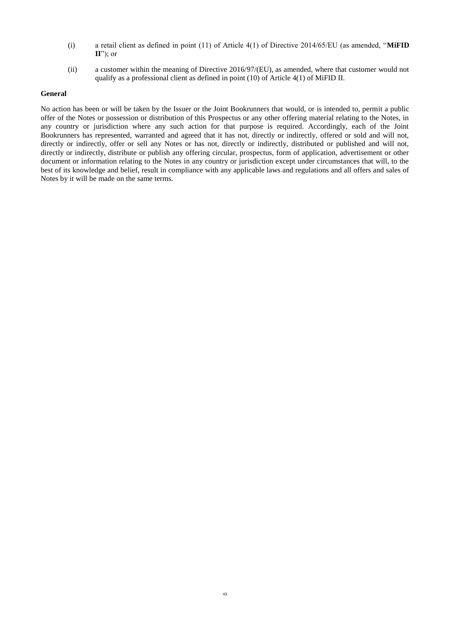- (i) a retail client as defined in point (11) of Article 4(1) of Directive 2014/65/EU (as amended, "**MiFID II**"); or
- (ii) a customer within the meaning of Directive 2016/97/(EU), as amended, where that customer would not qualify as a professional client as defined in point (10) of Article 4(1) of MiFID II.

#### **General**

<span id="page-46-0"></span>No action has been or will be taken by the Issuer or the Joint Bookrunners that would, or is intended to, permit a public offer of the Notes or possession or distribution of this Prospectus or any other offering material relating to the Notes, in any country or jurisdiction where any such action for that purpose is required. Accordingly, each of the Joint Bookrunners has represented, warranted and agreed that it has not, directly or indirectly, offered or sold and will not, directly or indirectly, offer or sell any Notes or has not, directly or indirectly, distributed or published and will not, directly or indirectly, distribute or publish any offering circular, prospectus, form of application, advertisement or other document or information relating to the Notes in any country or jurisdiction except under circumstances that will, to the best of its knowledge and belief, result in compliance with any applicable laws and regulations and all offers and sales of Notes by it will be made on the same terms.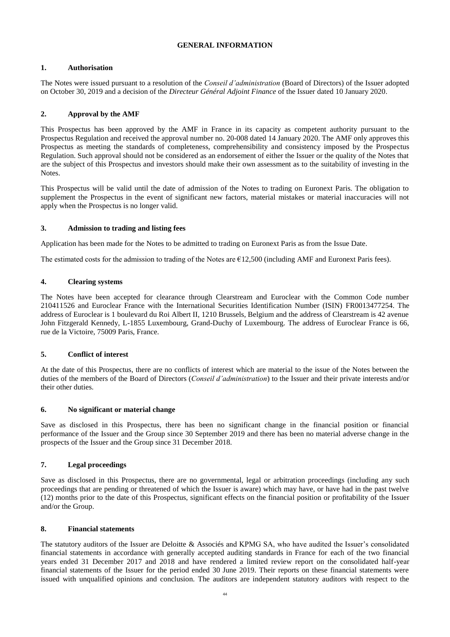# **GENERAL INFORMATION**

# **1. Authorisation**

The Notes were issued pursuant to a resolution of the *Conseil d'administration* (Board of Directors) of the Issuer adopted on October 30, 2019 and a decision of the *Directeur Général Adjoint Finance* of the Issuer dated 10 January 2020.

# **2. Approval by the AMF**

This Prospectus has been approved by the AMF in France in its capacity as competent authority pursuant to the Prospectus Regulation and received the approval number no. 20-008 dated 14 January 2020. The AMF only approves this Prospectus as meeting the standards of completeness, comprehensibility and consistency imposed by the Prospectus Regulation. Such approval should not be considered as an endorsement of either the Issuer or the quality of the Notes that are the subject of this Prospectus and investors should make their own assessment as to the suitability of investing in the Notes.

This Prospectus will be valid until the date of admission of the Notes to trading on Euronext Paris. The obligation to supplement the Prospectus in the event of significant new factors, material mistakes or material inaccuracies will not apply when the Prospectus is no longer valid.

# **3. Admission to trading and listing fees**

Application has been made for the Notes to be admitted to trading on Euronext Paris as from the Issue Date.

The estimated costs for the admission to trading of the Notes are  $\epsilon$ 12,500 (including AMF and Euronext Paris fees).

# **4. Clearing systems**

The Notes have been accepted for clearance through Clearstream and Euroclear with the Common Code number 210411526 and Euroclear France with the International Securities Identification Number (ISIN) FR0013477254. The address of Euroclear is 1 boulevard du Roi Albert II, 1210 Brussels, Belgium and the address of Clearstream is 42 avenue John Fitzgerald Kennedy, L-1855 Luxembourg, Grand-Duchy of Luxembourg. The address of Euroclear France is 66, rue de la Victoire, 75009 Paris, France.

# **5. Conflict of interest**

At the date of this Prospectus, there are no conflicts of interest which are material to the issue of the Notes between the duties of the members of the Board of Directors (*Conseil d'administration*) to the Issuer and their private interests and/or their other duties.

# **6. No significant or material change**

Save as disclosed in this Prospectus, there has been no significant change in the financial position or financial performance of the Issuer and the Group since 30 September 2019 and there has been no material adverse change in the prospects of the Issuer and the Group since 31 December 2018.

# **7. Legal proceedings**

Save as disclosed in this Prospectus, there are no governmental, legal or arbitration proceedings (including any such proceedings that are pending or threatened of which the Issuer is aware) which may have, or have had in the past twelve (12) months prior to the date of this Prospectus, significant effects on the financial position or profitability of the Issuer and/or the Group.

# **8. Financial statements**

The statutory auditors of the Issuer are Deloitte & Associés and KPMG SA, who have audited the Issuer's consolidated financial statements in accordance with generally accepted auditing standards in France for each of the two financial years ended 31 December 2017 and 2018 and have rendered a limited review report on the consolidated half-year financial statements of the Issuer for the period ended 30 June 2019. Their reports on these financial statements were issued with unqualified opinions and conclusion. The auditors are independent statutory auditors with respect to the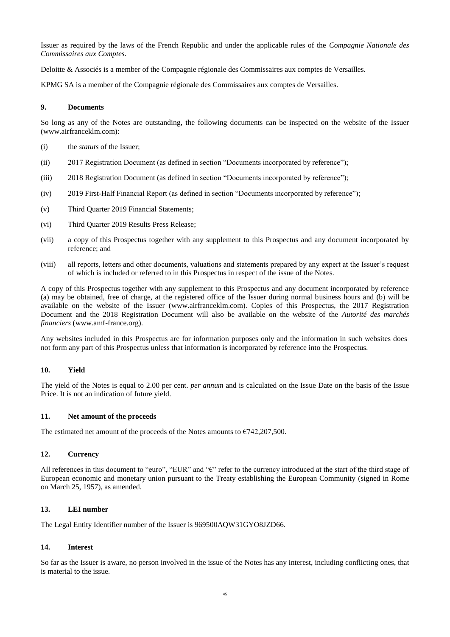Issuer as required by the laws of the French Republic and under the applicable rules of the *Compagnie Nationale des Commissaires aux Comptes*.

Deloitte & Associés is a member of the Compagnie régionale des Commissaires aux comptes de Versailles.

KPMG SA is a member of the Compagnie régionale des Commissaires aux comptes de Versailles.

#### **9. Documents**

So long as any of the Notes are outstanding, the following documents can be inspected on the website of the Issuer (www.airfranceklm.com):

- (i) the *statuts* of the Issuer;
- (ii) 2017 Registration Document (as defined in section "Documents incorporated by reference");
- (iii) 2018 Registration Document (as defined in section "Documents incorporated by reference");
- (iv) 2019 First-Half Financial Report (as defined in section "Documents incorporated by reference");
- (v) Third Quarter 2019 Financial Statements;
- (vi) Third Quarter 2019 Results Press Release;
- (vii) a copy of this Prospectus together with any supplement to this Prospectus and any document incorporated by reference; and
- (viii) all reports, letters and other documents, valuations and statements prepared by any expert at the Issuer's request of which is included or referred to in this Prospectus in respect of the issue of the Notes.

A copy of this Prospectus together with any supplement to this Prospectus and any document incorporated by reference (a) may be obtained, free of charge, at the registered office of the Issuer during normal business hours and (b) will be available on the website of the Issuer (www.airfranceklm.com). Copies of this Prospectus, the 2017 Registration Document and the 2018 Registration Document will also be available on the website of the *Autorité des marchés financiers* (www.amf-france.org).

Any websites included in this Prospectus are for information purposes only and the information in such websites does not form any part of this Prospectus unless that information is incorporated by reference into the Prospectus.

# **10. Yield**

The yield of the Notes is equal to 2.00 per cent. *per annum* and is calculated on the Issue Date on the basis of the Issue Price. It is not an indication of future yield.

#### **11. Net amount of the proceeds**

The estimated net amount of the proceeds of the Notes amounts to  $\epsilon$ 742,207,500.

#### **12. Currency**

All references in this document to "euro", "EUR" and " $\varepsilon$ " refer to the currency introduced at the start of the third stage of European economic and monetary union pursuant to the Treaty establishing the European Community (signed in Rome on March 25, 1957), as amended.

# **13. LEI number**

The Legal Entity Identifier number of the Issuer is 969500AQW31GYO8JZD66.

#### **14. Interest**

So far as the Issuer is aware, no person involved in the issue of the Notes has any interest, including conflicting ones, that is material to the issue.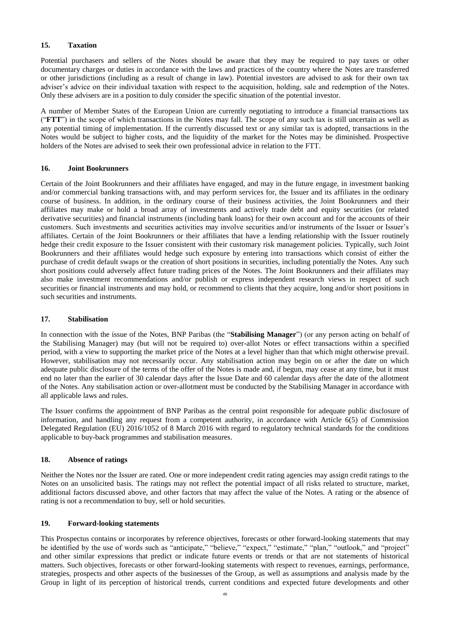# **15. Taxation**

Potential purchasers and sellers of the Notes should be aware that they may be required to pay taxes or other documentary charges or duties in accordance with the laws and practices of the country where the Notes are transferred or other jurisdictions (including as a result of change in law). Potential investors are advised to ask for their own tax adviser's advice on their individual taxation with respect to the acquisition, holding, sale and redemption of the Notes. Only these advisers are in a position to duly consider the specific situation of the potential investor.

A number of Member States of the European Union are currently negotiating to introduce a financial transactions tax ("**FTT**") in the scope of which transactions in the Notes may fall. The scope of any such tax is still uncertain as well as any potential timing of implementation. If the currently discussed text or any similar tax is adopted, transactions in the Notes would be subject to higher costs, and the liquidity of the market for the Notes may be diminished. Prospective holders of the Notes are advised to seek their own professional advice in relation to the FTT.

# **16. Joint Bookrunners**

Certain of the Joint Bookrunners and their affiliates have engaged, and may in the future engage, in investment banking and/or commercial banking transactions with, and may perform services for, the Issuer and its affiliates in the ordinary course of business. In addition, in the ordinary course of their business activities, the Joint Bookrunners and their affiliates may make or hold a broad array of investments and actively trade debt and equity securities (or related derivative securities) and financial instruments (including bank loans) for their own account and for the accounts of their customers. Such investments and securities activities may involve securities and/or instruments of the Issuer or Issuer's affiliates. Certain of the Joint Bookrunners or their affiliates that have a lending relationship with the Issuer routinely hedge their credit exposure to the Issuer consistent with their customary risk management policies. Typically, such Joint Bookrunners and their affiliates would hedge such exposure by entering into transactions which consist of either the purchase of credit default swaps or the creation of short positions in securities, including potentially the Notes. Any such short positions could adversely affect future trading prices of the Notes. The Joint Bookrunners and their affiliates may also make investment recommendations and/or publish or express independent research views in respect of such securities or financial instruments and may hold, or recommend to clients that they acquire, long and/or short positions in such securities and instruments.

# **17. Stabilisation**

In connection with the issue of the Notes, BNP Paribas (the "**Stabilising Manager**") (or any person acting on behalf of the Stabilising Manager) may (but will not be required to) over-allot Notes or effect transactions within a specified period, with a view to supporting the market price of the Notes at a level higher than that which might otherwise prevail. However, stabilisation may not necessarily occur. Any stabilisation action may begin on or after the date on which adequate public disclosure of the terms of the offer of the Notes is made and, if begun, may cease at any time, but it must end no later than the earlier of 30 calendar days after the Issue Date and 60 calendar days after the date of the allotment of the Notes. Any stabilisation action or over-allotment must be conducted by the Stabilising Manager in accordance with all applicable laws and rules.

The Issuer confirms the appointment of BNP Paribas as the central point responsible for adequate public disclosure of information, and handling any request from a competent authority, in accordance with Article 6(5) of Commission Delegated Regulation (EU) 2016/1052 of 8 March 2016 with regard to regulatory technical standards for the conditions applicable to buy-back programmes and stabilisation measures.

# **18. Absence of ratings**

Neither the Notes nor the Issuer are rated. One or more independent credit rating agencies may assign credit ratings to the Notes on an unsolicited basis. The ratings may not reflect the potential impact of all risks related to structure, market, additional factors discussed above, and other factors that may affect the value of the Notes. A rating or the absence of rating is not a recommendation to buy, sell or hold securities.

# **19. Forward-looking statements**

This Prospectus contains or incorporates by reference objectives, forecasts or other forward-looking statements that may be identified by the use of words such as "anticipate," "believe," "expect," "estimate," "plan," "outlook," and "project" and other similar expressions that predict or indicate future events or trends or that are not statements of historical matters. Such objectives, forecasts or other forward-looking statements with respect to revenues, earnings, performance, strategies, prospects and other aspects of the businesses of the Group, as well as assumptions and analysis made by the Group in light of its perception of historical trends, current conditions and expected future developments and other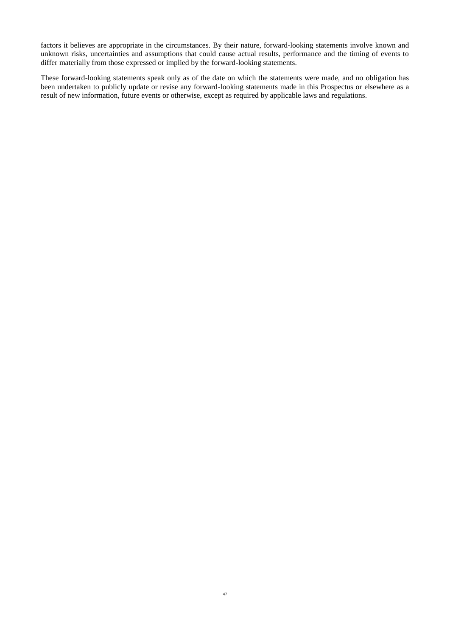factors it believes are appropriate in the circumstances. By their nature, forward-looking statements involve known and unknown risks, uncertainties and assumptions that could cause actual results, performance and the timing of events to differ materially from those expressed or implied by the forward-looking statements.

<span id="page-50-0"></span>These forward-looking statements speak only as of the date on which the statements were made, and no obligation has been undertaken to publicly update or revise any forward-looking statements made in this Prospectus or elsewhere as a result of new information, future events or otherwise, except as required by applicable laws and regulations.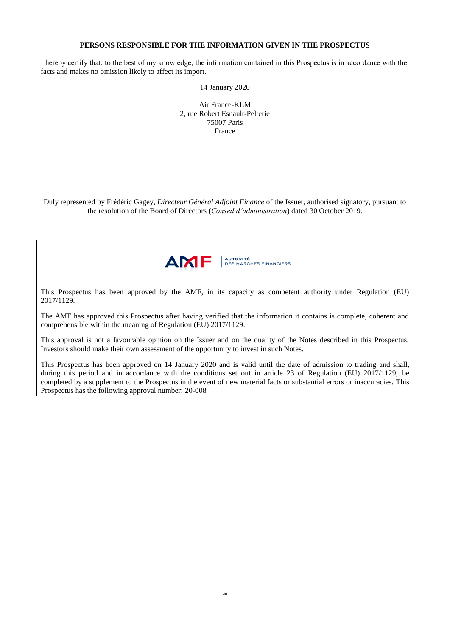# **PERSONS RESPONSIBLE FOR THE INFORMATION GIVEN IN THE PROSPECTUS**

I hereby certify that, to the best of my knowledge, the information contained in this Prospectus is in accordance with the facts and makes no omission likely to affect its import.

14 January 2020

Air France-KLM 2, rue Robert Esnault-Pelterie 75007 Paris France

Duly represented by Frédéric Gagey, *Directeur Général Adjoint Finance* of the Issuer, authorised signatory, pursuant to the resolution of the Board of Directors (*Conseil d'administration*) dated 30 October 2019.



This Prospectus has been approved by the AMF, in its capacity as competent authority under Regulation (EU) 2017/1129.

The AMF has approved this Prospectus after having verified that the information it contains is complete, coherent and comprehensible within the meaning of Regulation (EU) 2017/1129.

This approval is not a favourable opinion on the Issuer and on the quality of the Notes described in this Prospectus. Investors should make their own assessment of the opportunity to invest in such Notes.

This Prospectus has been approved on 14 January 2020 and is valid until the date of admission to trading and shall, during this period and in accordance with the conditions set out in article 23 of Regulation (EU) 2017/1129, be completed by a supplement to the Prospectus in the event of new material facts or substantial errors or inaccuracies. This Prospectus has the following approval number: 20-008